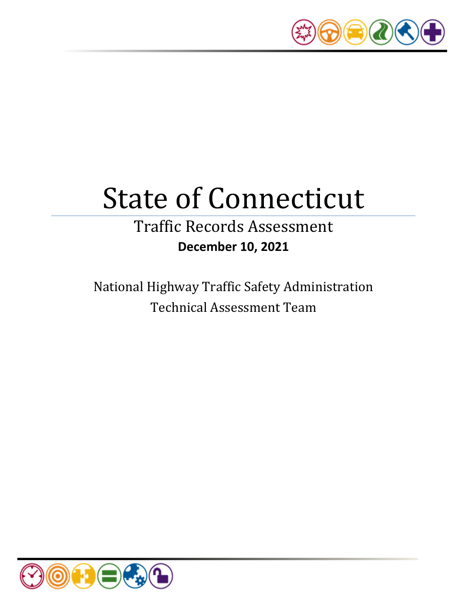

# State of Connecticut

# Traffic Records Assessment **December 10, 2021**

National Highway Traffic Safety Administration Technical Assessment Team

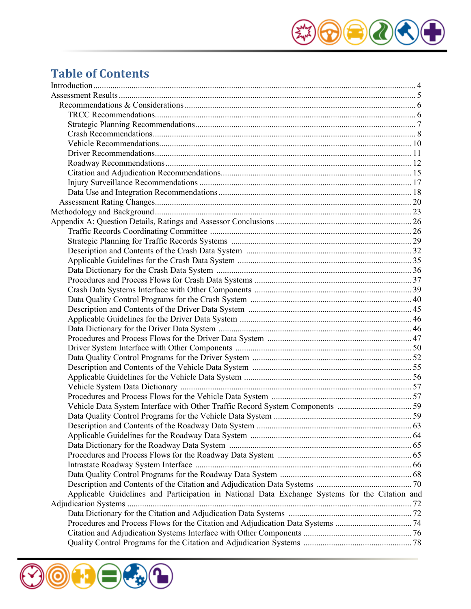

# **Table of Contents**

| Vehicle Data System Interface with Other Traffic Record System Components 59                   |  |
|------------------------------------------------------------------------------------------------|--|
|                                                                                                |  |
|                                                                                                |  |
|                                                                                                |  |
|                                                                                                |  |
|                                                                                                |  |
|                                                                                                |  |
|                                                                                                |  |
|                                                                                                |  |
| Applicable Guidelines and Participation in National Data Exchange Systems for the Citation and |  |
|                                                                                                |  |
|                                                                                                |  |
|                                                                                                |  |
|                                                                                                |  |
|                                                                                                |  |
|                                                                                                |  |

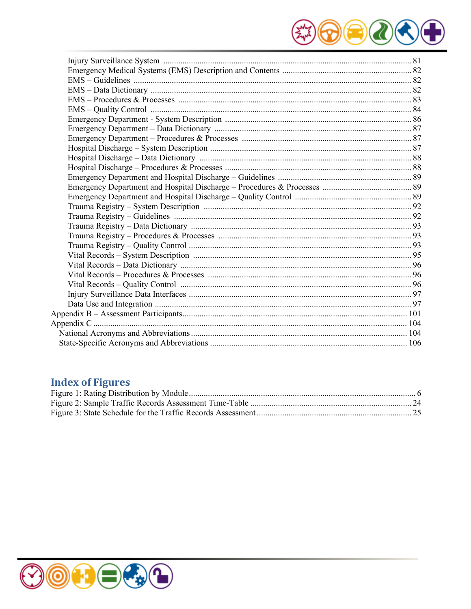

# **Index of Figures**

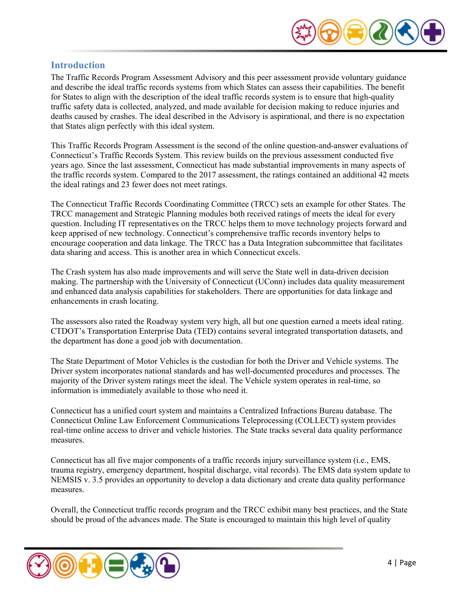

# <span id="page-3-0"></span>**Introduction**

The Traffic Records Program Assessment Advisory and this peer assessment provide voluntary guidance and describe the ideal traffic records systems from which States can assess their capabilities. The benefit for States to align with the description of the ideal traffic records system is to ensure that high-quality traffic safety data is collected, analyzed, and made available for decision making to reduce injuries and deaths caused by crashes. The ideal described in the Advisory is aspirational, and there is no expectation that States align perfectly with this ideal system.

This Traffic Records Program Assessment is the second of the online question-and-answer evaluations of Connecticut's Traffic Records System. This review builds on the previous assessment conducted five years ago. Since the last assessment, Connecticut has made substantial improvements in many aspects of the traffic records system. Compared to the 2017 assessment, the ratings contained an additional 42 meets the ideal ratings and 23 fewer does not meet ratings.

The Connecticut Traffic Records Coordinating Committee (TRCC) sets an example for other States. The TRCC management and Strategic Planning modules both received ratings of meets the ideal for every question. Including IT representatives on the TRCC helps them to move technology projects forward and keep apprised of new technology. Connecticut's comprehensive traffic records inventory helps to encourage cooperation and data linkage. The TRCC has a Data Integration subcommittee that facilitates data sharing and access. This is another area in which Connecticut excels.

The Crash system has also made improvements and will serve the State well in data-driven decision making. The partnership with the University of Connecticut (UConn) includes data quality measurement and enhanced data analysis capabilities for stakeholders. There are opportunities for data linkage and enhancements in crash locating.

The assessors also rated the Roadway system very high, all but one question earned a meets ideal rating. CTDOT's Transportation Enterprise Data (TED) contains several integrated transportation datasets, and the department has done a good job with documentation.

The State Department of Motor Vehicles is the custodian for both the Driver and Vehicle systems. The Driver system incorporates national standards and has well-documented procedures and processes. The majority of the Driver system ratings meet the ideal. The Vehicle system operates in real-time, so information is immediately available to those who need it.

Connecticut has a unified court system and maintains a Centralized Infractions Bureau database. The Connecticut Online Law Enforcement Communications Teleprocessing (COLLECT) system provides real-time online access to driver and vehicle histories. The State tracks several data quality performance measures.

Connecticut has all five major components of a traffic records injury surveillance system (i.e., EMS, trauma registry, emergency department, hospital discharge, vital records). The EMS data system update to NEMSIS v. 3.5 provides an opportunity to develop a data dictionary and create data quality performance measures.

Overall, the Connecticut traffic records program and the TRCC exhibit many best practices, and the State should be proud of the advances made. The State is encouraged to maintain this high level of quality

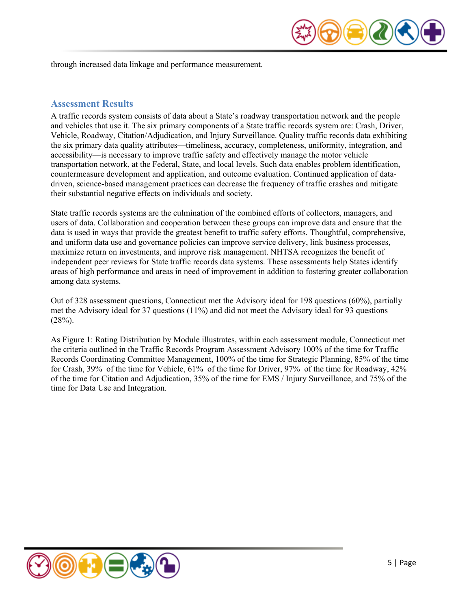

through increased data linkage and performance measurement.

# <span id="page-4-0"></span>**Assessment Results**

A traffic records system consists of data about a State's roadway transportation network and the people and vehicles that use it. The six primary components of a State traffic records system are: Crash, Driver, Vehicle, Roadway, Citation/Adjudication, and Injury Surveillance. Quality traffic records data exhibiting the six primary data quality attributes—timeliness, accuracy, completeness, uniformity, integration, and accessibility—is necessary to improve traffic safety and effectively manage the motor vehicle transportation network, at the Federal, State, and local levels. Such data enables problem identification, countermeasure development and application, and outcome evaluation. Continued application of datadriven, science-based management practices can decrease the frequency of traffic crashes and mitigate their substantial negative effects on individuals and society.

State traffic records systems are the culmination of the combined efforts of collectors, managers, and users of data. Collaboration and cooperation between these groups can improve data and ensure that the data is used in ways that provide the greatest benefit to traffic safety efforts. Thoughtful, comprehensive, and uniform data use and governance policies can improve service delivery, link business processes, maximize return on investments, and improve risk management. NHTSA recognizes the benefit of independent peer reviews for State traffic records data systems. These assessments help States identify areas of high performance and areas in need of improvement in addition to fostering greater collaboration among data systems.

Out of 328 assessment questions, Connecticut met the Advisory ideal for 198 questions (60%), partially met the Advisory ideal for 37 questions (11%) and did not meet the Advisory ideal for 93 questions  $(28%)$ .

As Figure 1: Rating Distribution by Module illustrates, within each assessment module, Connecticut met the criteria outlined in the Traffic Records Program Assessment Advisory 100% of the time for Traffic Records Coordinating Committee Management, 100% of the time for Strategic Planning, 85% of the time for Crash, 39% of the time for Vehicle, 61% of the time for Driver, 97% of the time for Roadway, 42% of the time for Citation and Adjudication, 35% of the time for EMS / Injury Surveillance, and 75% of the time for Data Use and Integration.

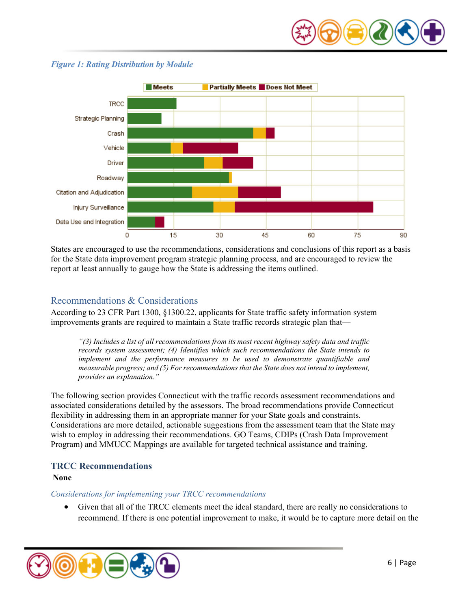



#### <span id="page-5-2"></span>*Figure 1: Rating Distribution by Module*

States are encouraged to use the recommendations, considerations and conclusions of this report as a basis for the State data improvement program strategic planning process, and are encouraged to review the report at least annually to gauge how the State is addressing the items outlined.

# <span id="page-5-0"></span>Recommendations & Considerations

According to 23 CFR Part 1300, §1300.22, applicants for State traffic safety information system improvements grants are required to maintain a State traffic records strategic plan that—

*"(3) Includes a list of all recommendations from its most recent highway safety data and traffic records system assessment; (4) Identifies which such recommendations the State intends to implement and the performance measures to be used to demonstrate quantifiable and measurable progress; and (5) For recommendations that the State does not intend to implement, provides an explanation."*

The following section provides Connecticut with the traffic records assessment recommendations and associated considerations detailed by the assessors. The broad recommendations provide Connecticut flexibility in addressing them in an appropriate manner for your State goals and constraints. Considerations are more detailed, actionable suggestions from the assessment team that the State may wish to employ in addressing their recommendations. GO Teams, CDIPs (Crash Data Improvement Program) and MMUCC Mappings are available for targeted technical assistance and training.

# <span id="page-5-1"></span>**TRCC Recommendations**

#### **None**

#### *Considerations for implementing your TRCC recommendations*

• Given that all of the TRCC elements meet the ideal standard, there are really no considerations to recommend. If there is one potential improvement to make, it would be to capture more detail on the

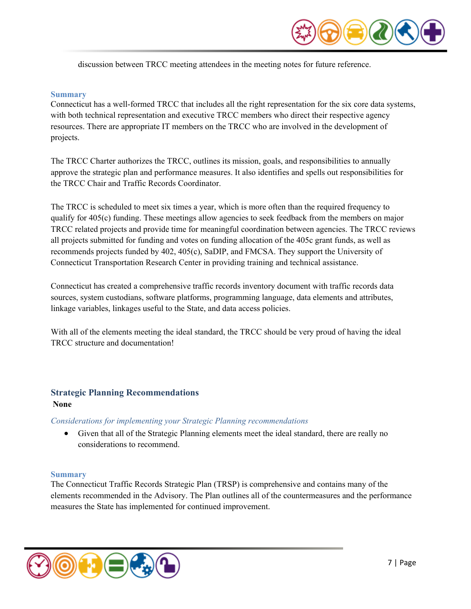

discussion between TRCC meeting attendees in the meeting notes for future reference.

#### **Summary**

Connecticut has a well-formed TRCC that includes all the right representation for the six core data systems, with both technical representation and executive TRCC members who direct their respective agency resources. There are appropriate IT members on the TRCC who are involved in the development of projects.

The TRCC Charter authorizes the TRCC, outlines its mission, goals, and responsibilities to annually approve the strategic plan and performance measures. It also identifies and spells out responsibilities for the TRCC Chair and Traffic Records Coordinator.

The TRCC is scheduled to meet six times a year, which is more often than the required frequency to qualify for 405(c) funding. These meetings allow agencies to seek feedback from the members on major TRCC related projects and provide time for meaningful coordination between agencies. The TRCC reviews all projects submitted for funding and votes on funding allocation of the 405c grant funds, as well as recommends projects funded by 402, 405(c), SaDIP, and FMCSA. They support the University of Connecticut Transportation Research Center in providing training and technical assistance.

Connecticut has created a comprehensive traffic records inventory document with traffic records data sources, system custodians, software platforms, programming language, data elements and attributes, linkage variables, linkages useful to the State, and data access policies.

With all of the elements meeting the ideal standard, the TRCC should be very proud of having the ideal TRCC structure and documentation!

#### <span id="page-6-0"></span>**Strategic Planning Recommendations None**

#### *Considerations for implementing your Strategic Planning recommendations*

• Given that all of the Strategic Planning elements meet the ideal standard, there are really no considerations to recommend.

#### **Summary**

The Connecticut Traffic Records Strategic Plan (TRSP) is comprehensive and contains many of the elements recommended in the Advisory. The Plan outlines all of the countermeasures and the performance measures the State has implemented for continued improvement.

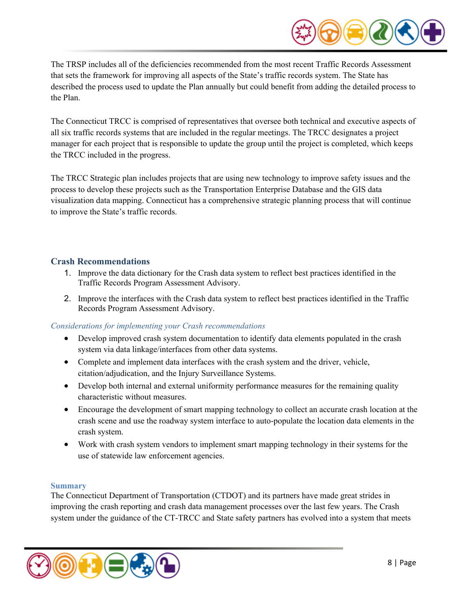

The TRSP includes all of the deficiencies recommended from the most recent Traffic Records Assessment that sets the framework for improving all aspects of the State's traffic records system. The State has described the process used to update the Plan annually but could benefit from adding the detailed process to the Plan.

The Connecticut TRCC is comprised of representatives that oversee both technical and executive aspects of all six traffic records systems that are included in the regular meetings. The TRCC designates a project manager for each project that is responsible to update the group until the project is completed, which keeps the TRCC included in the progress.

The TRCC Strategic plan includes projects that are using new technology to improve safety issues and the process to develop these projects such as the Transportation Enterprise Database and the GIS data visualization data mapping. Connecticut has a comprehensive strategic planning process that will continue to improve the State's traffic records.

# <span id="page-7-0"></span>**Crash Recommendations**

- 1. Improve the data dictionary for the Crash data system to reflect best practices identified in the Traffic Records Program Assessment Advisory.
- 2. Improve the interfaces with the Crash data system to reflect best practices identified in the Traffic Records Program Assessment Advisory.

# *Considerations for implementing your Crash recommendations*

- Develop improved crash system documentation to identify data elements populated in the crash system via data linkage/interfaces from other data systems.
- Complete and implement data interfaces with the crash system and the driver, vehicle, citation/adjudication, and the Injury Surveillance Systems.
- Develop both internal and external uniformity performance measures for the remaining quality characteristic without measures.
- Encourage the development of smart mapping technology to collect an accurate crash location at the crash scene and use the roadway system interface to auto-populate the location data elements in the crash system.
- Work with crash system vendors to implement smart mapping technology in their systems for the use of statewide law enforcement agencies.

# **Summary**

The Connecticut Department of Transportation (CTDOT) and its partners have made great strides in improving the crash reporting and crash data management processes over the last few years. The Crash system under the guidance of the CT-TRCC and State safety partners has evolved into a system that meets

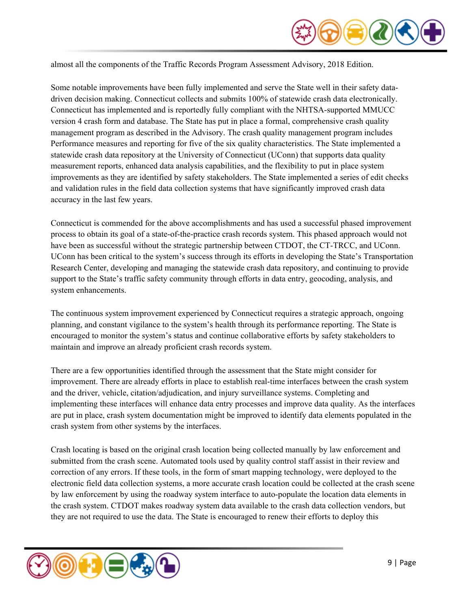

almost all the components of the Traffic Records Program Assessment Advisory, 2018 Edition.

Some notable improvements have been fully implemented and serve the State well in their safety datadriven decision making. Connecticut collects and submits 100% of statewide crash data electronically. Connecticut has implemented and is reportedly fully compliant with the NHTSA-supported MMUCC version 4 crash form and database. The State has put in place a formal, comprehensive crash quality management program as described in the Advisory. The crash quality management program includes Performance measures and reporting for five of the six quality characteristics. The State implemented a statewide crash data repository at the University of Connecticut (UConn) that supports data quality measurement reports, enhanced data analysis capabilities, and the flexibility to put in place system improvements as they are identified by safety stakeholders. The State implemented a series of edit checks and validation rules in the field data collection systems that have significantly improved crash data accuracy in the last few years.

Connecticut is commended for the above accomplishments and has used a successful phased improvement process to obtain its goal of a state-of-the-practice crash records system. This phased approach would not have been as successful without the strategic partnership between CTDOT, the CT-TRCC, and UConn. UConn has been critical to the system's success through its efforts in developing the State's Transportation Research Center, developing and managing the statewide crash data repository, and continuing to provide support to the State's traffic safety community through efforts in data entry, geocoding, analysis, and system enhancements.

The continuous system improvement experienced by Connecticut requires a strategic approach, ongoing planning, and constant vigilance to the system's health through its performance reporting. The State is encouraged to monitor the system's status and continue collaborative efforts by safety stakeholders to maintain and improve an already proficient crash records system.

There are a few opportunities identified through the assessment that the State might consider for improvement. There are already efforts in place to establish real-time interfaces between the crash system and the driver, vehicle, citation/adjudication, and injury surveillance systems. Completing and implementing these interfaces will enhance data entry processes and improve data quality. As the interfaces are put in place, crash system documentation might be improved to identify data elements populated in the crash system from other systems by the interfaces.

Crash locating is based on the original crash location being collected manually by law enforcement and submitted from the crash scene. Automated tools used by quality control staff assist in their review and correction of any errors. If these tools, in the form of smart mapping technology, were deployed to the electronic field data collection systems, a more accurate crash location could be collected at the crash scene by law enforcement by using the roadway system interface to auto-populate the location data elements in the crash system. CTDOT makes roadway system data available to the crash data collection vendors, but they are not required to use the data. The State is encouraged to renew their efforts to deploy this

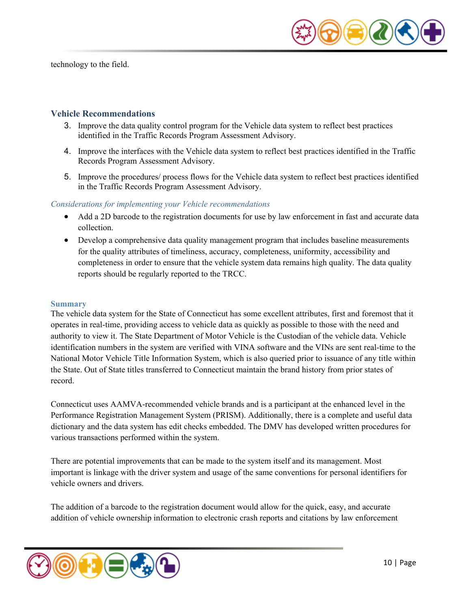technology to the field.



# <span id="page-9-0"></span>**Vehicle Recommendations**

- 3. Improve the data quality control program for the Vehicle data system to reflect best practices identified in the Traffic Records Program Assessment Advisory.
- 4. Improve the interfaces with the Vehicle data system to reflect best practices identified in the Traffic Records Program Assessment Advisory.
- 5. Improve the procedures/ process flows for the Vehicle data system to reflect best practices identified in the Traffic Records Program Assessment Advisory.

#### *Considerations for implementing your Vehicle recommendations*

- Add a 2D barcode to the registration documents for use by law enforcement in fast and accurate data collection.
- Develop a comprehensive data quality management program that includes baseline measurements for the quality attributes of timeliness, accuracy, completeness, uniformity, accessibility and completeness in order to ensure that the vehicle system data remains high quality. The data quality reports should be regularly reported to the TRCC.

#### **Summary**

The vehicle data system for the State of Connecticut has some excellent attributes, first and foremost that it operates in real-time, providing access to vehicle data as quickly as possible to those with the need and authority to view it. The State Department of Motor Vehicle is the Custodian of the vehicle data. Vehicle identification numbers in the system are verified with VINA software and the VINs are sent real-time to the National Motor Vehicle Title Information System, which is also queried prior to issuance of any title within the State. Out of State titles transferred to Connecticut maintain the brand history from prior states of record.

Connecticut uses AAMVA-recommended vehicle brands and is a participant at the enhanced level in the Performance Registration Management System (PRISM). Additionally, there is a complete and useful data dictionary and the data system has edit checks embedded. The DMV has developed written procedures for various transactions performed within the system.

There are potential improvements that can be made to the system itself and its management. Most important is linkage with the driver system and usage of the same conventions for personal identifiers for vehicle owners and drivers.

The addition of a barcode to the registration document would allow for the quick, easy, and accurate addition of vehicle ownership information to electronic crash reports and citations by law enforcement

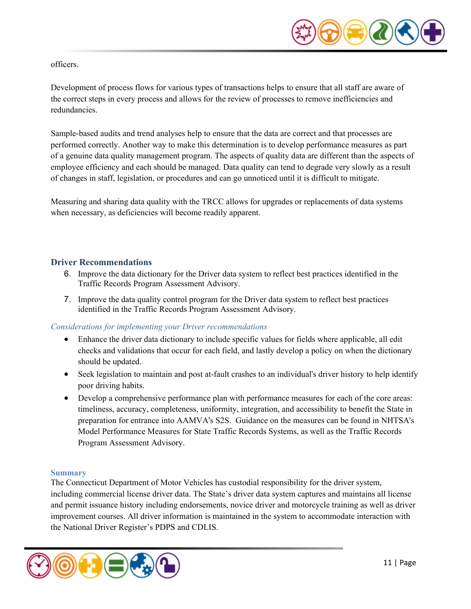

#### officers.

Development of process flows for various types of transactions helps to ensure that all staff are aware of the correct steps in every process and allows for the review of processes to remove inefficiencies and redundancies.

Sample-based audits and trend analyses help to ensure that the data are correct and that processes are performed correctly. Another way to make this determination is to develop performance measures as part of a genuine data quality management program. The aspects of quality data are different than the aspects of employee efficiency and each should be managed. Data quality can tend to degrade very slowly as a result of changes in staff, legislation, or procedures and can go unnoticed until it is difficult to mitigate.

Measuring and sharing data quality with the TRCC allows for upgrades or replacements of data systems when necessary, as deficiencies will become readily apparent.

# <span id="page-10-0"></span>**Driver Recommendations**

- 6. Improve the data dictionary for the Driver data system to reflect best practices identified in the Traffic Records Program Assessment Advisory.
- 7. Improve the data quality control program for the Driver data system to reflect best practices identified in the Traffic Records Program Assessment Advisory.

# *Considerations for implementing your Driver recommendations*

- Enhance the driver data dictionary to include specific values for fields where applicable, all edit checks and validations that occur for each field, and lastly develop a policy on when the dictionary should be updated.
- Seek legislation to maintain and post at-fault crashes to an individual's driver history to help identify poor driving habits.
- Develop a comprehensive performance plan with performance measures for each of the core areas: timeliness, accuracy, completeness, uniformity, integration, and accessibility to benefit the State in preparation for entrance into AAMVA's S2S. Guidance on the measures can be found in NHTSA's Model Performance Measures for State Traffic Records Systems, as well as the Traffic Records Program Assessment Advisory.

#### **Summary**

The Connecticut Department of Motor Vehicles has custodial responsibility for the driver system, including commercial license driver data. The State's driver data system captures and maintains all license and permit issuance history including endorsements, novice driver and motorcycle training as well as driver improvement courses. All driver information is maintained in the system to accommodate interaction with the National Driver Register's PDPS and CDLIS.

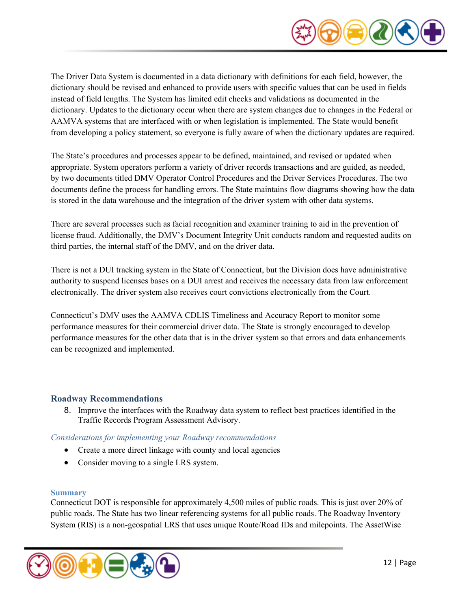

The Driver Data System is documented in a data dictionary with definitions for each field, however, the dictionary should be revised and enhanced to provide users with specific values that can be used in fields instead of field lengths. The System has limited edit checks and validations as documented in the dictionary. Updates to the dictionary occur when there are system changes due to changes in the Federal or AAMVA systems that are interfaced with or when legislation is implemented. The State would benefit from developing a policy statement, so everyone is fully aware of when the dictionary updates are required.

The State's procedures and processes appear to be defined, maintained, and revised or updated when appropriate. System operators perform a variety of driver records transactions and are guided, as needed, by two documents titled DMV Operator Control Procedures and the Driver Services Procedures. The two documents define the process for handling errors. The State maintains flow diagrams showing how the data is stored in the data warehouse and the integration of the driver system with other data systems.

There are several processes such as facial recognition and examiner training to aid in the prevention of license fraud. Additionally, the DMV's Document Integrity Unit conducts random and requested audits on third parties, the internal staff of the DMV, and on the driver data.

There is not a DUI tracking system in the State of Connecticut, but the Division does have administrative authority to suspend licenses bases on a DUI arrest and receives the necessary data from law enforcement electronically. The driver system also receives court convictions electronically from the Court.

Connecticut's DMV uses the AAMVA CDLIS Timeliness and Accuracy Report to monitor some performance measures for their commercial driver data. The State is strongly encouraged to develop performance measures for the other data that is in the driver system so that errors and data enhancements can be recognized and implemented.

# <span id="page-11-0"></span>**Roadway Recommendations**

8. Improve the interfaces with the Roadway data system to reflect best practices identified in the Traffic Records Program Assessment Advisory.

#### *Considerations for implementing your Roadway recommendations*

- Create a more direct linkage with county and local agencies
- Consider moving to a single LRS system.

#### **Summary**

Connecticut DOT is responsible for approximately 4,500 miles of public roads. This is just over 20% of public roads. The State has two linear referencing systems for all public roads. The Roadway Inventory System (RIS) is a non-geospatial LRS that uses unique Route/Road IDs and milepoints. The AssetWise

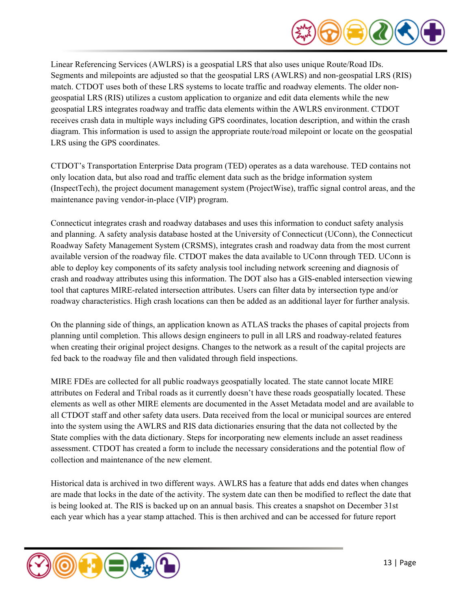

Linear Referencing Services (AWLRS) is a geospatial LRS that also uses unique Route/Road IDs. Segments and milepoints are adjusted so that the geospatial LRS (AWLRS) and non-geospatial LRS (RIS) match. CTDOT uses both of these LRS systems to locate traffic and roadway elements. The older nongeospatial LRS (RIS) utilizes a custom application to organize and edit data elements while the new geospatial LRS integrates roadway and traffic data elements within the AWLRS environment. CTDOT receives crash data in multiple ways including GPS coordinates, location description, and within the crash diagram. This information is used to assign the appropriate route/road milepoint or locate on the geospatial LRS using the GPS coordinates.

CTDOT's Transportation Enterprise Data program (TED) operates as a data warehouse. TED contains not only location data, but also road and traffic element data such as the bridge information system (InspectTech), the project document management system (ProjectWise), traffic signal control areas, and the maintenance paving vendor-in-place (VIP) program.

Connecticut integrates crash and roadway databases and uses this information to conduct safety analysis and planning. A safety analysis database hosted at the University of Connecticut (UConn), the Connecticut Roadway Safety Management System (CRSMS), integrates crash and roadway data from the most current available version of the roadway file. CTDOT makes the data available to UConn through TED. UConn is able to deploy key components of its safety analysis tool including network screening and diagnosis of crash and roadway attributes using this information. The DOT also has a GIS-enabled intersection viewing tool that captures MIRE-related intersection attributes. Users can filter data by intersection type and/or roadway characteristics. High crash locations can then be added as an additional layer for further analysis.

On the planning side of things, an application known as ATLAS tracks the phases of capital projects from planning until completion. This allows design engineers to pull in all LRS and roadway-related features when creating their original project designs. Changes to the network as a result of the capital projects are fed back to the roadway file and then validated through field inspections.

MIRE FDEs are collected for all public roadways geospatially located. The state cannot locate MIRE attributes on Federal and Tribal roads as it currently doesn't have these roads geospatially located. These elements as well as other MIRE elements are documented in the Asset Metadata model and are available to all CTDOT staff and other safety data users. Data received from the local or municipal sources are entered into the system using the AWLRS and RIS data dictionaries ensuring that the data not collected by the State complies with the data dictionary. Steps for incorporating new elements include an asset readiness assessment. CTDOT has created a form to include the necessary considerations and the potential flow of collection and maintenance of the new element.

Historical data is archived in two different ways. AWLRS has a feature that adds end dates when changes are made that locks in the date of the activity. The system date can then be modified to reflect the date that is being looked at. The RIS is backed up on an annual basis. This creates a snapshot on December 31st each year which has a year stamp attached. This is then archived and can be accessed for future report

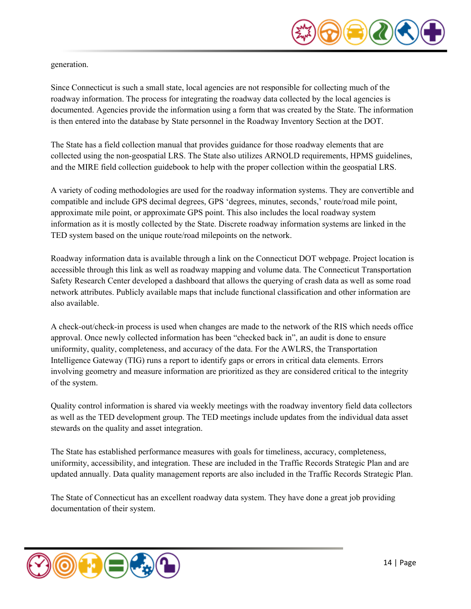

generation.

Since Connecticut is such a small state, local agencies are not responsible for collecting much of the roadway information. The process for integrating the roadway data collected by the local agencies is documented. Agencies provide the information using a form that was created by the State. The information is then entered into the database by State personnel in the Roadway Inventory Section at the DOT.

The State has a field collection manual that provides guidance for those roadway elements that are collected using the non-geospatial LRS. The State also utilizes ARNOLD requirements, HPMS guidelines, and the MIRE field collection guidebook to help with the proper collection within the geospatial LRS.

A variety of coding methodologies are used for the roadway information systems. They are convertible and compatible and include GPS decimal degrees, GPS 'degrees, minutes, seconds,' route/road mile point, approximate mile point, or approximate GPS point. This also includes the local roadway system information as it is mostly collected by the State. Discrete roadway information systems are linked in the TED system based on the unique route/road milepoints on the network.

Roadway information data is available through a link on the Connecticut DOT webpage. Project location is accessible through this link as well as roadway mapping and volume data. The Connecticut Transportation Safety Research Center developed a dashboard that allows the querying of crash data as well as some road network attributes. Publicly available maps that include functional classification and other information are also available.

A check-out/check-in process is used when changes are made to the network of the RIS which needs office approval. Once newly collected information has been "checked back in", an audit is done to ensure uniformity, quality, completeness, and accuracy of the data. For the AWLRS, the Transportation Intelligence Gateway (TIG) runs a report to identify gaps or errors in critical data elements. Errors involving geometry and measure information are prioritized as they are considered critical to the integrity of the system.

Quality control information is shared via weekly meetings with the roadway inventory field data collectors as well as the TED development group. The TED meetings include updates from the individual data asset stewards on the quality and asset integration.

The State has established performance measures with goals for timeliness, accuracy, completeness, uniformity, accessibility, and integration. These are included in the Traffic Records Strategic Plan and are updated annually. Data quality management reports are also included in the Traffic Records Strategic Plan.

The State of Connecticut has an excellent roadway data system. They have done a great job providing documentation of their system.

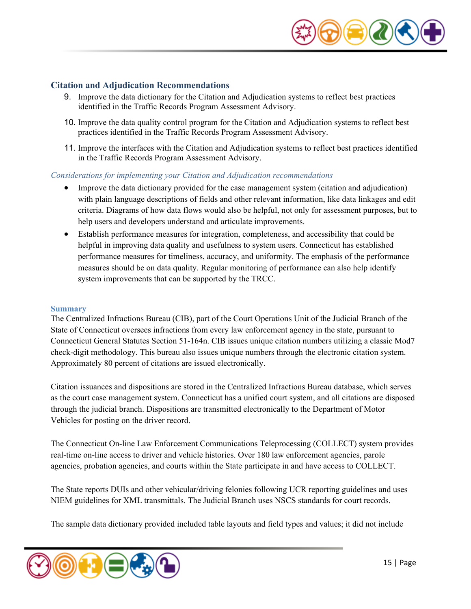

#### <span id="page-14-0"></span>**Citation and Adjudication Recommendations**

- 9. Improve the data dictionary for the Citation and Adjudication systems to reflect best practices identified in the Traffic Records Program Assessment Advisory.
- 10. Improve the data quality control program for the Citation and Adjudication systems to reflect best practices identified in the Traffic Records Program Assessment Advisory.
- 11. Improve the interfaces with the Citation and Adjudication systems to reflect best practices identified in the Traffic Records Program Assessment Advisory.

#### *Considerations for implementing your Citation and Adjudication recommendations*

- Improve the data dictionary provided for the case management system (citation and adjudication) with plain language descriptions of fields and other relevant information, like data linkages and edit criteria. Diagrams of how data flows would also be helpful, not only for assessment purposes, but to help users and developers understand and articulate improvements.
- Establish performance measures for integration, completeness, and accessibility that could be helpful in improving data quality and usefulness to system users. Connecticut has established performance measures for timeliness, accuracy, and uniformity. The emphasis of the performance measures should be on data quality. Regular monitoring of performance can also help identify system improvements that can be supported by the TRCC.

#### **Summary**

The Centralized Infractions Bureau (CIB), part of the Court Operations Unit of the Judicial Branch of the State of Connecticut oversees infractions from every law enforcement agency in the state, pursuant to Connecticut General Statutes Section 51-164n. CIB issues unique citation numbers utilizing a classic Mod7 check-digit methodology. This bureau also issues unique numbers through the electronic citation system. Approximately 80 percent of citations are issued electronically.

Citation issuances and dispositions are stored in the Centralized Infractions Bureau database, which serves as the court case management system. Connecticut has a unified court system, and all citations are disposed through the judicial branch. Dispositions are transmitted electronically to the Department of Motor Vehicles for posting on the driver record.

The Connecticut On-line Law Enforcement Communications Teleprocessing (COLLECT) system provides real-time on-line access to driver and vehicle histories. Over 180 law enforcement agencies, parole agencies, probation agencies, and courts within the State participate in and have access to COLLECT.

The State reports DUIs and other vehicular/driving felonies following UCR reporting guidelines and uses NIEM guidelines for XML transmittals. The Judicial Branch uses NSCS standards for court records.

The sample data dictionary provided included table layouts and field types and values; it did not include

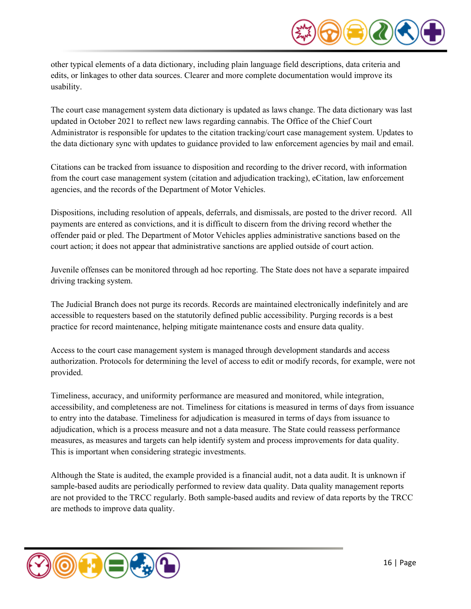

other typical elements of a data dictionary, including plain language field descriptions, data criteria and edits, or linkages to other data sources. Clearer and more complete documentation would improve its usability.

The court case management system data dictionary is updated as laws change. The data dictionary was last updated in October 2021 to reflect new laws regarding cannabis. The Office of the Chief Court Administrator is responsible for updates to the citation tracking/court case management system. Updates to the data dictionary sync with updates to guidance provided to law enforcement agencies by mail and email.

Citations can be tracked from issuance to disposition and recording to the driver record, with information from the court case management system (citation and adjudication tracking), eCitation, law enforcement agencies, and the records of the Department of Motor Vehicles.

Dispositions, including resolution of appeals, deferrals, and dismissals, are posted to the driver record. All payments are entered as convictions, and it is difficult to discern from the driving record whether the offender paid or pled. The Department of Motor Vehicles applies administrative sanctions based on the court action; it does not appear that administrative sanctions are applied outside of court action.

Juvenile offenses can be monitored through ad hoc reporting. The State does not have a separate impaired driving tracking system.

The Judicial Branch does not purge its records. Records are maintained electronically indefinitely and are accessible to requesters based on the statutorily defined public accessibility. Purging records is a best practice for record maintenance, helping mitigate maintenance costs and ensure data quality.

Access to the court case management system is managed through development standards and access authorization. Protocols for determining the level of access to edit or modify records, for example, were not provided.

Timeliness, accuracy, and uniformity performance are measured and monitored, while integration, accessibility, and completeness are not. Timeliness for citations is measured in terms of days from issuance to entry into the database. Timeliness for adjudication is measured in terms of days from issuance to adjudication, which is a process measure and not a data measure. The State could reassess performance measures, as measures and targets can help identify system and process improvements for data quality. This is important when considering strategic investments.

Although the State is audited, the example provided is a financial audit, not a data audit. It is unknown if sample-based audits are periodically performed to review data quality. Data quality management reports are not provided to the TRCC regularly. Both sample-based audits and review of data reports by the TRCC are methods to improve data quality.

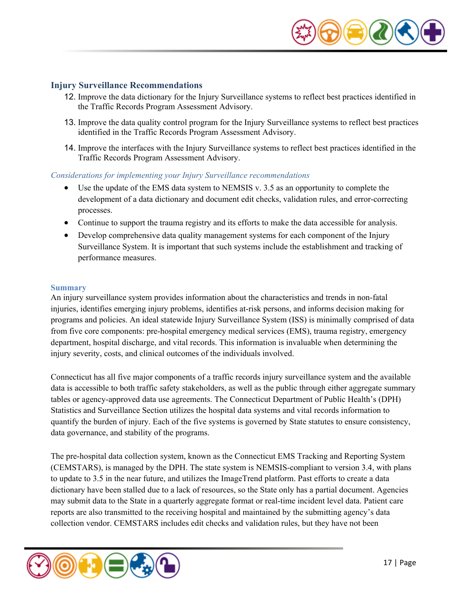

#### <span id="page-16-0"></span>**Injury Surveillance Recommendations**

- 12. Improve the data dictionary for the Injury Surveillance systems to reflect best practices identified in the Traffic Records Program Assessment Advisory.
- 13. Improve the data quality control program for the Injury Surveillance systems to reflect best practices identified in the Traffic Records Program Assessment Advisory.
- 14. Improve the interfaces with the Injury Surveillance systems to reflect best practices identified in the Traffic Records Program Assessment Advisory.

#### *Considerations for implementing your Injury Surveillance recommendations*

- Use the update of the EMS data system to NEMSIS v. 3.5 as an opportunity to complete the development of a data dictionary and document edit checks, validation rules, and error-correcting processes.
- Continue to support the trauma registry and its efforts to make the data accessible for analysis.
- Develop comprehensive data quality management systems for each component of the Injury Surveillance System. It is important that such systems include the establishment and tracking of performance measures.

#### **Summary**

An injury surveillance system provides information about the characteristics and trends in non-fatal injuries, identifies emerging injury problems, identifies at-risk persons, and informs decision making for programs and policies. An ideal statewide Injury Surveillance System (ISS) is minimally comprised of data from five core components: pre-hospital emergency medical services (EMS), trauma registry, emergency department, hospital discharge, and vital records. This information is invaluable when determining the injury severity, costs, and clinical outcomes of the individuals involved.

Connecticut has all five major components of a traffic records injury surveillance system and the available data is accessible to both traffic safety stakeholders, as well as the public through either aggregate summary tables or agency-approved data use agreements. The Connecticut Department of Public Health's (DPH) Statistics and Surveillance Section utilizes the hospital data systems and vital records information to quantify the burden of injury. Each of the five systems is governed by State statutes to ensure consistency, data governance, and stability of the programs.

The pre-hospital data collection system, known as the Connecticut EMS Tracking and Reporting System (CEMSTARS), is managed by the DPH. The state system is NEMSIS-compliant to version 3.4, with plans to update to 3.5 in the near future, and utilizes the ImageTrend platform. Past efforts to create a data dictionary have been stalled due to a lack of resources, so the State only has a partial document. Agencies may submit data to the State in a quarterly aggregate format or real-time incident level data. Patient care reports are also transmitted to the receiving hospital and maintained by the submitting agency's data collection vendor. CEMSTARS includes edit checks and validation rules, but they have not been

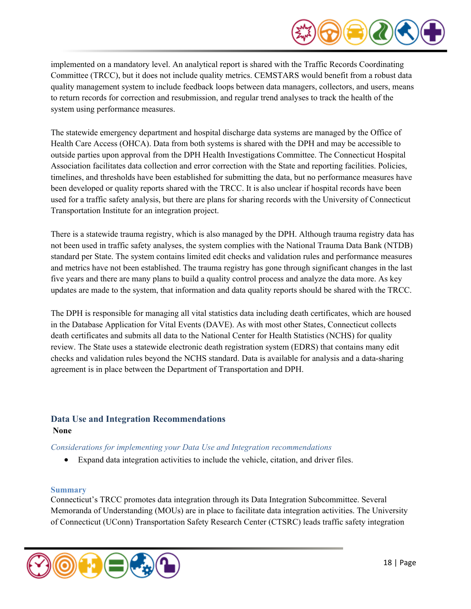

implemented on a mandatory level. An analytical report is shared with the Traffic Records Coordinating Committee (TRCC), but it does not include quality metrics. CEMSTARS would benefit from a robust data quality management system to include feedback loops between data managers, collectors, and users, means to return records for correction and resubmission, and regular trend analyses to track the health of the system using performance measures.

The statewide emergency department and hospital discharge data systems are managed by the Office of Health Care Access (OHCA). Data from both systems is shared with the DPH and may be accessible to outside parties upon approval from the DPH Health Investigations Committee. The Connecticut Hospital Association facilitates data collection and error correction with the State and reporting facilities. Policies, timelines, and thresholds have been established for submitting the data, but no performance measures have been developed or quality reports shared with the TRCC. It is also unclear if hospital records have been used for a traffic safety analysis, but there are plans for sharing records with the University of Connecticut Transportation Institute for an integration project.

There is a statewide trauma registry, which is also managed by the DPH. Although trauma registry data has not been used in traffic safety analyses, the system complies with the National Trauma Data Bank (NTDB) standard per State. The system contains limited edit checks and validation rules and performance measures and metrics have not been established. The trauma registry has gone through significant changes in the last five years and there are many plans to build a quality control process and analyze the data more. As key updates are made to the system, that information and data quality reports should be shared with the TRCC.

The DPH is responsible for managing all vital statistics data including death certificates, which are housed in the Database Application for Vital Events (DAVE). As with most other States, Connecticut collects death certificates and submits all data to the National Center for Health Statistics (NCHS) for quality review. The State uses a statewide electronic death registration system (EDRS) that contains many edit checks and validation rules beyond the NCHS standard. Data is available for analysis and a data-sharing agreement is in place between the Department of Transportation and DPH.

# <span id="page-17-0"></span>**Data Use and Integration Recommendations None**

# *Considerations for implementing your Data Use and Integration recommendations*

• Expand data integration activities to include the vehicle, citation, and driver files.

# **Summary**

Connecticut's TRCC promotes data integration through its Data Integration Subcommittee. Several Memoranda of Understanding (MOUs) are in place to facilitate data integration activities. The University of Connecticut (UConn) Transportation Safety Research Center (CTSRC) leads traffic safety integration

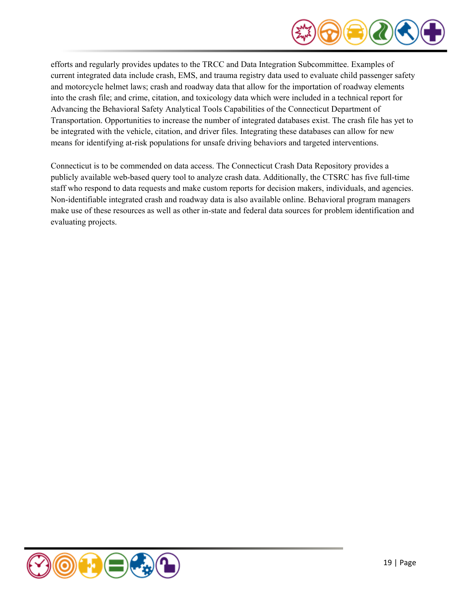

efforts and regularly provides updates to the TRCC and Data Integration Subcommittee. Examples of current integrated data include crash, EMS, and trauma registry data used to evaluate child passenger safety and motorcycle helmet laws; crash and roadway data that allow for the importation of roadway elements into the crash file; and crime, citation, and toxicology data which were included in a technical report for Advancing the Behavioral Safety Analytical Tools Capabilities of the Connecticut Department of Transportation. Opportunities to increase the number of integrated databases exist. The crash file has yet to be integrated with the vehicle, citation, and driver files. Integrating these databases can allow for new means for identifying at-risk populations for unsafe driving behaviors and targeted interventions.

Connecticut is to be commended on data access. The Connecticut Crash Data Repository provides a publicly available web-based query tool to analyze crash data. Additionally, the CTSRC has five full-time staff who respond to data requests and make custom reports for decision makers, individuals, and agencies. Non-identifiable integrated crash and roadway data is also available online. Behavioral program managers make use of these resources as well as other in-state and federal data sources for problem identification and evaluating projects.

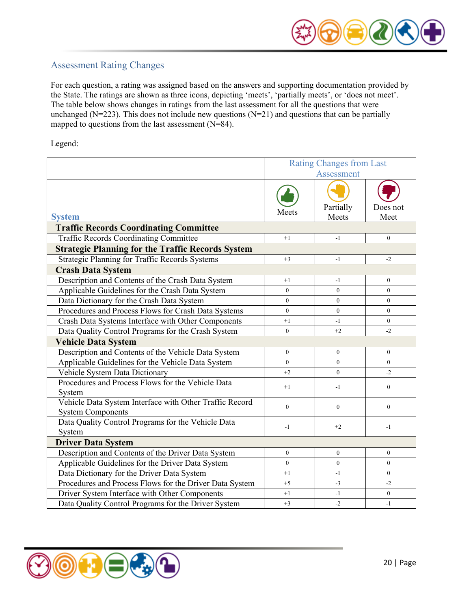

# <span id="page-19-0"></span>Assessment Rating Changes

For each question, a rating was assigned based on the answers and supporting documentation provided by the State. The ratings are shown as three icons, depicting 'meets', 'partially meets', or 'does not meet'. The table below shows changes in ratings from the last assessment for all the questions that were unchanged ( $N=223$ ). This does not include new questions ( $N=21$ ) and questions that can be partially mapped to questions from the last assessment (N=84).

Legend:

|                                                                                     | <b>Rating Changes from Last</b><br>Assessment |                    |                  |  |
|-------------------------------------------------------------------------------------|-----------------------------------------------|--------------------|------------------|--|
| <b>System</b>                                                                       | Meets                                         | Partially<br>Meets | Does not<br>Meet |  |
| <b>Traffic Records Coordinating Committee</b>                                       |                                               |                    |                  |  |
| <b>Traffic Records Coordinating Committee</b>                                       | $+1$                                          | $-1$               | $\mathbf{0}$     |  |
| <b>Strategic Planning for the Traffic Records System</b>                            |                                               |                    |                  |  |
| Strategic Planning for Traffic Records Systems                                      | $+3$                                          | $-1$               | $-2$             |  |
| <b>Crash Data System</b>                                                            |                                               |                    |                  |  |
| Description and Contents of the Crash Data System                                   | $+1$                                          | $-1$               | $\boldsymbol{0}$ |  |
| Applicable Guidelines for the Crash Data System                                     | $\overline{0}$                                | $\overline{0}$     | $\overline{0}$   |  |
| Data Dictionary for the Crash Data System                                           | $\mathbf{0}$                                  | $\overline{0}$     | $\overline{0}$   |  |
| Procedures and Process Flows for Crash Data Systems                                 | $\theta$                                      | $\theta$           | $\overline{0}$   |  |
| Crash Data Systems Interface with Other Components                                  | $+1$                                          | $-1$               | $\overline{0}$   |  |
| Data Quality Control Programs for the Crash System                                  | $\theta$                                      | $+2$               | $-2$             |  |
| <b>Vehicle Data System</b>                                                          |                                               |                    |                  |  |
| Description and Contents of the Vehicle Data System                                 | $\mathbf{0}$                                  | $\overline{0}$     | $\overline{0}$   |  |
| Applicable Guidelines for the Vehicle Data System                                   | $\mathbf{0}$                                  | $\overline{0}$     | $\overline{0}$   |  |
| Vehicle System Data Dictionary                                                      | $+2$                                          | $\overline{0}$     | $-2$             |  |
| Procedures and Process Flows for the Vehicle Data<br>System                         | $+1$                                          | $-1$               | $\boldsymbol{0}$ |  |
| Vehicle Data System Interface with Other Traffic Record<br><b>System Components</b> | $\mathbf{0}$                                  | $\mathbf{0}$       | $\boldsymbol{0}$ |  |
| Data Quality Control Programs for the Vehicle Data<br>System                        | $-1$                                          | $+2$               | $-1$             |  |
| <b>Driver Data System</b>                                                           |                                               |                    |                  |  |
| Description and Contents of the Driver Data System                                  | $\mathbf{0}$                                  | $\overline{0}$     | $\overline{0}$   |  |
| Applicable Guidelines for the Driver Data System                                    | $\overline{0}$                                | $\overline{0}$     | $\overline{0}$   |  |
| Data Dictionary for the Driver Data System                                          | $+1$                                          | $-1$               | $\theta$         |  |
| Procedures and Process Flows for the Driver Data System                             | $+5$                                          | $-3$               | $-2$             |  |
| Driver System Interface with Other Components                                       | $+1$                                          | $-1$               | $\overline{0}$   |  |
| Data Quality Control Programs for the Driver System                                 | $+3$                                          | $-2$               | $-1$             |  |

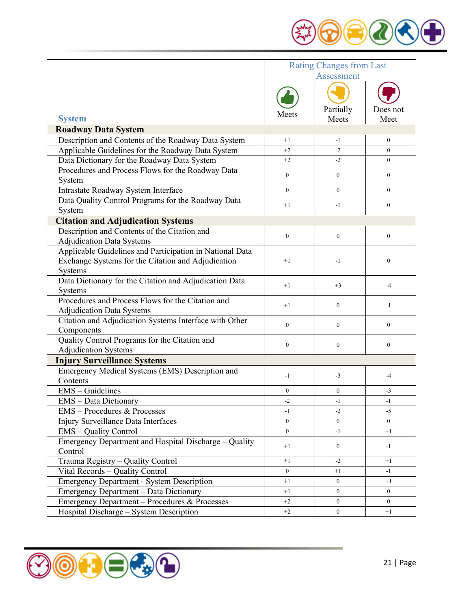

|                                                                                                                           |                  | <b>Rating Changes from Last</b><br>Assessment |                  |
|---------------------------------------------------------------------------------------------------------------------------|------------------|-----------------------------------------------|------------------|
| <b>System</b>                                                                                                             | Meets            | Partially<br>Meets                            | Does not<br>Meet |
| <b>Roadway Data System</b>                                                                                                |                  |                                               |                  |
| Description and Contents of the Roadway Data System                                                                       | $+1$             | -1                                            | $\overline{0}$   |
| Applicable Guidelines for the Roadway Data System                                                                         | $+2$             | $-2$                                          | $\theta$         |
| Data Dictionary for the Roadway Data System                                                                               | $+2$             | $-2$                                          | $\overline{0}$   |
| Procedures and Process Flows for the Roadway Data                                                                         | $\mathbf{0}$     | $\overline{0}$                                | $\overline{0}$   |
| System                                                                                                                    | $\theta$         | $\theta$                                      | $\theta$         |
| Intrastate Roadway System Interface                                                                                       |                  |                                               |                  |
| Data Quality Control Programs for the Roadway Data<br>System                                                              | $+1$             | $-1$                                          | $\overline{0}$   |
| <b>Citation and Adjudication Systems</b>                                                                                  |                  |                                               |                  |
| Description and Contents of the Citation and<br><b>Adjudication Data Systems</b>                                          | $\mathbf{0}$     | $\mathbf{0}$                                  | $\overline{0}$   |
| Applicable Guidelines and Participation in National Data<br>Exchange Systems for the Citation and Adjudication<br>Systems | $+1$             | -1                                            | $\overline{0}$   |
| Data Dictionary for the Citation and Adjudication Data<br>Systems                                                         | $+1$             | $+3$                                          | $-4$             |
| Procedures and Process Flows for the Citation and<br><b>Adjudication Data Systems</b>                                     | $+1$             | $\boldsymbol{0}$                              | $-1$             |
| Citation and Adjudication Systems Interface with Other<br>Components                                                      | $\mathbf{0}$     | $\overline{0}$                                | $\overline{0}$   |
| Quality Control Programs for the Citation and                                                                             | $\boldsymbol{0}$ | $\mathbf{0}$                                  | $\overline{0}$   |
| <b>Adjudication Systems</b>                                                                                               |                  |                                               |                  |
| <b>Injury Surveillance Systems</b><br>Emergency Medical Systems (EMS) Description and<br>Contents                         | $-1$             | $-3$                                          | $-4$             |
|                                                                                                                           | $\mathbf{0}$     | $\overline{0}$                                | $-3$             |
| EMS - Guidelines                                                                                                          | $-2$             | -1                                            | $-1$             |
| <b>EMS</b> – Data Dictionary<br>EMS - Procedures & Processes                                                              | $-1$             | $-2$                                          | $-5$             |
| Injury Surveillance Data Interfaces                                                                                       | $\mathbf{0}$     | $\overline{0}$                                | $\Omega$         |
| <b>EMS</b> - Quality Control                                                                                              | $\overline{0}$   | $-1$                                          | $+1$             |
| Emergency Department and Hospital Discharge - Quality<br>Control                                                          | $+1$             | $\mathbf{0}$                                  | $-1$             |
| Trauma Registry - Quality Control                                                                                         | $+1$             | $-2$                                          | $+1$             |
| Vital Records - Quality Control                                                                                           | $\mathbf{0}$     | $+1$                                          | $-1$             |
| <b>Emergency Department - System Description</b>                                                                          | $+1$             | $\boldsymbol{0}$                              | $+1$             |
| Emergency Department - Data Dictionary                                                                                    | $+1$             | $\boldsymbol{0}$                              | $\overline{0}$   |
| Emergency Department - Procedures & Processes                                                                             | $+2$             | $\overline{0}$                                | $\overline{0}$   |
| Hospital Discharge - System Description                                                                                   | $+2$             | $\mathbf{0}$                                  | $+1$             |

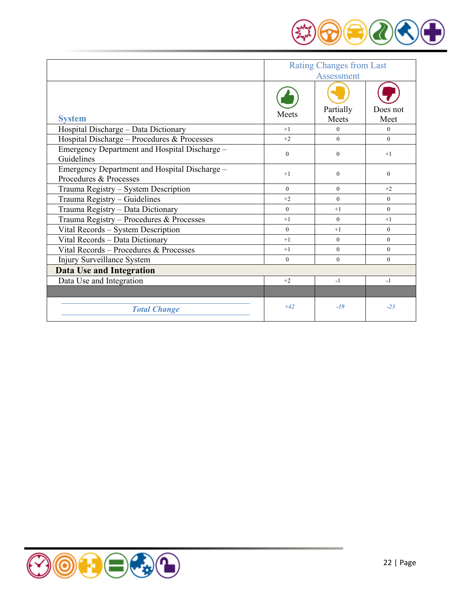

|                                                                         | <b>Rating Changes from Last</b><br>Assessment |                    |                  |  |
|-------------------------------------------------------------------------|-----------------------------------------------|--------------------|------------------|--|
| <b>System</b>                                                           | Meets                                         | Partially<br>Meets | Does not<br>Meet |  |
| Hospital Discharge - Data Dictionary                                    | $+1$                                          | $\theta$           | $\theta$         |  |
| Hospital Discharge - Procedures & Processes                             | $+2$                                          | $\theta$           | $\theta$         |  |
| Emergency Department and Hospital Discharge -<br>Guidelines             | $\Omega$                                      | $\Omega$           | $+1$             |  |
| Emergency Department and Hospital Discharge -<br>Procedures & Processes | $+1$                                          | $\Omega$           | $\theta$         |  |
| Trauma Registry - System Description                                    | $\Omega$                                      | $\Omega$           | $+2$             |  |
| Trauma Registry - Guidelines                                            | $+2$                                          | $\Omega$           | $\theta$         |  |
| Trauma Registry - Data Dictionary                                       | $\Omega$                                      | $+1$               | $\Omega$         |  |
| Trauma Registry - Procedures & Processes                                | $+1$                                          | $\Omega$           | $+1$             |  |
| Vital Records - System Description                                      | $\Omega$                                      | $+1$               | $\Omega$         |  |
| Vital Records - Data Dictionary                                         | $+1$                                          | $\theta$           | $\theta$         |  |
| Vital Records - Procedures & Processes                                  | $+1$                                          | $\Omega$           | $\Omega$         |  |
| Injury Surveillance System                                              | $\overline{0}$                                | $\theta$           | $\theta$         |  |
| <b>Data Use and Integration</b>                                         |                                               |                    |                  |  |
| Data Use and Integration                                                | $+2$                                          | $-1$               | $-1$             |  |
|                                                                         |                                               |                    |                  |  |
| <b>Total Change</b>                                                     | $+42$                                         | $-19$              | $-23$            |  |

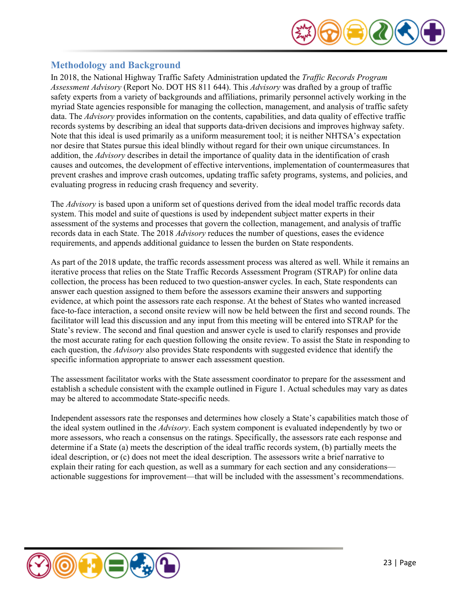

# <span id="page-22-0"></span>**Methodology and Background**

In 2018, the National Highway Traffic Safety Administration updated the *Traffic Records Program Assessment Advisory* (Report No. DOT HS 811 644). This *Advisory* was drafted by a group of traffic safety experts from a variety of backgrounds and affiliations, primarily personnel actively working in the myriad State agencies responsible for managing the collection, management, and analysis of traffic safety data. The *Advisory* provides information on the contents, capabilities, and data quality of effective traffic records systems by describing an ideal that supports data-driven decisions and improves highway safety. Note that this ideal is used primarily as a uniform measurement tool; it is neither NHTSA's expectation nor desire that States pursue this ideal blindly without regard for their own unique circumstances. In addition, the *Advisory* describes in detail the importance of quality data in the identification of crash causes and outcomes, the development of effective interventions, implementation of countermeasures that prevent crashes and improve crash outcomes, updating traffic safety programs, systems, and policies, and evaluating progress in reducing crash frequency and severity.

The *Advisory* is based upon a uniform set of questions derived from the ideal model traffic records data system. This model and suite of questions is used by independent subject matter experts in their assessment of the systems and processes that govern the collection, management, and analysis of traffic records data in each State. The 2018 *Advisory* reduces the number of questions, eases the evidence requirements, and appends additional guidance to lessen the burden on State respondents.

As part of the 2018 update, the traffic records assessment process was altered as well. While it remains an iterative process that relies on the State Traffic Records Assessment Program (STRAP) for online data collection, the process has been reduced to two question-answer cycles. In each, State respondents can answer each question assigned to them before the assessors examine their answers and supporting evidence, at which point the assessors rate each response. At the behest of States who wanted increased face-to-face interaction, a second onsite review will now be held between the first and second rounds. The facilitator will lead this discussion and any input from this meeting will be entered into STRAP for the State's review. The second and final question and answer cycle is used to clarify responses and provide the most accurate rating for each question following the onsite review. To assist the State in responding to each question, the *Advisory* also provides State respondents with suggested evidence that identify the specific information appropriate to answer each assessment question.

The assessment facilitator works with the State assessment coordinator to prepare for the assessment and establish a schedule consistent with the example outlined in Figure 1. Actual schedules may vary as dates may be altered to accommodate State-specific needs.

Independent assessors rate the responses and determines how closely a State's capabilities match those of the ideal system outlined in the *Advisory*. Each system component is evaluated independently by two or more assessors, who reach a consensus on the ratings. Specifically, the assessors rate each response and determine if a State (a) meets the description of the ideal traffic records system, (b) partially meets the ideal description, or (c) does not meet the ideal description. The assessors write a brief narrative to explain their rating for each question, as well as a summary for each section and any considerations actionable suggestions for improvement—that will be included with the assessment's recommendations.

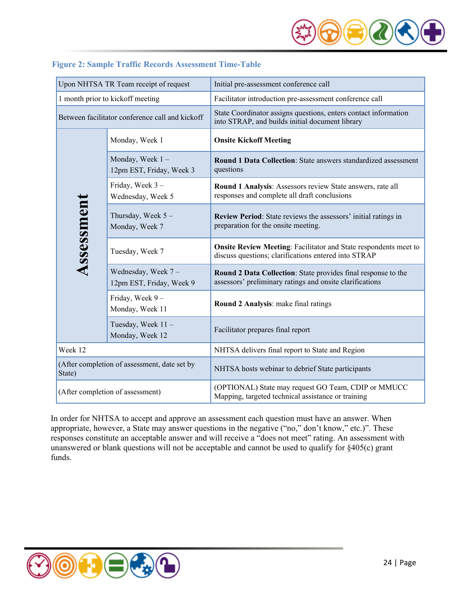

| Upon NHTSA TR Team receipt of request                  |                                                | Initial pre-assessment conference call                                                                                          |  |  |
|--------------------------------------------------------|------------------------------------------------|---------------------------------------------------------------------------------------------------------------------------------|--|--|
| 1 month prior to kickoff meeting                       |                                                | Facilitator introduction pre-assessment conference call                                                                         |  |  |
| Between facilitator conference call and kickoff        |                                                | State Coordinator assigns questions, enters contact information<br>into STRAP, and builds initial document library              |  |  |
|                                                        | Monday, Week 1                                 | <b>Onsite Kickoff Meeting</b>                                                                                                   |  |  |
|                                                        | Monday, Week 1-<br>12pm EST, Friday, Week 3    | Round 1 Data Collection: State answers standardized assessment<br>questions                                                     |  |  |
|                                                        | Friday, Week 3-<br>Wednesday, Week 5           | Round 1 Analysis: Assessors review State answers, rate all<br>responses and complete all draft conclusions                      |  |  |
| Assessment                                             | Thursday, Week $5 -$<br>Monday, Week 7         | Review Period: State reviews the assessors' initial ratings in<br>preparation for the onsite meeting.                           |  |  |
|                                                        | Tuesday, Week 7                                | <b>Onsite Review Meeting: Facilitator and State respondents meet to</b><br>discuss questions; clarifications entered into STRAP |  |  |
|                                                        | Wednesday, Week 7-<br>12pm EST, Friday, Week 9 | Round 2 Data Collection: State provides final response to the<br>assessors' preliminary ratings and onsite clarifications       |  |  |
|                                                        | Friday, Week 9-<br>Monday, Week 11             | Round 2 Analysis: make final ratings                                                                                            |  |  |
|                                                        | Tuesday, Week 11-<br>Monday, Week 12           | Facilitator prepares final report                                                                                               |  |  |
| Week 12                                                |                                                | NHTSA delivers final report to State and Region                                                                                 |  |  |
| (After completion of assessment, date set by<br>State) |                                                | NHTSA hosts webinar to debrief State participants                                                                               |  |  |
| (After completion of assessment)                       |                                                | (OPTIONAL) State may request GO Team, CDIP or MMUCC<br>Mapping, targeted technical assistance or training                       |  |  |

# <span id="page-23-0"></span>**Figure 2: Sample Traffic Records Assessment Time-Table**

In order for NHTSA to accept and approve an assessment each question must have an answer. When appropriate, however, a State may answer questions in the negative ("no," don't know," etc.)". These responses constitute an acceptable answer and will receive a "does not meet" rating. An assessment with unanswered or blank questions will not be acceptable and cannot be used to qualify for §405(c) grant funds.

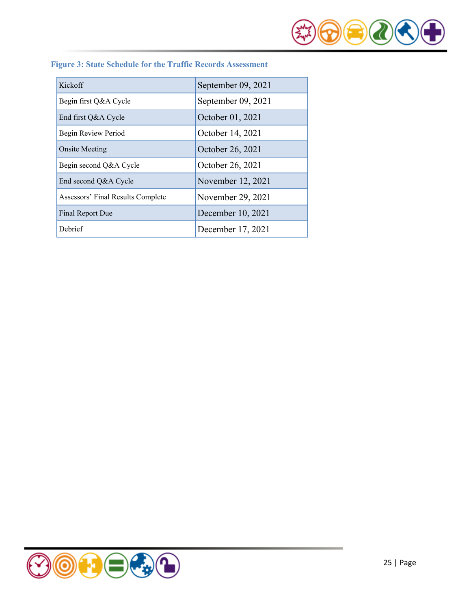

<span id="page-24-0"></span>

|  |  |  |  | <b>Figure 3: State Schedule for the Traffic Records Assessment</b> |
|--|--|--|--|--------------------------------------------------------------------|
|  |  |  |  |                                                                    |

| Kickoff                           | September 09, 2021 |
|-----------------------------------|--------------------|
| Begin first Q&A Cycle             | September 09, 2021 |
| End first Q&A Cycle               | October 01, 2021   |
| Begin Review Period               | October 14, 2021   |
| <b>Onsite Meeting</b>             | October 26, 2021   |
| Begin second Q&A Cycle            | October 26, 2021   |
| End second Q&A Cycle              | November 12, 2021  |
| Assessors' Final Results Complete | November 29, 2021  |
| Final Report Due                  | December 10, 2021  |
| Debrief                           | December 17, 2021  |

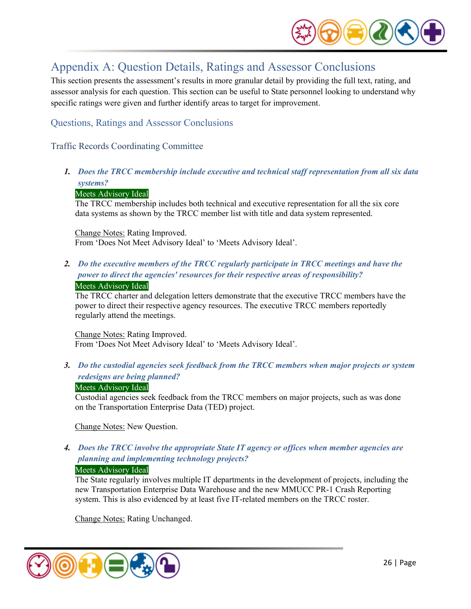

# <span id="page-25-0"></span>Appendix A: Question Details, Ratings and Assessor Conclusions

This section presents the assessment's results in more granular detail by providing the full text, rating, and assessor analysis for each question. This section can be useful to State personnel looking to understand why specific ratings were given and further identify areas to target for improvement.

# Questions, Ratings and Assessor Conclusions

# <span id="page-25-1"></span>Traffic Records Coordinating Committee

*1. Does the TRCC membership include executive and technical staff representation from all six data systems?* 

#### Meets Advisory Ideal

The TRCC membership includes both technical and executive representation for all the six core data systems as shown by the TRCC member list with title and data system represented.

Change Notes: Rating Improved. From 'Does Not Meet Advisory Ideal' to 'Meets Advisory Ideal'.

# *2. Do the executive members of the TRCC regularly participate in TRCC meetings and have the power to direct the agencies' resources for their respective areas of responsibility?*

#### Meets Advisory Ideal

The TRCC charter and delegation letters demonstrate that the executive TRCC members have the power to direct their respective agency resources. The executive TRCC members reportedly regularly attend the meetings.

Change Notes: Rating Improved. From 'Does Not Meet Advisory Ideal' to 'Meets Advisory Ideal'.

*3. Do the custodial agencies seek feedback from the TRCC members when major projects or system redesigns are being planned?* 

#### Meets Advisory Ideal

Custodial agencies seek feedback from the TRCC members on major projects, such as was done on the Transportation Enterprise Data (TED) project.

Change Notes: New Question.

# *4. Does the TRCC involve the appropriate State IT agency or offices when member agencies are planning and implementing technology projects?*

#### Meets Advisory Ideal

The State regularly involves multiple IT departments in the development of projects, including the new Transportation Enterprise Data Warehouse and the new MMUCC PR-1 Crash Reporting system. This is also evidenced by at least five IT-related members on the TRCC roster.

Change Notes: Rating Unchanged.

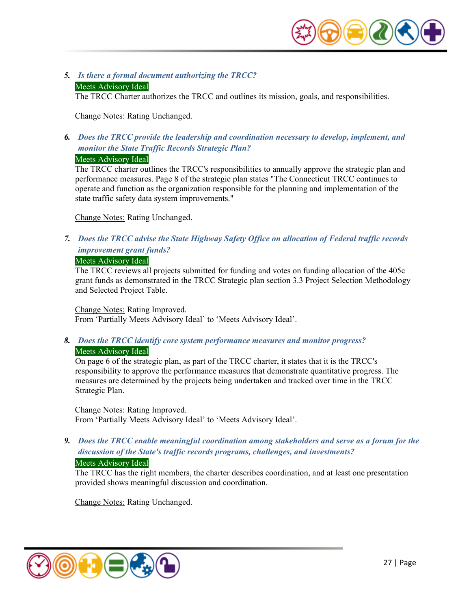

#### *5. Is there a formal document authorizing the TRCC?* Meets Advisory Ideal

The TRCC Charter authorizes the TRCC and outlines its mission, goals, and responsibilities.

Change Notes: Rating Unchanged.

*6. Does the TRCC provide the leadership and coordination necessary to develop, implement, and monitor the State Traffic Records Strategic Plan?* 

# Meets Advisory Ideal

The TRCC charter outlines the TRCC's responsibilities to annually approve the strategic plan and performance measures. Page 8 of the strategic plan states "The Connecticut TRCC continues to operate and function as the organization responsible for the planning and implementation of the state traffic safety data system improvements."

Change Notes: Rating Unchanged.

*7. Does the TRCC advise the State Highway Safety Office on allocation of Federal traffic records improvement grant funds?* 

#### Meets Advisory Ideal

The TRCC reviews all projects submitted for funding and votes on funding allocation of the 405c grant funds as demonstrated in the TRCC Strategic plan section 3.3 Project Selection Methodology and Selected Project Table.

Change Notes: Rating Improved. From 'Partially Meets Advisory Ideal' to 'Meets Advisory Ideal'.

*8. Does the TRCC identify core system performance measures and monitor progress?*  Meets Advisory Ideal

On page 6 of the strategic plan, as part of the TRCC charter, it states that it is the TRCC's responsibility to approve the performance measures that demonstrate quantitative progress. The measures are determined by the projects being undertaken and tracked over time in the TRCC Strategic Plan.

Change Notes: Rating Improved. From 'Partially Meets Advisory Ideal' to 'Meets Advisory Ideal'.

*9. Does the TRCC enable meaningful coordination among stakeholders and serve as a forum for the discussion of the State's traffic records programs, challenges, and investments?* 

# Meets Advisory Ideal

The TRCC has the right members, the charter describes coordination, and at least one presentation provided shows meaningful discussion and coordination.

Change Notes: Rating Unchanged.

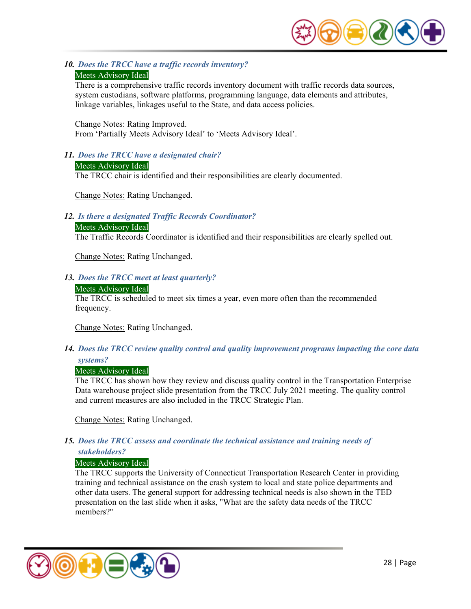

*10. Does the TRCC have a traffic records inventory?* 

# Meets Advisory Ideal

There is a comprehensive traffic records inventory document with traffic records data sources, system custodians, software platforms, programming language, data elements and attributes, linkage variables, linkages useful to the State, and data access policies.

Change Notes: Rating Improved. From 'Partially Meets Advisory Ideal' to 'Meets Advisory Ideal'.

#### *11. Does the TRCC have a designated chair?*

Meets Advisory Ideal The TRCC chair is identified and their responsibilities are clearly documented.

Change Notes: Rating Unchanged.

# *12. Is there a designated Traffic Records Coordinator?*

#### Meets Advisory Ideal

The Traffic Records Coordinator is identified and their responsibilities are clearly spelled out.

Change Notes: Rating Unchanged.

#### *13. Does the TRCC meet at least quarterly?*

#### Meets Advisory Ideal

The TRCC is scheduled to meet six times a year, even more often than the recommended frequency.

Change Notes: Rating Unchanged.

*14. Does the TRCC review quality control and quality improvement programs impacting the core data systems?* 

# Meets Advisory Ideal

The TRCC has shown how they review and discuss quality control in the Transportation Enterprise Data warehouse project slide presentation from the TRCC July 2021 meeting. The quality control and current measures are also included in the TRCC Strategic Plan.

Change Notes: Rating Unchanged.

# *15. Does the TRCC assess and coordinate the technical assistance and training needs of stakeholders?*

#### Meets Advisory Ideal

The TRCC supports the University of Connecticut Transportation Research Center in providing training and technical assistance on the crash system to local and state police departments and other data users. The general support for addressing technical needs is also shown in the TED presentation on the last slide when it asks, "What are the safety data needs of the TRCC members?"

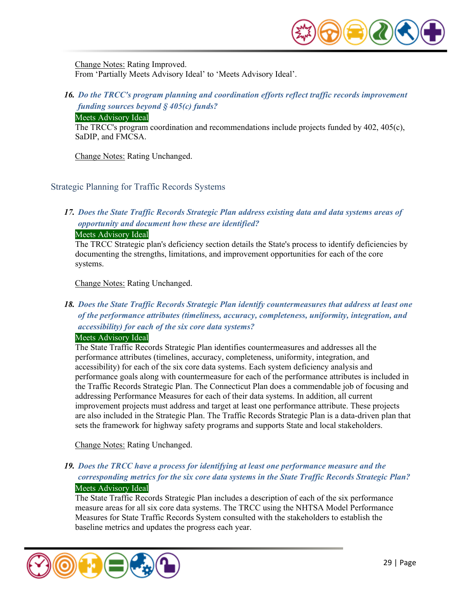

Change Notes: Rating Improved. From 'Partially Meets Advisory Ideal' to 'Meets Advisory Ideal'.

*16. Do the TRCC's program planning and coordination efforts reflect traffic records improvement funding sources beyond § 405(c) funds?* 

#### Meets Advisory Ideal

The TRCC's program coordination and recommendations include projects funded by 402, 405(c), SaDIP, and FMCSA.

Change Notes: Rating Unchanged.

#### <span id="page-28-0"></span>Strategic Planning for Traffic Records Systems

# *17. Does the State Traffic Records Strategic Plan address existing data and data systems areas of opportunity and document how these are identified?*

#### Meets Advisory Ideal

The TRCC Strategic plan's deficiency section details the State's process to identify deficiencies by documenting the strengths, limitations, and improvement opportunities for each of the core systems.

Change Notes: Rating Unchanged.

# *18. Does the State Traffic Records Strategic Plan identify countermeasures that address at least one of the performance attributes (timeliness, accuracy, completeness, uniformity, integration, and accessibility) for each of the six core data systems?*

#### Meets Advisory Ideal

The State Traffic Records Strategic Plan identifies countermeasures and addresses all the performance attributes (timelines, accuracy, completeness, uniformity, integration, and accessibility) for each of the six core data systems. Each system deficiency analysis and performance goals along with countermeasure for each of the performance attributes is included in the Traffic Records Strategic Plan. The Connecticut Plan does a commendable job of focusing and addressing Performance Measures for each of their data systems. In addition, all current improvement projects must address and target at least one performance attribute. These projects are also included in the Strategic Plan. The Traffic Records Strategic Plan is a data-driven plan that sets the framework for highway safety programs and supports State and local stakeholders.

Change Notes: Rating Unchanged.

# *19. Does the TRCC have a process for identifying at least one performance measure and the corresponding metrics for the six core data systems in the State Traffic Records Strategic Plan?*  Meets Advisory Ideal

The State Traffic Records Strategic Plan includes a description of each of the six performance measure areas for all six core data systems. The TRCC using the NHTSA Model Performance Measures for State Traffic Records System consulted with the stakeholders to establish the baseline metrics and updates the progress each year.

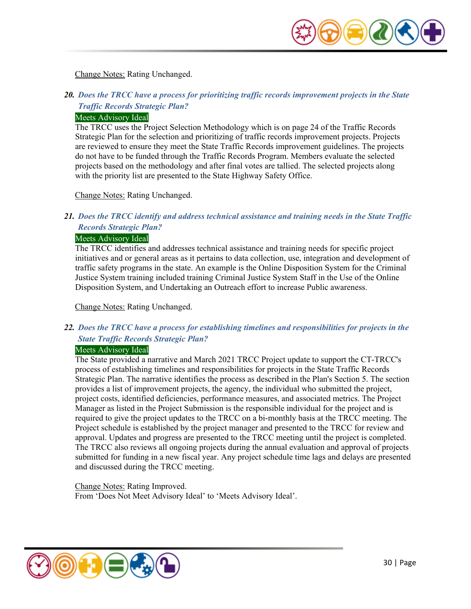

Change Notes: Rating Unchanged.

# *20. Does the TRCC have a process for prioritizing traffic records improvement projects in the State Traffic Records Strategic Plan?*

#### Meets Advisory Ideal

The TRCC uses the Project Selection Methodology which is on page 24 of the Traffic Records Strategic Plan for the selection and prioritizing of traffic records improvement projects. Projects are reviewed to ensure they meet the State Traffic Records improvement guidelines. The projects do not have to be funded through the Traffic Records Program. Members evaluate the selected projects based on the methodology and after final votes are tallied. The selected projects along with the priority list are presented to the State Highway Safety Office.

Change Notes: Rating Unchanged.

# *21. Does the TRCC identify and address technical assistance and training needs in the State Traffic Records Strategic Plan?*

#### Meets Advisory Ideal

The TRCC identifies and addresses technical assistance and training needs for specific project initiatives and or general areas as it pertains to data collection, use, integration and development of traffic safety programs in the state. An example is the Online Disposition System for the Criminal Justice System training included training Criminal Justice System Staff in the Use of the Online Disposition System, and Undertaking an Outreach effort to increase Public awareness.

Change Notes: Rating Unchanged.

# *22. Does the TRCC have a process for establishing timelines and responsibilities for projects in the State Traffic Records Strategic Plan?*

#### Meets Advisory Ideal

The State provided a narrative and March 2021 TRCC Project update to support the CT-TRCC's process of establishing timelines and responsibilities for projects in the State Traffic Records Strategic Plan. The narrative identifies the process as described in the Plan's Section 5. The section provides a list of improvement projects, the agency, the individual who submitted the project, project costs, identified deficiencies, performance measures, and associated metrics. The Project Manager as listed in the Project Submission is the responsible individual for the project and is required to give the project updates to the TRCC on a bi-monthly basis at the TRCC meeting. The Project schedule is established by the project manager and presented to the TRCC for review and approval. Updates and progress are presented to the TRCC meeting until the project is completed. The TRCC also reviews all ongoing projects during the annual evaluation and approval of projects submitted for funding in a new fiscal year. Any project schedule time lags and delays are presented and discussed during the TRCC meeting.

Change Notes: Rating Improved. From 'Does Not Meet Advisory Ideal' to 'Meets Advisory Ideal'.

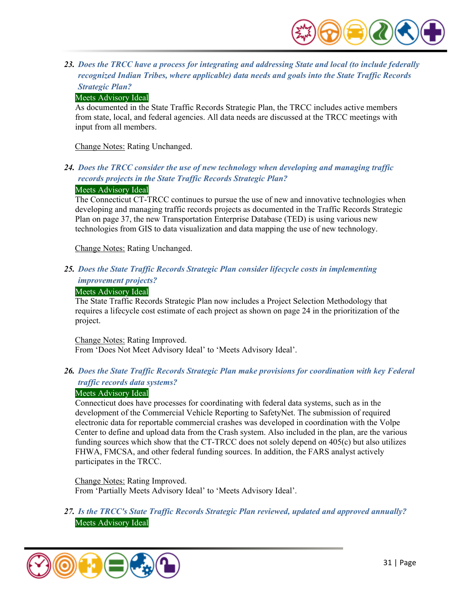

*23. Does the TRCC have a process for integrating and addressing State and local (to include federally recognized Indian Tribes, where applicable) data needs and goals into the State Traffic Records Strategic Plan?* 

#### Meets Advisory Ideal

As documented in the State Traffic Records Strategic Plan, the TRCC includes active members from state, local, and federal agencies. All data needs are discussed at the TRCC meetings with input from all members.

Change Notes: Rating Unchanged.

*24. Does the TRCC consider the use of new technology when developing and managing traffic records projects in the State Traffic Records Strategic Plan?* 

#### Meets Advisory Ideal

The Connecticut CT-TRCC continues to pursue the use of new and innovative technologies when developing and managing traffic records projects as documented in the Traffic Records Strategic Plan on page 37, the new Transportation Enterprise Database (TED) is using various new technologies from GIS to data visualization and data mapping the use of new technology.

Change Notes: Rating Unchanged.

*25. Does the State Traffic Records Strategic Plan consider lifecycle costs in implementing improvement projects?* 

#### Meets Advisory Ideal

The State Traffic Records Strategic Plan now includes a Project Selection Methodology that requires a lifecycle cost estimate of each project as shown on page 24 in the prioritization of the project.

Change Notes: Rating Improved. From 'Does Not Meet Advisory Ideal' to 'Meets Advisory Ideal'.

*26. Does the State Traffic Records Strategic Plan make provisions for coordination with key Federal traffic records data systems?* 

#### Meets Advisory Ideal

Connecticut does have processes for coordinating with federal data systems, such as in the development of the Commercial Vehicle Reporting to SafetyNet. The submission of required electronic data for reportable commercial crashes was developed in coordination with the Volpe Center to define and upload data from the Crash system. Also included in the plan, are the various funding sources which show that the CT-TRCC does not solely depend on 405(c) but also utilizes FHWA, FMCSA, and other federal funding sources. In addition, the FARS analyst actively participates in the TRCC.

Change Notes: Rating Improved. From 'Partially Meets Advisory Ideal' to 'Meets Advisory Ideal'.

*27. Is the TRCC's State Traffic Records Strategic Plan reviewed, updated and approved annually?*  Meets Advisory Ideal

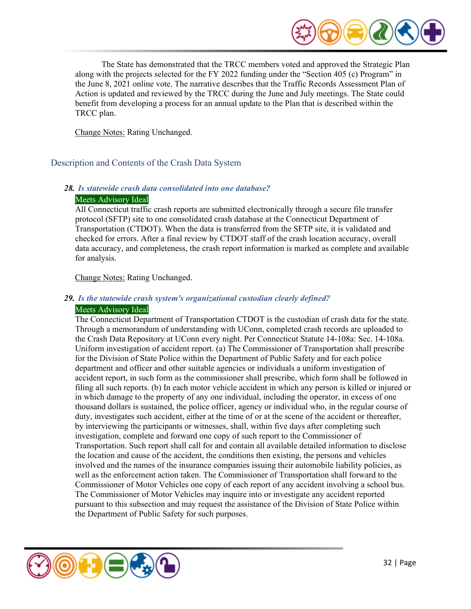

The State has demonstrated that the TRCC members voted and approved the Strategic Plan along with the projects selected for the FY 2022 funding under the "Section 405 (c) Program" in the June 8, 2021 online vote. The narrative describes that the Traffic Records Assessment Plan of Action is updated and reviewed by the TRCC during the June and July meetings. The State could benefit from developing a process for an annual update to the Plan that is described within the TRCC plan.

Change Notes: Rating Unchanged.

<span id="page-31-0"></span>Description and Contents of the Crash Data System

#### *28. Is statewide crash data consolidated into one database?*  Meets Advisory Ideal

All Connecticut traffic crash reports are submitted electronically through a secure file transfer protocol (SFTP) site to one consolidated crash database at the Connecticut Department of Transportation (CTDOT). When the data is transferred from the SFTP site, it is validated and checked for errors. After a final review by CTDOT staff of the crash location accuracy, overall data accuracy, and completeness, the crash report information is marked as complete and available for analysis.

Change Notes: Rating Unchanged.

# *29. Is the statewide crash system's organizational custodian clearly defined?*

# Meets Advisory Ideal

The Connecticut Department of Transportation CTDOT is the custodian of crash data for the state. Through a memorandum of understanding with UConn, completed crash records are uploaded to the Crash Data Repository at UConn every night. Per Connecticut Statute 14-108a: Sec. 14-108a. Uniform investigation of accident report. (a) The Commissioner of Transportation shall prescribe for the Division of State Police within the Department of Public Safety and for each police department and officer and other suitable agencies or individuals a uniform investigation of accident report, in such form as the commissioner shall prescribe, which form shall be followed in filing all such reports. (b) In each motor vehicle accident in which any person is killed or injured or in which damage to the property of any one individual, including the operator, in excess of one thousand dollars is sustained, the police officer, agency or individual who, in the regular course of duty, investigates such accident, either at the time of or at the scene of the accident or thereafter, by interviewing the participants or witnesses, shall, within five days after completing such investigation, complete and forward one copy of such report to the Commissioner of Transportation. Such report shall call for and contain all available detailed information to disclose the location and cause of the accident, the conditions then existing, the persons and vehicles involved and the names of the insurance companies issuing their automobile liability policies, as well as the enforcement action taken. The Commissioner of Transportation shall forward to the Commissioner of Motor Vehicles one copy of each report of any accident involving a school bus. The Commissioner of Motor Vehicles may inquire into or investigate any accident reported pursuant to this subsection and may request the assistance of the Division of State Police within the Department of Public Safety for such purposes.

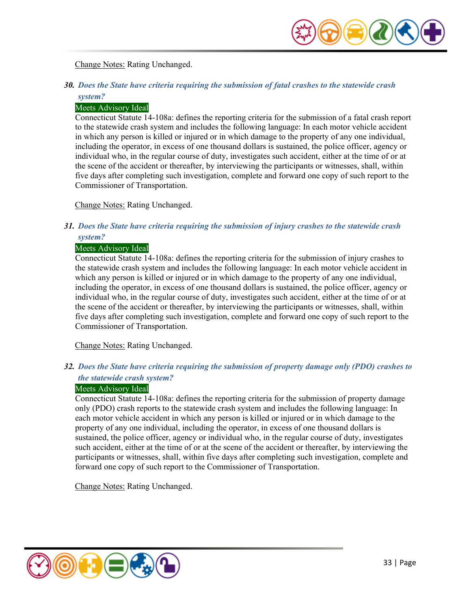

Change Notes: Rating Unchanged.

# *30. Does the State have criteria requiring the submission of fatal crashes to the statewide crash system?*

#### Meets Advisory Ideal

Connecticut Statute 14-108a: defines the reporting criteria for the submission of a fatal crash report to the statewide crash system and includes the following language: In each motor vehicle accident in which any person is killed or injured or in which damage to the property of any one individual, including the operator, in excess of one thousand dollars is sustained, the police officer, agency or individual who, in the regular course of duty, investigates such accident, either at the time of or at the scene of the accident or thereafter, by interviewing the participants or witnesses, shall, within five days after completing such investigation, complete and forward one copy of such report to the Commissioner of Transportation.

Change Notes: Rating Unchanged.

# *31. Does the State have criteria requiring the submission of injury crashes to the statewide crash system?*

#### Meets Advisory Ideal

Connecticut Statute 14-108a: defines the reporting criteria for the submission of injury crashes to the statewide crash system and includes the following language: In each motor vehicle accident in which any person is killed or injured or in which damage to the property of any one individual, including the operator, in excess of one thousand dollars is sustained, the police officer, agency or individual who, in the regular course of duty, investigates such accident, either at the time of or at the scene of the accident or thereafter, by interviewing the participants or witnesses, shall, within five days after completing such investigation, complete and forward one copy of such report to the Commissioner of Transportation.

Change Notes: Rating Unchanged.

# *32. Does the State have criteria requiring the submission of property damage only (PDO) crashes to the statewide crash system?*

#### Meets Advisory Ideal

Connecticut Statute 14-108a: defines the reporting criteria for the submission of property damage only (PDO) crash reports to the statewide crash system and includes the following language: In each motor vehicle accident in which any person is killed or injured or in which damage to the property of any one individual, including the operator, in excess of one thousand dollars is sustained, the police officer, agency or individual who, in the regular course of duty, investigates such accident, either at the time of or at the scene of the accident or thereafter, by interviewing the participants or witnesses, shall, within five days after completing such investigation, complete and forward one copy of such report to the Commissioner of Transportation.

Change Notes: Rating Unchanged.

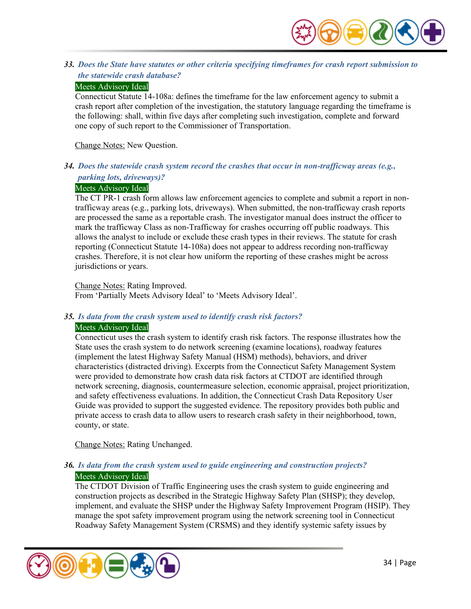

*33. Does the State have statutes or other criteria specifying timeframes for crash report submission to the statewide crash database?* 

#### Meets Advisory Ideal

Connecticut Statute 14-108a: defines the timeframe for the law enforcement agency to submit a crash report after completion of the investigation, the statutory language regarding the timeframe is the following: shall, within five days after completing such investigation, complete and forward one copy of such report to the Commissioner of Transportation.

Change Notes: New Question.

*34. Does the statewide crash system record the crashes that occur in non-trafficway areas (e.g., parking lots, driveways)?* 

#### Meets Advisory Ideal

The CT PR-1 crash form allows law enforcement agencies to complete and submit a report in nontrafficway areas (e.g., parking lots, driveways). When submitted, the non-trafficway crash reports are processed the same as a reportable crash. The investigator manual does instruct the officer to mark the trafficway Class as non-Trafficway for crashes occurring off public roadways. This allows the analyst to include or exclude these crash types in their reviews. The statute for crash reporting (Connecticut Statute 14-108a) does not appear to address recording non-trafficway crashes. Therefore, it is not clear how uniform the reporting of these crashes might be across jurisdictions or years.

Change Notes: Rating Improved.

From 'Partially Meets Advisory Ideal' to 'Meets Advisory Ideal'.

#### *35. Is data from the crash system used to identify crash risk factors?*

#### Meets Advisory Ideal

Connecticut uses the crash system to identify crash risk factors. The response illustrates how the State uses the crash system to do network screening (examine locations), roadway features (implement the latest Highway Safety Manual (HSM) methods), behaviors, and driver characteristics (distracted driving). Excerpts from the Connecticut Safety Management System were provided to demonstrate how crash data risk factors at CTDOT are identified through network screening, diagnosis, countermeasure selection, economic appraisal, project prioritization, and safety effectiveness evaluations. In addition, the Connecticut Crash Data Repository User Guide was provided to support the suggested evidence. The repository provides both public and private access to crash data to allow users to research crash safety in their neighborhood, town, county, or state.

Change Notes: Rating Unchanged.

#### *36. Is data from the crash system used to guide engineering and construction projects?*  Meets Advisory Ideal

The CTDOT Division of Traffic Engineering uses the crash system to guide engineering and construction projects as described in the Strategic Highway Safety Plan (SHSP); they develop, implement, and evaluate the SHSP under the Highway Safety Improvement Program (HSIP). They manage the spot safety improvement program using the network screening tool in Connecticut Roadway Safety Management System (CRSMS) and they identify systemic safety issues by

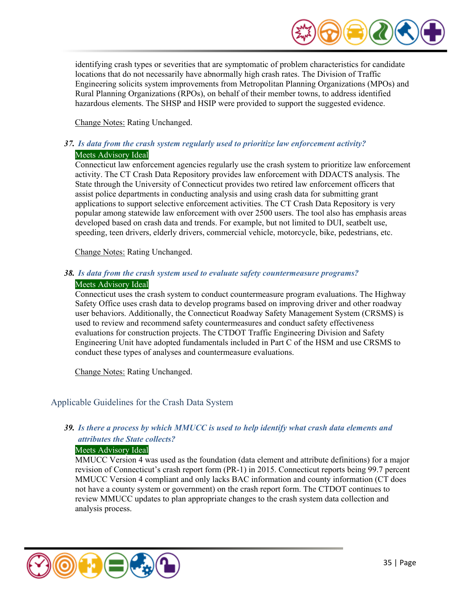

identifying crash types or severities that are symptomatic of problem characteristics for candidate locations that do not necessarily have abnormally high crash rates. The Division of Traffic Engineering solicits system improvements from Metropolitan Planning Organizations (MPOs) and Rural Planning Organizations (RPOs), on behalf of their member towns, to address identified hazardous elements. The SHSP and HSIP were provided to support the suggested evidence.

Change Notes: Rating Unchanged.

# *37. Is data from the crash system regularly used to prioritize law enforcement activity?*  Meets Advisory Ideal

Connecticut law enforcement agencies regularly use the crash system to prioritize law enforcement activity. The CT Crash Data Repository provides law enforcement with DDACTS analysis. The State through the University of Connecticut provides two retired law enforcement officers that assist police departments in conducting analysis and using crash data for submitting grant applications to support selective enforcement activities. The CT Crash Data Repository is very popular among statewide law enforcement with over 2500 users. The tool also has emphasis areas developed based on crash data and trends. For example, but not limited to DUI, seatbelt use, speeding, teen drivers, elderly drivers, commercial vehicle, motorcycle, bike, pedestrians, etc.

Change Notes: Rating Unchanged.

#### *38. Is data from the crash system used to evaluate safety countermeasure programs?*  Meets Advisory Ideal

#### Connecticut uses the crash system to conduct countermeasure program evaluations. The Highway Safety Office uses crash data to develop programs based on improving driver and other roadway user behaviors. Additionally, the Connecticut Roadway Safety Management System (CRSMS) is used to review and recommend safety countermeasures and conduct safety effectiveness evaluations for construction projects. The CTDOT Traffic Engineering Division and Safety Engineering Unit have adopted fundamentals included in Part C of the HSM and use CRSMS to conduct these types of analyses and countermeasure evaluations.

Change Notes: Rating Unchanged.

<span id="page-34-0"></span>Applicable Guidelines for the Crash Data System

# *39. Is there a process by which MMUCC is used to help identify what crash data elements and attributes the State collects?*

#### Meets Advisory Ideal

MMUCC Version 4 was used as the foundation (data element and attribute definitions) for a major revision of Connecticut's crash report form (PR-1) in 2015. Connecticut reports being 99.7 percent MMUCC Version 4 compliant and only lacks BAC information and county information (CT does not have a county system or government) on the crash report form. The CTDOT continues to review MMUCC updates to plan appropriate changes to the crash system data collection and analysis process.

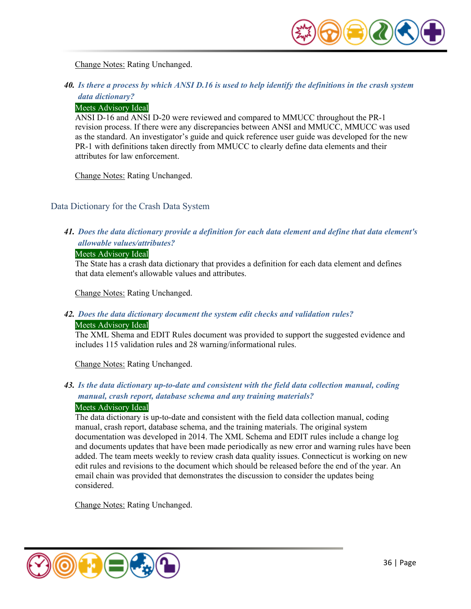

Change Notes: Rating Unchanged.

# *40. Is there a process by which ANSI D.16 is used to help identify the definitions in the crash system data dictionary?*

#### Meets Advisory Ideal

ANSI D-16 and ANSI D-20 were reviewed and compared to MMUCC throughout the PR-1 revision process. If there were any discrepancies between ANSI and MMUCC, MMUCC was used as the standard. An investigator's guide and quick reference user guide was developed for the new PR-1 with definitions taken directly from MMUCC to clearly define data elements and their attributes for law enforcement.

Change Notes: Rating Unchanged.

# <span id="page-35-0"></span>Data Dictionary for the Crash Data System

# *41. Does the data dictionary provide a definition for each data element and define that data element's allowable values/attributes?*

#### Meets Advisory Ideal

The State has a crash data dictionary that provides a definition for each data element and defines that data element's allowable values and attributes.

Change Notes: Rating Unchanged.

#### *42. Does the data dictionary document the system edit checks and validation rules?*

#### Meets Advisory Ideal

The XML Shema and EDIT Rules document was provided to support the suggested evidence and includes 115 validation rules and 28 warning/informational rules.

Change Notes: Rating Unchanged.

# *43. Is the data dictionary up-to-date and consistent with the field data collection manual, coding manual, crash report, database schema and any training materials?*

#### Meets Advisory Ideal

The data dictionary is up-to-date and consistent with the field data collection manual, coding manual, crash report, database schema, and the training materials. The original system documentation was developed in 2014. The XML Schema and EDIT rules include a change log and documents updates that have been made periodically as new error and warning rules have been added. The team meets weekly to review crash data quality issues. Connecticut is working on new edit rules and revisions to the document which should be released before the end of the year. An email chain was provided that demonstrates the discussion to consider the updates being considered.

Change Notes: Rating Unchanged.

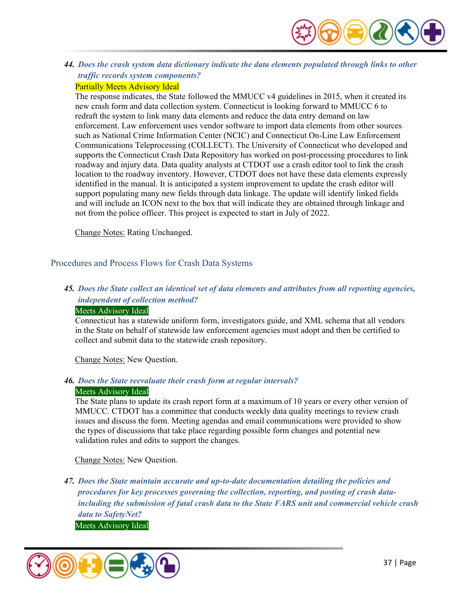

*44. Does the crash system data dictionary indicate the data elements populated through links to other traffic records system components?* 

# Partially Meets Advisory Ideal

The response indicates, the State followed the MMUCC v4 guidelines in 2015, when it created its new crash form and data collection system. Connecticut is looking forward to MMUCC 6 to redraft the system to link many data elements and reduce the data entry demand on law enforcement. Law enforcement uses vendor software to import data elements from other sources such as National Crime Information Center (NCIC) and Connecticut On-Line Law Enforcement Communications Teleprocessing (COLLECT). The University of Connecticut who developed and supports the Connecticut Crash Data Repository has worked on post-processing procedures to link roadway and injury data. Data quality analysts at CTDOT use a crash editor tool to link the crash location to the roadway inventory. However, CTDOT does not have these data elements expressly identified in the manual. It is anticipated a system improvement to update the crash editor will support populating many new fields through data linkage. The update will identify linked fields and will include an ICON next to the box that will indicate they are obtained through linkage and not from the police officer. This project is expected to start in July of 2022.

Change Notes: Rating Unchanged.

Procedures and Process Flows for Crash Data Systems

# *45. Does the State collect an identical set of data elements and attributes from all reporting agencies, independent of collection method?*

#### Meets Advisory Ideal

Connecticut has a statewide uniform form, investigators guide, and XML schema that all vendors in the State on behalf of statewide law enforcement agencies must adopt and then be certified to collect and submit data to the statewide crash repository.

Change Notes: New Question.

#### *46. Does the State reevaluate their crash form at regular intervals?*  Meets Advisory Ideal

The State plans to update its crash report form at a maximum of 10 years or every other version of MMUCC. CTDOT has a committee that conducts weekly data quality meetings to review crash issues and discuss the form. Meeting agendas and email communications were provided to show the types of discussions that take place regarding possible form changes and potential new validation rules and edits to support the changes.

Change Notes: New Question.

*47. Does the State maintain accurate and up-to-date documentation detailing the policies and procedures for key processes governing the collection, reporting, and posting of crash dataincluding the submission of fatal crash data to the State FARS unit and commercial vehicle crash data to SafetyNet?* Meets Advisory Ideal

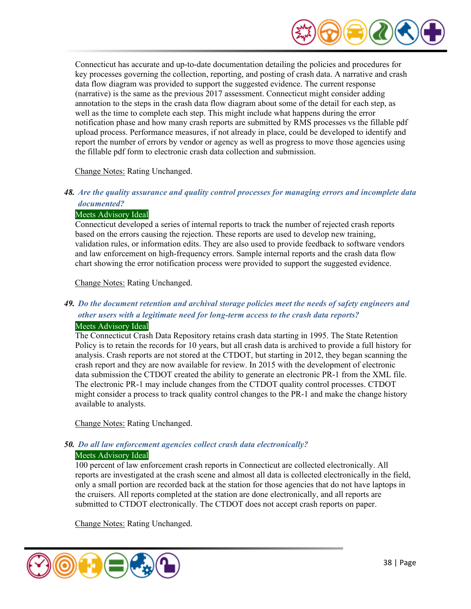

Connecticut has accurate and up-to-date documentation detailing the policies and procedures for key processes governing the collection, reporting, and posting of crash data. A narrative and crash data flow diagram was provided to support the suggested evidence. The current response (narrative) is the same as the previous 2017 assessment. Connecticut might consider adding annotation to the steps in the crash data flow diagram about some of the detail for each step, as well as the time to complete each step. This might include what happens during the error notification phase and how many crash reports are submitted by RMS processes vs the fillable pdf upload process. Performance measures, if not already in place, could be developed to identify and report the number of errors by vendor or agency as well as progress to move those agencies using the fillable pdf form to electronic crash data collection and submission.

#### Change Notes: Rating Unchanged.

## *48. Are the quality assurance and quality control processes for managing errors and incomplete data documented?*

#### Meets Advisory Ideal

Connecticut developed a series of internal reports to track the number of rejected crash reports based on the errors causing the rejection. These reports are used to develop new training, validation rules, or information edits. They are also used to provide feedback to software vendors and law enforcement on high-frequency errors. Sample internal reports and the crash data flow chart showing the error notification process were provided to support the suggested evidence.

#### Change Notes: Rating Unchanged.

# *49. Do the document retention and archival storage policies meet the needs of safety engineers and other users with a legitimate need for long-term access to the crash data reports?*  Meets Advisory Ideal

The Connecticut Crash Data Repository retains crash data starting in 1995. The State Retention Policy is to retain the records for 10 years, but all crash data is archived to provide a full history for analysis. Crash reports are not stored at the CTDOT, but starting in 2012, they began scanning the crash report and they are now available for review. In 2015 with the development of electronic data submission the CTDOT created the ability to generate an electronic PR-1 from the XML file. The electronic PR-1 may include changes from the CTDOT quality control processes. CTDOT might consider a process to track quality control changes to the PR-1 and make the change history available to analysts.

Change Notes: Rating Unchanged.

# *50. Do all law enforcement agencies collect crash data electronically?*

#### Meets Advisory Ideal

100 percent of law enforcement crash reports in Connecticut are collected electronically. All reports are investigated at the crash scene and almost all data is collected electronically in the field, only a small portion are recorded back at the station for those agencies that do not have laptops in the cruisers. All reports completed at the station are done electronically, and all reports are submitted to CTDOT electronically. The CTDOT does not accept crash reports on paper.

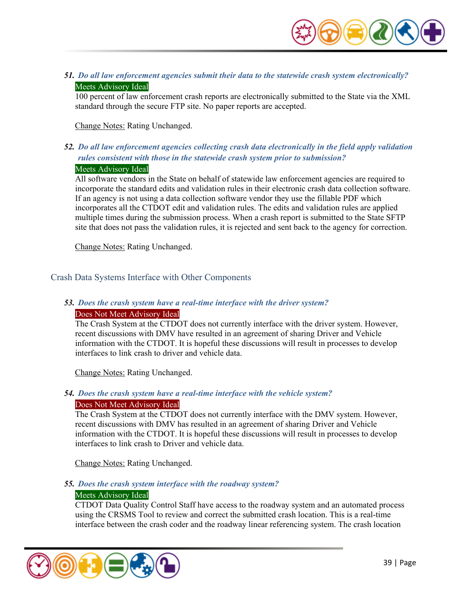

*51. Do all law enforcement agencies submit their data to the statewide crash system electronically?*  Meets Advisory Ideal

100 percent of law enforcement crash reports are electronically submitted to the State via the XML standard through the secure FTP site. No paper reports are accepted.

Change Notes: Rating Unchanged.

# *52. Do all law enforcement agencies collecting crash data electronically in the field apply validation rules consistent with those in the statewide crash system prior to submission?*  Meets Advisory Ideal

All software vendors in the State on behalf of statewide law enforcement agencies are required to incorporate the standard edits and validation rules in their electronic crash data collection software. If an agency is not using a data collection software vendor they use the fillable PDF which incorporates all the CTDOT edit and validation rules. The edits and validation rules are applied multiple times during the submission process. When a crash report is submitted to the State SFTP site that does not pass the validation rules, it is rejected and sent back to the agency for correction.

Change Notes: Rating Unchanged.

Crash Data Systems Interface with Other Components

#### *53. Does the crash system have a real-time interface with the driver system?*  Does Not Meet Advisory Ideal

The Crash System at the CTDOT does not currently interface with the driver system. However, recent discussions with DMV have resulted in an agreement of sharing Driver and Vehicle information with the CTDOT. It is hopeful these discussions will result in processes to develop interfaces to link crash to driver and vehicle data.

Change Notes: Rating Unchanged.

# *54. Does the crash system have a real-time interface with the vehicle system?*

#### Does Not Meet Advisory Ideal

The Crash System at the CTDOT does not currently interface with the DMV system. However, recent discussions with DMV has resulted in an agreement of sharing Driver and Vehicle information with the CTDOT. It is hopeful these discussions will result in processes to develop interfaces to link crash to Driver and vehicle data.

Change Notes: Rating Unchanged.

# *55. Does the crash system interface with the roadway system?*

#### Meets Advisory Ideal

CTDOT Data Quality Control Staff have access to the roadway system and an automated process using the CRSMS Tool to review and correct the submitted crash location. This is a real-time interface between the crash coder and the roadway linear referencing system. The crash location

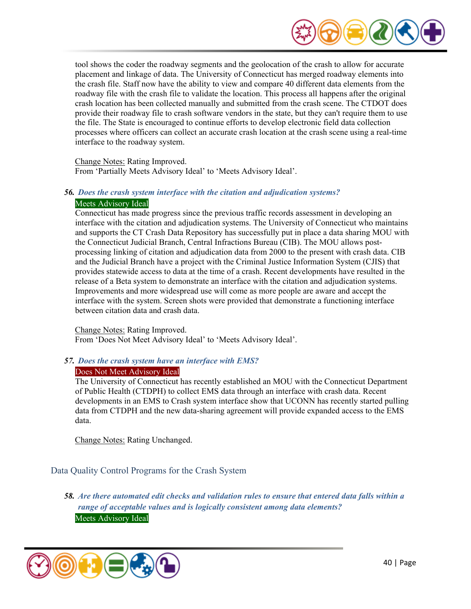

tool shows the coder the roadway segments and the geolocation of the crash to allow for accurate placement and linkage of data. The University of Connecticut has merged roadway elements into the crash file. Staff now have the ability to view and compare 40 different data elements from the roadway file with the crash file to validate the location. This process all happens after the original crash location has been collected manually and submitted from the crash scene. The CTDOT does provide their roadway file to crash software vendors in the state, but they can't require them to use the file. The State is encouraged to continue efforts to develop electronic field data collection processes where officers can collect an accurate crash location at the crash scene using a real-time interface to the roadway system.

Change Notes: Rating Improved. From 'Partially Meets Advisory Ideal' to 'Meets Advisory Ideal'.

### *56. Does the crash system interface with the citation and adjudication systems?*  Meets Advisory Ideal

Connecticut has made progress since the previous traffic records assessment in developing an interface with the citation and adjudication systems. The University of Connecticut who maintains and supports the CT Crash Data Repository has successfully put in place a data sharing MOU with the Connecticut Judicial Branch, Central Infractions Bureau (CIB). The MOU allows postprocessing linking of citation and adjudication data from 2000 to the present with crash data. CIB and the Judicial Branch have a project with the Criminal Justice Information System (CJIS) that provides statewide access to data at the time of a crash. Recent developments have resulted in the release of a Beta system to demonstrate an interface with the citation and adjudication systems. Improvements and more widespread use will come as more people are aware and accept the interface with the system. Screen shots were provided that demonstrate a functioning interface between citation data and crash data.

Change Notes: Rating Improved. From 'Does Not Meet Advisory Ideal' to 'Meets Advisory Ideal'.

# *57. Does the crash system have an interface with EMS?*

#### Does Not Meet Advisory Ideal

The University of Connecticut has recently established an MOU with the Connecticut Department of Public Health (CTDPH) to collect EMS data through an interface with crash data. Recent developments in an EMS to Crash system interface show that UCONN has recently started pulling data from CTDPH and the new data-sharing agreement will provide expanded access to the EMS data.

Change Notes: Rating Unchanged.

Data Quality Control Programs for the Crash System

*58. Are there automated edit checks and validation rules to ensure that entered data falls within a range of acceptable values and is logically consistent among data elements?*  Meets Advisory Ideal

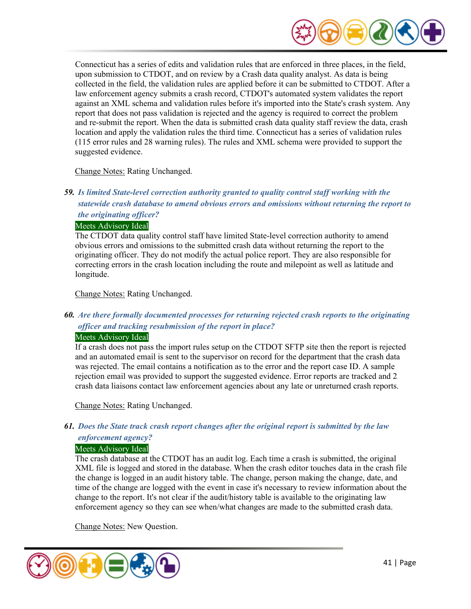

Connecticut has a series of edits and validation rules that are enforced in three places, in the field, upon submission to CTDOT, and on review by a Crash data quality analyst. As data is being collected in the field, the validation rules are applied before it can be submitted to CTDOT. After a law enforcement agency submits a crash record, CTDOT's automated system validates the report against an XML schema and validation rules before it's imported into the State's crash system. Any report that does not pass validation is rejected and the agency is required to correct the problem and re-submit the report. When the data is submitted crash data quality staff review the data, crash location and apply the validation rules the third time. Connecticut has a series of validation rules (115 error rules and 28 warning rules). The rules and XML schema were provided to support the suggested evidence.

Change Notes: Rating Unchanged.

# *59. Is limited State-level correction authority granted to quality control staff working with the statewide crash database to amend obvious errors and omissions without returning the report to the originating officer?*

#### Meets Advisory Ideal

The CTDOT data quality control staff have limited State-level correction authority to amend obvious errors and omissions to the submitted crash data without returning the report to the originating officer. They do not modify the actual police report. They are also responsible for correcting errors in the crash location including the route and milepoint as well as latitude and longitude.

Change Notes: Rating Unchanged.

# *60. Are there formally documented processes for returning rejected crash reports to the originating officer and tracking resubmission of the report in place?*

#### Meets Advisory Ideal

If a crash does not pass the import rules setup on the CTDOT SFTP site then the report is rejected and an automated email is sent to the supervisor on record for the department that the crash data was rejected. The email contains a notification as to the error and the report case ID. A sample rejection email was provided to support the suggested evidence. Error reports are tracked and 2 crash data liaisons contact law enforcement agencies about any late or unreturned crash reports.

Change Notes: Rating Unchanged.

# *61. Does the State track crash report changes after the original report is submitted by the law*

#### *enforcement agency?*

#### Meets Advisory Ideal

The crash database at the CTDOT has an audit log. Each time a crash is submitted, the original XML file is logged and stored in the database. When the crash editor touches data in the crash file the change is logged in an audit history table. The change, person making the change, date, and time of the change are logged with the event in case it's necessary to review information about the change to the report. It's not clear if the audit/history table is available to the originating law enforcement agency so they can see when/what changes are made to the submitted crash data.

Change Notes: New Question.

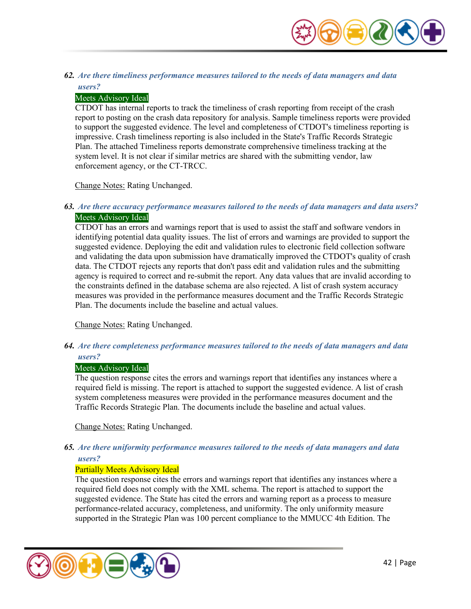

#### *62. Are there timeliness performance measures tailored to the needs of data managers and data users?*

#### Meets Advisory Ideal

CTDOT has internal reports to track the timeliness of crash reporting from receipt of the crash report to posting on the crash data repository for analysis. Sample timeliness reports were provided to support the suggested evidence. The level and completeness of CTDOT's timeliness reporting is impressive. Crash timeliness reporting is also included in the State's Traffic Records Strategic Plan. The attached Timeliness reports demonstrate comprehensive timeliness tracking at the system level. It is not clear if similar metrics are shared with the submitting vendor, law enforcement agency, or the CT-TRCC.

Change Notes: Rating Unchanged.

#### *63. Are there accuracy performance measures tailored to the needs of data managers and data users?*  Meets Advisory Ideal

CTDOT has an errors and warnings report that is used to assist the staff and software vendors in identifying potential data quality issues. The list of errors and warnings are provided to support the suggested evidence. Deploying the edit and validation rules to electronic field collection software and validating the data upon submission have dramatically improved the CTDOT's quality of crash data. The CTDOT rejects any reports that don't pass edit and validation rules and the submitting agency is required to correct and re-submit the report. Any data values that are invalid according to the constraints defined in the database schema are also rejected. A list of crash system accuracy measures was provided in the performance measures document and the Traffic Records Strategic Plan. The documents include the baseline and actual values.

Change Notes: Rating Unchanged.

*64. Are there completeness performance measures tailored to the needs of data managers and data users?* 

#### Meets Advisory Ideal

The question response cites the errors and warnings report that identifies any instances where a required field is missing. The report is attached to support the suggested evidence. A list of crash system completeness measures were provided in the performance measures document and the Traffic Records Strategic Plan. The documents include the baseline and actual values.

Change Notes: Rating Unchanged.

#### *65. Are there uniformity performance measures tailored to the needs of data managers and data users?*

#### Partially Meets Advisory Ideal

The question response cites the errors and warnings report that identifies any instances where a required field does not comply with the XML schema. The report is attached to support the suggested evidence. The State has cited the errors and warning report as a process to measure performance-related accuracy, completeness, and uniformity. The only uniformity measure supported in the Strategic Plan was 100 percent compliance to the MMUCC 4th Edition. The

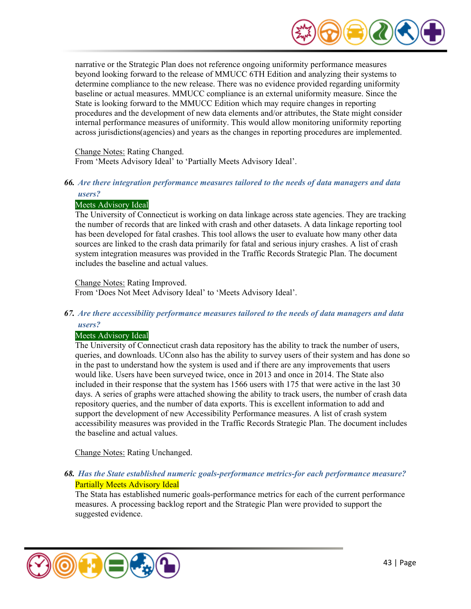

narrative or the Strategic Plan does not reference ongoing uniformity performance measures beyond looking forward to the release of MMUCC 6TH Edition and analyzing their systems to determine compliance to the new release. There was no evidence provided regarding uniformity baseline or actual measures. MMUCC compliance is an external uniformity measure. Since the State is looking forward to the MMUCC Edition which may require changes in reporting procedures and the development of new data elements and/or attributes, the State might consider internal performance measures of uniformity. This would allow monitoring uniformity reporting across jurisdictions(agencies) and years as the changes in reporting procedures are implemented.

Change Notes: Rating Changed.

From 'Meets Advisory Ideal' to 'Partially Meets Advisory Ideal'.

# *66. Are there integration performance measures tailored to the needs of data managers and data*

# *users?*

#### Meets Advisory Ideal

The University of Connecticut is working on data linkage across state agencies. They are tracking the number of records that are linked with crash and other datasets. A data linkage reporting tool has been developed for fatal crashes. This tool allows the user to evaluate how many other data sources are linked to the crash data primarily for fatal and serious injury crashes. A list of crash system integration measures was provided in the Traffic Records Strategic Plan. The document includes the baseline and actual values.

Change Notes: Rating Improved.

From 'Does Not Meet Advisory Ideal' to 'Meets Advisory Ideal'.

# *67. Are there accessibility performance measures tailored to the needs of data managers and data users?*

# Meets Advisory Ideal

The University of Connecticut crash data repository has the ability to track the number of users, queries, and downloads. UConn also has the ability to survey users of their system and has done so in the past to understand how the system is used and if there are any improvements that users would like. Users have been surveyed twice, once in 2013 and once in 2014. The State also included in their response that the system has 1566 users with 175 that were active in the last 30 days. A series of graphs were attached showing the ability to track users, the number of crash data repository queries, and the number of data exports. This is excellent information to add and support the development of new Accessibility Performance measures. A list of crash system accessibility measures was provided in the Traffic Records Strategic Plan. The document includes the baseline and actual values.

Change Notes: Rating Unchanged.

# *68. Has the State established numeric goals-performance metrics-for each performance measure?*  Partially Meets Advisory Ideal

The Stata has established numeric goals-performance metrics for each of the current performance measures. A processing backlog report and the Strategic Plan were provided to support the suggested evidence.

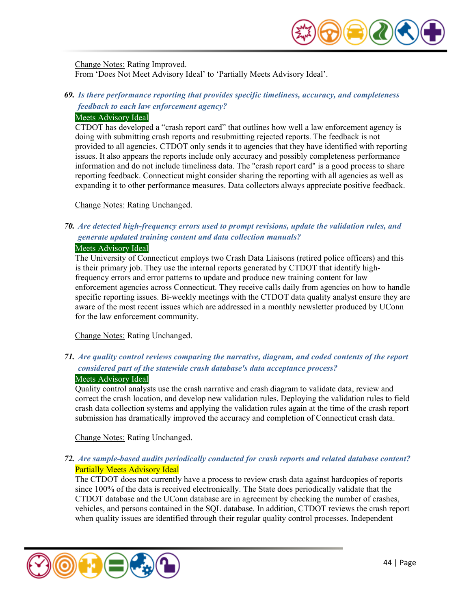

Change Notes: Rating Improved. From 'Does Not Meet Advisory Ideal' to 'Partially Meets Advisory Ideal'.

# *69. Is there performance reporting that provides specific timeliness, accuracy, and completeness feedback to each law enforcement agency?*

#### Meets Advisory Ideal

CTDOT has developed a "crash report card" that outlines how well a law enforcement agency is doing with submitting crash reports and resubmitting rejected reports. The feedback is not provided to all agencies. CTDOT only sends it to agencies that they have identified with reporting issues. It also appears the reports include only accuracy and possibly completeness performance information and do not include timeliness data. The "crash report card" is a good process to share reporting feedback. Connecticut might consider sharing the reporting with all agencies as well as expanding it to other performance measures. Data collectors always appreciate positive feedback.

Change Notes: Rating Unchanged.

# *70. Are detected high-frequency errors used to prompt revisions, update the validation rules, and generate updated training content and data collection manuals?*

#### Meets Advisory Ideal

The University of Connecticut employs two Crash Data Liaisons (retired police officers) and this is their primary job. They use the internal reports generated by CTDOT that identify highfrequency errors and error patterns to update and produce new training content for law enforcement agencies across Connecticut. They receive calls daily from agencies on how to handle specific reporting issues. Bi-weekly meetings with the CTDOT data quality analyst ensure they are aware of the most recent issues which are addressed in a monthly newsletter produced by UConn for the law enforcement community.

Change Notes: Rating Unchanged.

# *71. Are quality control reviews comparing the narrative, diagram, and coded contents of the report considered part of the statewide crash database's data acceptance process?*  Meets Advisory Ideal

Quality control analysts use the crash narrative and crash diagram to validate data, review and correct the crash location, and develop new validation rules. Deploying the validation rules to field crash data collection systems and applying the validation rules again at the time of the crash report submission has dramatically improved the accuracy and completion of Connecticut crash data.

Change Notes: Rating Unchanged.

# *72. Are sample-based audits periodically conducted for crash reports and related database content?*  Partially Meets Advisory Ideal

The CTDOT does not currently have a process to review crash data against hardcopies of reports since 100% of the data is received electronically. The State does periodically validate that the CTDOT database and the UConn database are in agreement by checking the number of crashes, vehicles, and persons contained in the SQL database. In addition, CTDOT reviews the crash report when quality issues are identified through their regular quality control processes. Independent

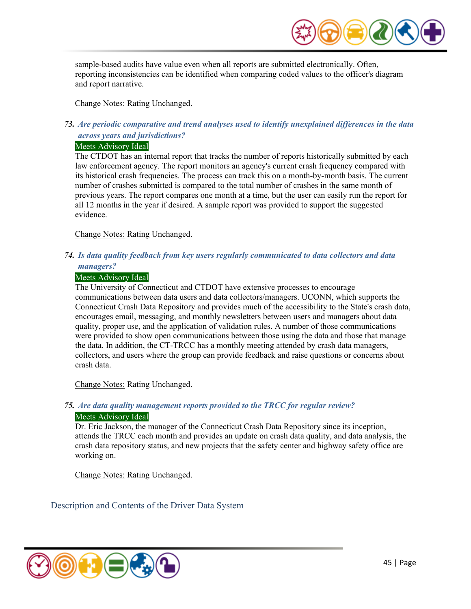

sample-based audits have value even when all reports are submitted electronically. Often, reporting inconsistencies can be identified when comparing coded values to the officer's diagram and report narrative.

Change Notes: Rating Unchanged.

# *73. Are periodic comparative and trend analyses used to identify unexplained differences in the data across years and jurisdictions?*

#### Meets Advisory Ideal

The CTDOT has an internal report that tracks the number of reports historically submitted by each law enforcement agency. The report monitors an agency's current crash frequency compared with its historical crash frequencies. The process can track this on a month-by-month basis. The current number of crashes submitted is compared to the total number of crashes in the same month of previous years. The report compares one month at a time, but the user can easily run the report for all 12 months in the year if desired. A sample report was provided to support the suggested evidence.

Change Notes: Rating Unchanged.

# *74. Is data quality feedback from key users regularly communicated to data collectors and data managers?*

#### Meets Advisory Ideal

The University of Connecticut and CTDOT have extensive processes to encourage communications between data users and data collectors/managers. UCONN, which supports the Connecticut Crash Data Repository and provides much of the accessibility to the State's crash data, encourages email, messaging, and monthly newsletters between users and managers about data quality, proper use, and the application of validation rules. A number of those communications were provided to show open communications between those using the data and those that manage the data. In addition, the CT-TRCC has a monthly meeting attended by crash data managers, collectors, and users where the group can provide feedback and raise questions or concerns about crash data.

Change Notes: Rating Unchanged.

# *75. Are data quality management reports provided to the TRCC for regular review?*  Meets Advisory Ideal

Dr. Eric Jackson, the manager of the Connecticut Crash Data Repository since its inception, attends the TRCC each month and provides an update on crash data quality, and data analysis, the crash data repository status, and new projects that the safety center and highway safety office are working on.

Change Notes: Rating Unchanged.

Description and Contents of the Driver Data System

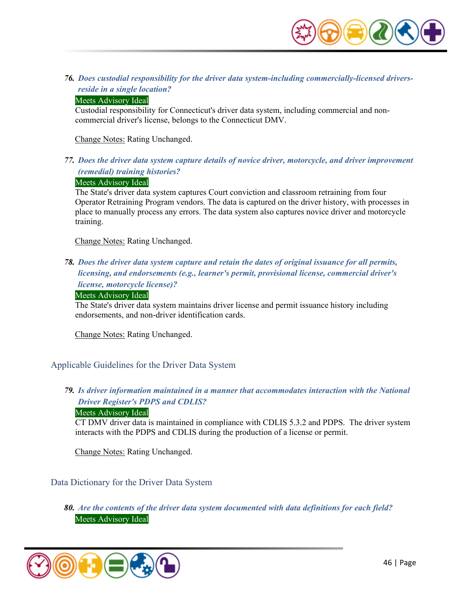

*76. Does custodial responsibility for the driver data system-including commercially-licensed driversreside in a single location?* 

#### Meets Advisory Ideal

Custodial responsibility for Connecticut's driver data system, including commercial and noncommercial driver's license, belongs to the Connecticut DMV.

Change Notes: Rating Unchanged.

*77. Does the driver data system capture details of novice driver, motorcycle, and driver improvement (remedial) training histories?* 

#### Meets Advisory Ideal

The State's driver data system captures Court conviction and classroom retraining from four Operator Retraining Program vendors. The data is captured on the driver history, with processes in place to manually process any errors. The data system also captures novice driver and motorcycle training.

Change Notes: Rating Unchanged.

*78. Does the driver data system capture and retain the dates of original issuance for all permits, licensing, and endorsements (e.g., learner's permit, provisional license, commercial driver's license, motorcycle license)?* 

#### Meets Advisory Ideal

The State's driver data system maintains driver license and permit issuance history including endorsements, and non-driver identification cards.

Change Notes: Rating Unchanged.

Applicable Guidelines for the Driver Data System

# *79. Is driver information maintained in a manner that accommodates interaction with the National Driver Register's PDPS and CDLIS?*

#### Meets Advisory Ideal

CT DMV driver data is maintained in compliance with CDLIS 5.3.2 and PDPS. The driver system interacts with the PDPS and CDLIS during the production of a license or permit.

Change Notes: Rating Unchanged.

#### Data Dictionary for the Driver Data System

*80. Are the contents of the driver data system documented with data definitions for each field?*  Meets Advisory Ideal

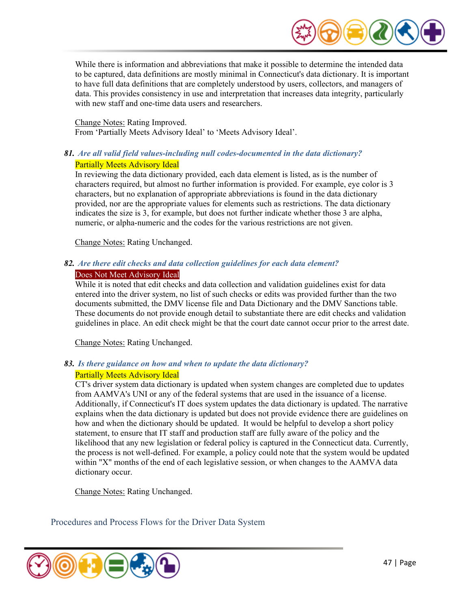

While there is information and abbreviations that make it possible to determine the intended data to be captured, data definitions are mostly minimal in Connecticut's data dictionary. It is important to have full data definitions that are completely understood by users, collectors, and managers of data. This provides consistency in use and interpretation that increases data integrity, particularly with new staff and one-time data users and researchers.

Change Notes: Rating Improved. From 'Partially Meets Advisory Ideal' to 'Meets Advisory Ideal'.

## *81. Are all valid field values-including null codes-documented in the data dictionary?*  Partially Meets Advisory Ideal

In reviewing the data dictionary provided, each data element is listed, as is the number of characters required, but almost no further information is provided. For example, eye color is 3 characters, but no explanation of appropriate abbreviations is found in the data dictionary provided, nor are the appropriate values for elements such as restrictions. The data dictionary indicates the size is 3, for example, but does not further indicate whether those 3 are alpha, numeric, or alpha-numeric and the codes for the various restrictions are not given.

Change Notes: Rating Unchanged.

#### *82. Are there edit checks and data collection guidelines for each data element?*  Does Not Meet Advisory Ideal

While it is noted that edit checks and data collection and validation guidelines exist for data entered into the driver system, no list of such checks or edits was provided further than the two documents submitted, the DMV license file and Data Dictionary and the DMV Sanctions table. These documents do not provide enough detail to substantiate there are edit checks and validation guidelines in place. An edit check might be that the court date cannot occur prior to the arrest date.

Change Notes: Rating Unchanged.

# *83. Is there guidance on how and when to update the data dictionary?*

#### Partially Meets Advisory Ideal

CT's driver system data dictionary is updated when system changes are completed due to updates from AAMVA's UNI or any of the federal systems that are used in the issuance of a license. Additionally, if Connecticut's IT does system updates the data dictionary is updated. The narrative explains when the data dictionary is updated but does not provide evidence there are guidelines on how and when the dictionary should be updated. It would be helpful to develop a short policy statement, to ensure that IT staff and production staff are fully aware of the policy and the likelihood that any new legislation or federal policy is captured in the Connecticut data. Currently, the process is not well-defined. For example, a policy could note that the system would be updated within "X" months of the end of each legislative session, or when changes to the AAMVA data dictionary occur.

Change Notes: Rating Unchanged.

Procedures and Process Flows for the Driver Data System

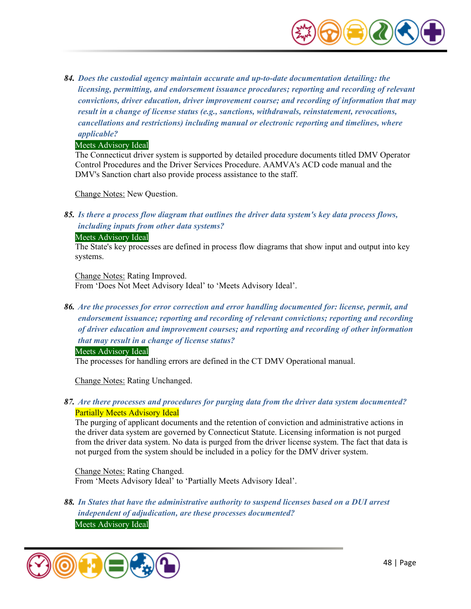

*84. Does the custodial agency maintain accurate and up-to-date documentation detailing: the licensing, permitting, and endorsement issuance procedures; reporting and recording of relevant convictions, driver education, driver improvement course; and recording of information that may result in a change of license status (e.g., sanctions, withdrawals, reinstatement, revocations, cancellations and restrictions) including manual or electronic reporting and timelines, where applicable?* 

#### Meets Advisory Ideal

The Connecticut driver system is supported by detailed procedure documents titled DMV Operator Control Procedures and the Driver Services Procedure. AAMVA's ACD code manual and the DMV's Sanction chart also provide process assistance to the staff.

Change Notes: New Question.

*85. Is there a process flow diagram that outlines the driver data system's key data process flows, including inputs from other data systems?* 

#### Meets Advisory Ideal

The State's key processes are defined in process flow diagrams that show input and output into key systems.

Change Notes: Rating Improved. From 'Does Not Meet Advisory Ideal' to 'Meets Advisory Ideal'.

*86. Are the processes for error correction and error handling documented for: license, permit, and endorsement issuance; reporting and recording of relevant convictions; reporting and recording of driver education and improvement courses; and reporting and recording of other information that may result in a change of license status?* 

Meets Advisory Ideal

The processes for handling errors are defined in the CT DMV Operational manual.

Change Notes: Rating Unchanged.

# *87. Are there processes and procedures for purging data from the driver data system documented?*  Partially Meets Advisory Ideal

The purging of applicant documents and the retention of conviction and administrative actions in the driver data system are governed by Connecticut Statute. Licensing information is not purged from the driver data system. No data is purged from the driver license system. The fact that data is not purged from the system should be included in a policy for the DMV driver system.

Change Notes: Rating Changed. From 'Meets Advisory Ideal' to 'Partially Meets Advisory Ideal'.

*88. In States that have the administrative authority to suspend licenses based on a DUI arrest independent of adjudication, are these processes documented?*  Meets Advisory Ideal

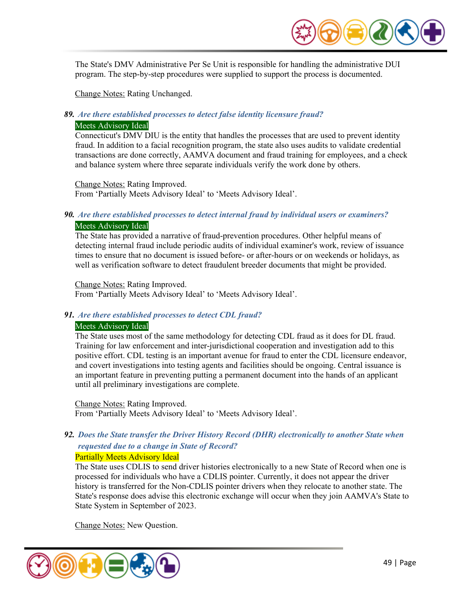

The State's DMV Administrative Per Se Unit is responsible for handling the administrative DUI program. The step-by-step procedures were supplied to support the process is documented.

Change Notes: Rating Unchanged.

#### *89. Are there established processes to detect false identity licensure fraud?*

#### Meets Advisory Ideal

Connecticut's DMV DIU is the entity that handles the processes that are used to prevent identity fraud. In addition to a facial recognition program, the state also uses audits to validate credential transactions are done correctly, AAMVA document and fraud training for employees, and a check and balance system where three separate individuals verify the work done by others.

Change Notes: Rating Improved. From 'Partially Meets Advisory Ideal' to 'Meets Advisory Ideal'.

## *90. Are there established processes to detect internal fraud by individual users or examiners?*  Meets Advisory Ideal

The State has provided a narrative of fraud-prevention procedures. Other helpful means of detecting internal fraud include periodic audits of individual examiner's work, review of issuance times to ensure that no document is issued before- or after-hours or on weekends or holidays, as well as verification software to detect fraudulent breeder documents that might be provided.

Change Notes: Rating Improved. From 'Partially Meets Advisory Ideal' to 'Meets Advisory Ideal'.

#### *91. Are there established processes to detect CDL fraud?*

#### Meets Advisory Ideal

The State uses most of the same methodology for detecting CDL fraud as it does for DL fraud. Training for law enforcement and inter-jurisdictional cooperation and investigation add to this positive effort. CDL testing is an important avenue for fraud to enter the CDL licensure endeavor, and covert investigations into testing agents and facilities should be ongoing. Central issuance is an important feature in preventing putting a permanent document into the hands of an applicant until all preliminary investigations are complete.

Change Notes: Rating Improved. From 'Partially Meets Advisory Ideal' to 'Meets Advisory Ideal'.

# *92. Does the State transfer the Driver History Record (DHR) electronically to another State when requested due to a change in State of Record?*

#### Partially Meets Advisory Ideal

The State uses CDLIS to send driver histories electronically to a new State of Record when one is processed for individuals who have a CDLIS pointer. Currently, it does not appear the driver history is transferred for the Non-CDLIS pointer drivers when they relocate to another state. The State's response does advise this electronic exchange will occur when they join AAMVA's State to State System in September of 2023.

Change Notes: New Question.

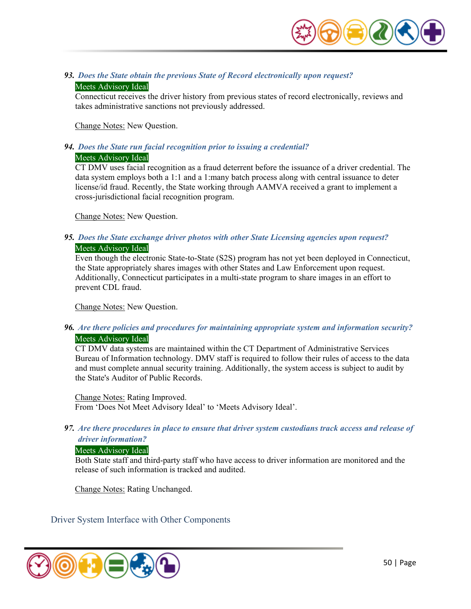

*93. Does the State obtain the previous State of Record electronically upon request?*  Meets Advisory Ideal

Connecticut receives the driver history from previous states of record electronically, reviews and takes administrative sanctions not previously addressed.

Change Notes: New Question.

# *94. Does the State run facial recognition prior to issuing a credential?*

# Meets Advisory Ideal

CT DMV uses facial recognition as a fraud deterrent before the issuance of a driver credential. The data system employs both a 1:1 and a 1:many batch process along with central issuance to deter license/id fraud. Recently, the State working through AAMVA received a grant to implement a cross-jurisdictional facial recognition program.

Change Notes: New Question.

# *95. Does the State exchange driver photos with other State Licensing agencies upon request?*

#### Meets Advisory Ideal

Even though the electronic State-to-State (S2S) program has not yet been deployed in Connecticut, the State appropriately shares images with other States and Law Enforcement upon request. Additionally, Connecticut participates in a multi-state program to share images in an effort to prevent CDL fraud.

Change Notes: New Question.

# *96. Are there policies and procedures for maintaining appropriate system and information security?*  Meets Advisory Ideal

CT DMV data systems are maintained within the CT Department of Administrative Services Bureau of Information technology. DMV staff is required to follow their rules of access to the data and must complete annual security training. Additionally, the system access is subject to audit by the State's Auditor of Public Records.

Change Notes: Rating Improved. From 'Does Not Meet Advisory Ideal' to 'Meets Advisory Ideal'.

*97. Are there procedures in place to ensure that driver system custodians track access and release of driver information?* 

#### Meets Advisory Ideal

Both State staff and third-party staff who have access to driver information are monitored and the release of such information is tracked and audited.

Change Notes: Rating Unchanged.

Driver System Interface with Other Components

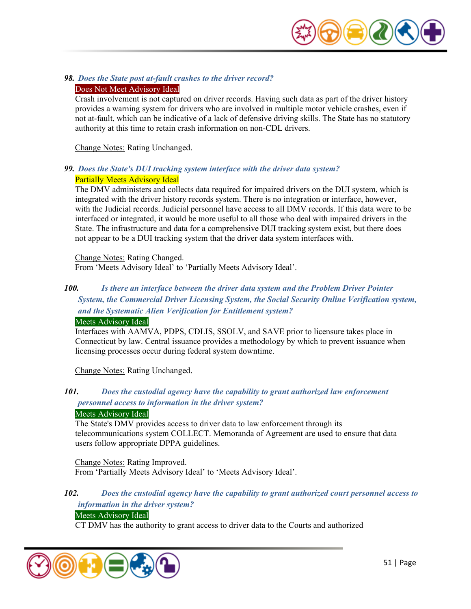

#### *98. Does the State post at-fault crashes to the driver record?*

#### Does Not Meet Advisory Ideal

Crash involvement is not captured on driver records. Having such data as part of the driver history provides a warning system for drivers who are involved in multiple motor vehicle crashes, even if not at-fault, which can be indicative of a lack of defensive driving skills. The State has no statutory authority at this time to retain crash information on non-CDL drivers.

Change Notes: Rating Unchanged.

#### *99. Does the State's DUI tracking system interface with the driver data system?*  Partially Meets Advisory Ideal

The DMV administers and collects data required for impaired drivers on the DUI system, which is integrated with the driver history records system. There is no integration or interface, however, with the Judicial records. Judicial personnel have access to all DMV records. If this data were to be interfaced or integrated, it would be more useful to all those who deal with impaired drivers in the State. The infrastructure and data for a comprehensive DUI tracking system exist, but there does not appear to be a DUI tracking system that the driver data system interfaces with.

#### Change Notes: Rating Changed. From 'Meets Advisory Ideal' to 'Partially Meets Advisory Ideal'.

# *100. Is there an interface between the driver data system and the Problem Driver Pointer System, the Commercial Driver Licensing System, the Social Security Online Verification system, and the Systematic Alien Verification for Entitlement system?*

#### Meets Advisory Ideal

Interfaces with AAMVA, PDPS, CDLIS, SSOLV, and SAVE prior to licensure takes place in Connecticut by law. Central issuance provides a methodology by which to prevent issuance when licensing processes occur during federal system downtime.

Change Notes: Rating Unchanged.

# *101. Does the custodial agency have the capability to grant authorized law enforcement personnel access to information in the driver system?*

#### Meets Advisory Ideal

The State's DMV provides access to driver data to law enforcement through its telecommunications system COLLECT. Memoranda of Agreement are used to ensure that data users follow appropriate DPPA guidelines.

Change Notes: Rating Improved. From 'Partially Meets Advisory Ideal' to 'Meets Advisory Ideal'.

# *102. Does the custodial agency have the capability to grant authorized court personnel access to information in the driver system?*

# Meets Advisory Ideal

CT DMV has the authority to grant access to driver data to the Courts and authorized

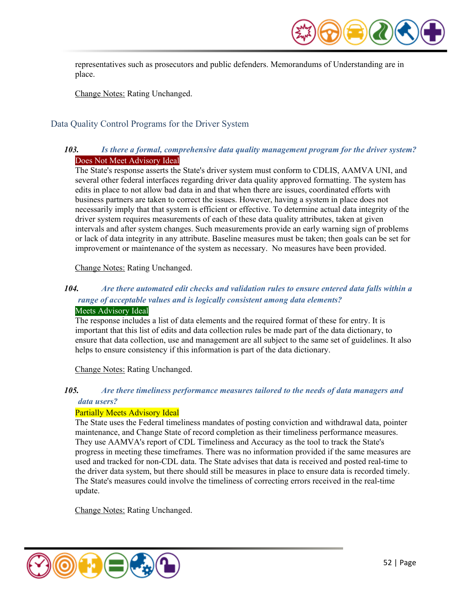

representatives such as prosecutors and public defenders. Memorandums of Understanding are in place.

Change Notes: Rating Unchanged.

# Data Quality Control Programs for the Driver System

# *103. Is there a formal, comprehensive data quality management program for the driver system?*  Does Not Meet Advisory Ideal

The State's response asserts the State's driver system must conform to CDLIS, AAMVA UNI, and several other federal interfaces regarding driver data quality approved formatting. The system has edits in place to not allow bad data in and that when there are issues, coordinated efforts with business partners are taken to correct the issues. However, having a system in place does not necessarily imply that that system is efficient or effective. To determine actual data integrity of the driver system requires measurements of each of these data quality attributes, taken at given intervals and after system changes. Such measurements provide an early warning sign of problems or lack of data integrity in any attribute. Baseline measures must be taken; then goals can be set for improvement or maintenance of the system as necessary. No measures have been provided.

Change Notes: Rating Unchanged.

# *104. Are there automated edit checks and validation rules to ensure entered data falls within a range of acceptable values and is logically consistent among data elements?*

# Meets Advisory Ideal

The response includes a list of data elements and the required format of these for entry. It is important that this list of edits and data collection rules be made part of the data dictionary, to ensure that data collection, use and management are all subject to the same set of guidelines. It also helps to ensure consistency if this information is part of the data dictionary.

Change Notes: Rating Unchanged.

### *105. Are there timeliness performance measures tailored to the needs of data managers and data users?*

#### Partially Meets Advisory Ideal

The State uses the Federal timeliness mandates of posting conviction and withdrawal data, pointer maintenance, and Change State of record completion as their timeliness performance measures. They use AAMVA's report of CDL Timeliness and Accuracy as the tool to track the State's progress in meeting these timeframes. There was no information provided if the same measures are used and tracked for non-CDL data. The State advises that data is received and posted real-time to the driver data system, but there should still be measures in place to ensure data is recorded timely. The State's measures could involve the timeliness of correcting errors received in the real-time update.

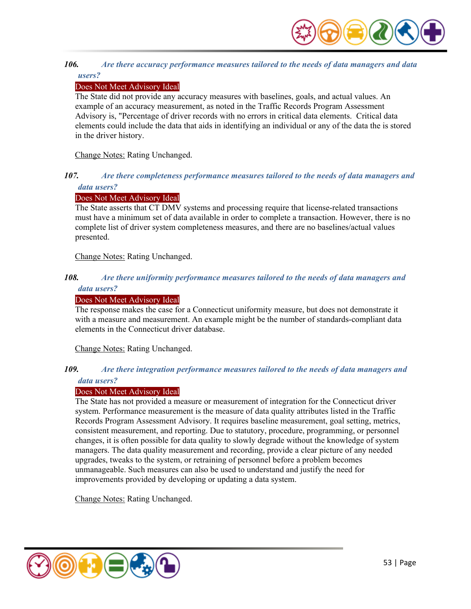

#### *106. Are there accuracy performance measures tailored to the needs of data managers and data users?*

## Does Not Meet Advisory Ideal

The State did not provide any accuracy measures with baselines, goals, and actual values. An example of an accuracy measurement, as noted in the Traffic Records Program Assessment Advisory is, "Percentage of driver records with no errors in critical data elements. Critical data elements could include the data that aids in identifying an individual or any of the data the is stored in the driver history.

Change Notes: Rating Unchanged.

## *107. Are there completeness performance measures tailored to the needs of data managers and data users?*

#### Does Not Meet Advisory Ideal

The State asserts that CT DMV systems and processing require that license-related transactions must have a minimum set of data available in order to complete a transaction. However, there is no complete list of driver system completeness measures, and there are no baselines/actual values presented.

Change Notes: Rating Unchanged.

#### *108. Are there uniformity performance measures tailored to the needs of data managers and data users?*

#### Does Not Meet Advisory Ideal

The response makes the case for a Connecticut uniformity measure, but does not demonstrate it with a measure and measurement. An example might be the number of standards-compliant data elements in the Connecticut driver database.

Change Notes: Rating Unchanged.

#### *109. Are there integration performance measures tailored to the needs of data managers and data users?*

#### Does Not Meet Advisory Ideal

The State has not provided a measure or measurement of integration for the Connecticut driver system. Performance measurement is the measure of data quality attributes listed in the Traffic Records Program Assessment Advisory. It requires baseline measurement, goal setting, metrics, consistent measurement, and reporting. Due to statutory, procedure, programming, or personnel changes, it is often possible for data quality to slowly degrade without the knowledge of system managers. The data quality measurement and recording, provide a clear picture of any needed upgrades, tweaks to the system, or retraining of personnel before a problem becomes unmanageable. Such measures can also be used to understand and justify the need for improvements provided by developing or updating a data system.

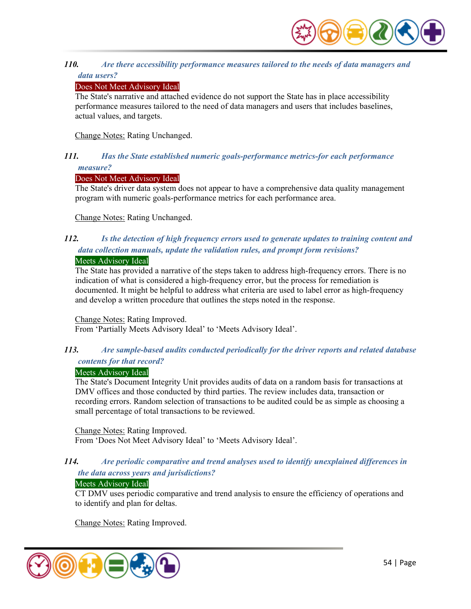

#### *110. Are there accessibility performance measures tailored to the needs of data managers and data users?*

### Does Not Meet Advisory Ideal

The State's narrative and attached evidence do not support the State has in place accessibility performance measures tailored to the need of data managers and users that includes baselines, actual values, and targets.

Change Notes: Rating Unchanged.

## *111. Has the State established numeric goals-performance metrics-for each performance measure?*

#### Does Not Meet Advisory Ideal

The State's driver data system does not appear to have a comprehensive data quality management program with numeric goals-performance metrics for each performance area.

Change Notes: Rating Unchanged.

# *112. Is the detection of high frequency errors used to generate updates to training content and data collection manuals, update the validation rules, and prompt form revisions?*

#### Meets Advisory Ideal

The State has provided a narrative of the steps taken to address high-frequency errors. There is no indication of what is considered a high-frequency error, but the process for remediation is documented. It might be helpful to address what criteria are used to label error as high-frequency and develop a written procedure that outlines the steps noted in the response.

Change Notes: Rating Improved.

From 'Partially Meets Advisory Ideal' to 'Meets Advisory Ideal'.

# *113. Are sample-based audits conducted periodically for the driver reports and related database contents for that record?*

# Meets Advisory Ideal

The State's Document Integrity Unit provides audits of data on a random basis for transactions at DMV offices and those conducted by third parties. The review includes data, transaction or recording errors. Random selection of transactions to be audited could be as simple as choosing a small percentage of total transactions to be reviewed.

Change Notes: Rating Improved. From 'Does Not Meet Advisory Ideal' to 'Meets Advisory Ideal'.

# *114. Are periodic comparative and trend analyses used to identify unexplained differences in the data across years and jurisdictions?*

#### Meets Advisory Ideal

CT DMV uses periodic comparative and trend analysis to ensure the efficiency of operations and to identify and plan for deltas.

Change Notes: Rating Improved.

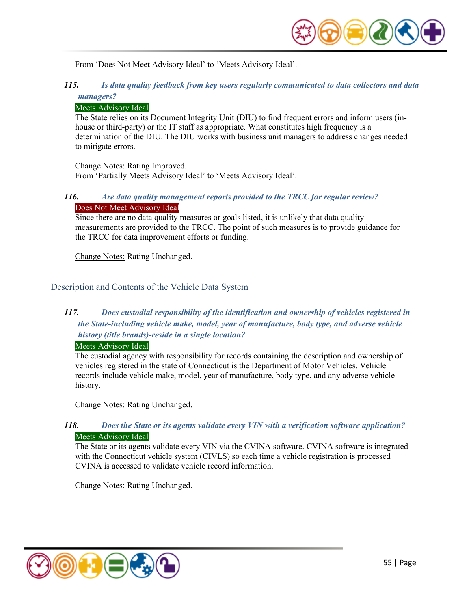

From 'Does Not Meet Advisory Ideal' to 'Meets Advisory Ideal'.

# *115. Is data quality feedback from key users regularly communicated to data collectors and data managers?*

## Meets Advisory Ideal

The State relies on its Document Integrity Unit (DIU) to find frequent errors and inform users (inhouse or third-party) or the IT staff as appropriate. What constitutes high frequency is a determination of the DIU. The DIU works with business unit managers to address changes needed to mitigate errors.

Change Notes: Rating Improved.

From 'Partially Meets Advisory Ideal' to 'Meets Advisory Ideal'.

# *116. Are data quality management reports provided to the TRCC for regular review?*  Does Not Meet Advisory Ideal

Since there are no data quality measures or goals listed, it is unlikely that data quality measurements are provided to the TRCC. The point of such measures is to provide guidance for the TRCC for data improvement efforts or funding.

Change Notes: Rating Unchanged.

# Description and Contents of the Vehicle Data System

# *117. Does custodial responsibility of the identification and ownership of vehicles registered in the State-including vehicle make, model, year of manufacture, body type, and adverse vehicle history (title brands)-reside in a single location?*

#### Meets Advisory Ideal

The custodial agency with responsibility for records containing the description and ownership of vehicles registered in the state of Connecticut is the Department of Motor Vehicles. Vehicle records include vehicle make, model, year of manufacture, body type, and any adverse vehicle history.

Change Notes: Rating Unchanged.

# *118. Does the State or its agents validate every VIN with a verification software application?*  Meets Advisory Ideal

The State or its agents validate every VIN via the CVINA software. CVINA software is integrated with the Connecticut vehicle system (CIVLS) so each time a vehicle registration is processed CVINA is accessed to validate vehicle record information.

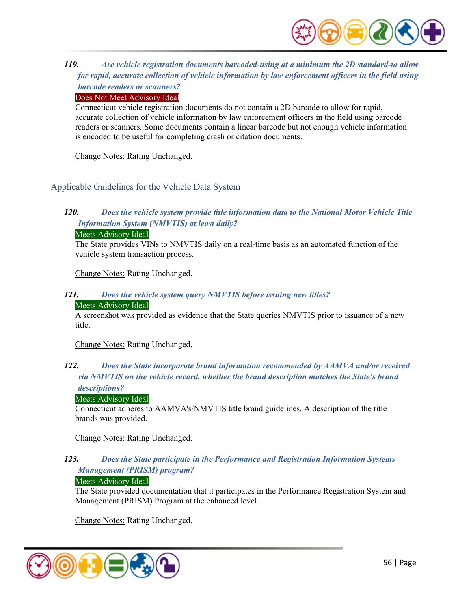

# *119. Are vehicle registration documents barcoded-using at a minimum the 2D standard-to allow for rapid, accurate collection of vehicle information by law enforcement officers in the field using barcode readers or scanners?*

Does Not Meet Advisory Ideal

Connecticut vehicle registration documents do not contain a 2D barcode to allow for rapid, accurate collection of vehicle information by law enforcement officers in the field using barcode readers or scanners. Some documents contain a linear barcode but not enough vehicle information is encoded to be useful for completing crash or citation documents.

Change Notes: Rating Unchanged.

# Applicable Guidelines for the Vehicle Data System

# *120. Does the vehicle system provide title information data to the National Motor Vehicle Title Information System (NMVTIS) at least daily?*

#### Meets Advisory Ideal

The State provides VINs to NMVTIS daily on a real-time basis as an automated function of the vehicle system transaction process.

Change Notes: Rating Unchanged.

# *121. Does the vehicle system query NMVTIS before issuing new titles?*

#### Meets Advisory Ideal

A screenshot was provided as evidence that the State queries NMVTIS prior to issuance of a new title.

Change Notes: Rating Unchanged.

# *122. Does the State incorporate brand information recommended by AAMVA and/or received via NMVTIS on the vehicle record, whether the brand description matches the State's brand*

#### *descriptions?*

#### Meets Advisory Ideal

Connecticut adheres to AAMVA's/NMVTIS title brand guidelines. A description of the title brands was provided.

Change Notes: Rating Unchanged.

# *123. Does the State participate in the Performance and Registration Information Systems Management (PRISM) program?*

#### Meets Advisory Ideal

The State provided documentation that it participates in the Performance Registration System and Management (PRISM) Program at the enhanced level.

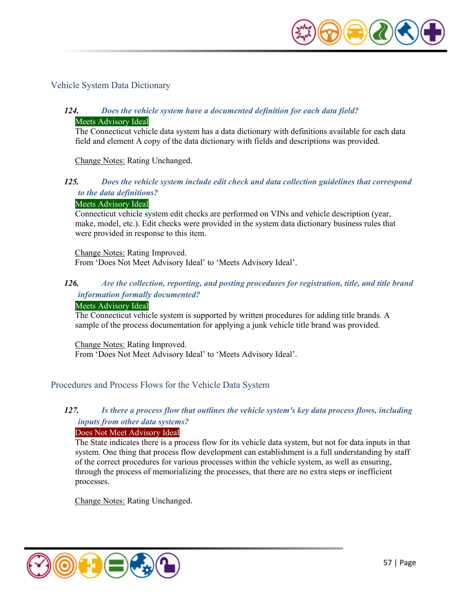

## Vehicle System Data Dictionary

# *124. Does the vehicle system have a documented definition for each data field?*  Meets Advisory Ideal

The Connecticut vehicle data system has a data dictionary with definitions available for each data field and element A copy of the data dictionary with fields and descriptions was provided.

Change Notes: Rating Unchanged.

#### *125. Does the vehicle system include edit check and data collection guidelines that correspond to the data definitions?*

#### Meets Advisory Ideal

Connecticut vehicle system edit checks are performed on VINs and vehicle description (year, make, model, etc.). Edit checks were provided in the system data dictionary business rules that were provided in response to this item.

Change Notes: Rating Improved. From 'Does Not Meet Advisory Ideal' to 'Meets Advisory Ideal'.

# *126. Are the collection, reporting, and posting procedures for registration, title, and title brand information formally documented?*

#### Meets Advisory Ideal

The Connecticut vehicle system is supported by written procedures for adding title brands. A sample of the process documentation for applying a junk vehicle title brand was provided.

Change Notes: Rating Improved. From 'Does Not Meet Advisory Ideal' to 'Meets Advisory Ideal'.

#### Procedures and Process Flows for the Vehicle Data System

# *127. Is there a process flow that outlines the vehicle system's key data process flows, including inputs from other data systems?*

#### Does Not Meet Advisory Ideal

The State indicates there is a process flow for its vehicle data system, but not for data inputs in that system. One thing that process flow development can establishment is a full understanding by staff of the correct procedures for various processes within the vehicle system, as well as ensuring, through the process of memorializing the processes, that there are no extra steps or inefficient processes.

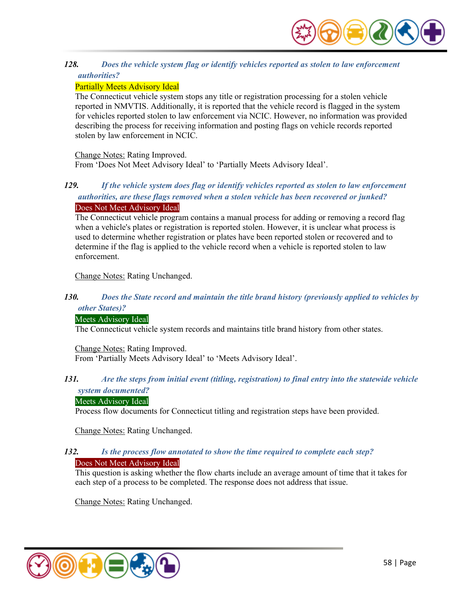

# *128. Does the vehicle system flag or identify vehicles reported as stolen to law enforcement authorities?*

# Partially Meets Advisory Ideal

The Connecticut vehicle system stops any title or registration processing for a stolen vehicle reported in NMVTIS. Additionally, it is reported that the vehicle record is flagged in the system for vehicles reported stolen to law enforcement via NCIC. However, no information was provided describing the process for receiving information and posting flags on vehicle records reported stolen by law enforcement in NCIC.

Change Notes: Rating Improved.

From 'Does Not Meet Advisory Ideal' to 'Partially Meets Advisory Ideal'.

# *129. If the vehicle system does flag or identify vehicles reported as stolen to law enforcement authorities, are these flags removed when a stolen vehicle has been recovered or junked?*  Does Not Meet Advisory Ideal

The Connecticut vehicle program contains a manual process for adding or removing a record flag when a vehicle's plates or registration is reported stolen. However, it is unclear what process is used to determine whether registration or plates have been reported stolen or recovered and to determine if the flag is applied to the vehicle record when a vehicle is reported stolen to law enforcement.

Change Notes: Rating Unchanged.

# *130. Does the State record and maintain the title brand history (previously applied to vehicles by other States)?*

# Meets Advisory Ideal

The Connecticut vehicle system records and maintains title brand history from other states.

Change Notes: Rating Improved. From 'Partially Meets Advisory Ideal' to 'Meets Advisory Ideal'.

#### *131. Are the steps from initial event (titling, registration) to final entry into the statewide vehicle system documented?*

# Meets Advisory Ideal

Process flow documents for Connecticut titling and registration steps have been provided.

Change Notes: Rating Unchanged.

## *132. Is the process flow annotated to show the time required to complete each step?* Does Not Meet Advisory Ideal

This question is asking whether the flow charts include an average amount of time that it takes for each step of a process to be completed. The response does not address that issue.

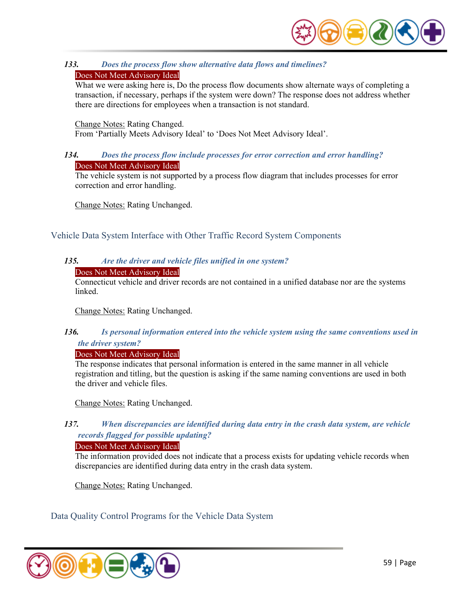

# *133. Does the process flow show alternative data flows and timelines?*

# Does Not Meet Advisory Ideal

What we were asking here is, Do the process flow documents show alternate ways of completing a transaction, if necessary, perhaps if the system were down? The response does not address whether there are directions for employees when a transaction is not standard.

#### Change Notes: Rating Changed.

From 'Partially Meets Advisory Ideal' to 'Does Not Meet Advisory Ideal'.

## *134. Does the process flow include processes for error correction and error handling?*  Does Not Meet Advisory Ideal

The vehicle system is not supported by a process flow diagram that includes processes for error correction and error handling.

Change Notes: Rating Unchanged.

Vehicle Data System Interface with Other Traffic Record System Components

# *135. Are the driver and vehicle files unified in one system?*

Does Not Meet Advisory Ideal

Connecticut vehicle and driver records are not contained in a unified database nor are the systems linked.

Change Notes: Rating Unchanged.

# *136. Is personal information entered into the vehicle system using the same conventions used in the driver system?*

Does Not Meet Advisory Ideal

The response indicates that personal information is entered in the same manner in all vehicle registration and titling, but the question is asking if the same naming conventions are used in both the driver and vehicle files.

Change Notes: Rating Unchanged.

# *137. When discrepancies are identified during data entry in the crash data system, are vehicle records flagged for possible updating?*

Does Not Meet Advisory Ideal

The information provided does not indicate that a process exists for updating vehicle records when discrepancies are identified during data entry in the crash data system.

Change Notes: Rating Unchanged.

Data Quality Control Programs for the Vehicle Data System

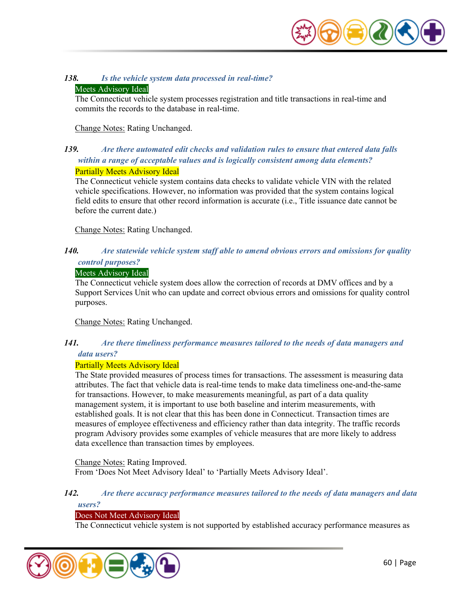

# *138. Is the vehicle system data processed in real-time?*

#### Meets Advisory Ideal

The Connecticut vehicle system processes registration and title transactions in real-time and commits the records to the database in real-time.

#### Change Notes: Rating Unchanged.

# *139. Are there automated edit checks and validation rules to ensure that entered data falls within a range of acceptable values and is logically consistent among data elements?*  Partially Meets Advisory Ideal

The Connecticut vehicle system contains data checks to validate vehicle VIN with the related vehicle specifications. However, no information was provided that the system contains logical field edits to ensure that other record information is accurate (i.e., Title issuance date cannot be before the current date.)

Change Notes: Rating Unchanged.

# *140. Are statewide vehicle system staff able to amend obvious errors and omissions for quality control purposes?*

#### Meets Advisory Ideal

The Connecticut vehicle system does allow the correction of records at DMV offices and by a Support Services Unit who can update and correct obvious errors and omissions for quality control purposes.

Change Notes: Rating Unchanged.

# *141. Are there timeliness performance measures tailored to the needs of data managers and data users?*

#### Partially Meets Advisory Ideal

The State provided measures of process times for transactions. The assessment is measuring data attributes. The fact that vehicle data is real-time tends to make data timeliness one-and-the-same for transactions. However, to make measurements meaningful, as part of a data quality management system, it is important to use both baseline and interim measurements, with established goals. It is not clear that this has been done in Connecticut. Transaction times are measures of employee effectiveness and efficiency rather than data integrity. The traffic records program Advisory provides some examples of vehicle measures that are more likely to address data excellence than transaction times by employees.

#### Change Notes: Rating Improved.

From 'Does Not Meet Advisory Ideal' to 'Partially Meets Advisory Ideal'.

#### *142. Are there accuracy performance measures tailored to the needs of data managers and data users?*

#### Does Not Meet Advisory Ideal

The Connecticut vehicle system is not supported by established accuracy performance measures as

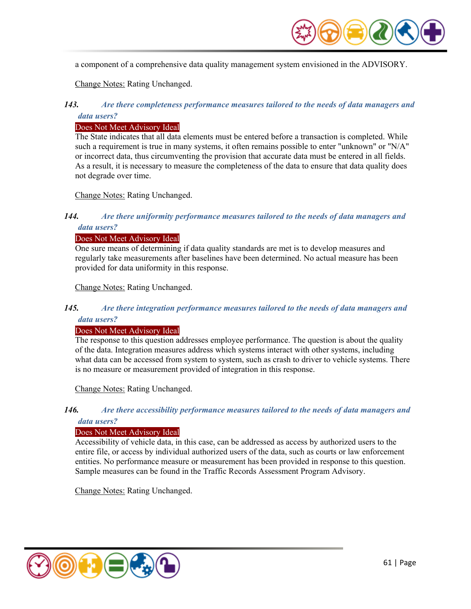

a component of a comprehensive data quality management system envisioned in the ADVISORY.

Change Notes: Rating Unchanged.

## *143. Are there completeness performance measures tailored to the needs of data managers and data users?*

# Does Not Meet Advisory Ideal

The State indicates that all data elements must be entered before a transaction is completed. While such a requirement is true in many systems, it often remains possible to enter "unknown" or "N/A" or incorrect data, thus circumventing the provision that accurate data must be entered in all fields. As a result, it is necessary to measure the completeness of the data to ensure that data quality does not degrade over time.

Change Notes: Rating Unchanged.

## *144. Are there uniformity performance measures tailored to the needs of data managers and data users?*

#### Does Not Meet Advisory Ideal

One sure means of determining if data quality standards are met is to develop measures and regularly take measurements after baselines have been determined. No actual measure has been provided for data uniformity in this response.

Change Notes: Rating Unchanged.

#### *145. Are there integration performance measures tailored to the needs of data managers and data users?*

#### Does Not Meet Advisory Ideal

The response to this question addresses employee performance. The question is about the quality of the data. Integration measures address which systems interact with other systems, including what data can be accessed from system to system, such as crash to driver to vehicle systems. There is no measure or measurement provided of integration in this response.

Change Notes: Rating Unchanged.

#### *146. Are there accessibility performance measures tailored to the needs of data managers and data users?*

#### Does Not Meet Advisory Ideal

Accessibility of vehicle data, in this case, can be addressed as access by authorized users to the entire file, or access by individual authorized users of the data, such as courts or law enforcement entities. No performance measure or measurement has been provided in response to this question. Sample measures can be found in the Traffic Records Assessment Program Advisory.

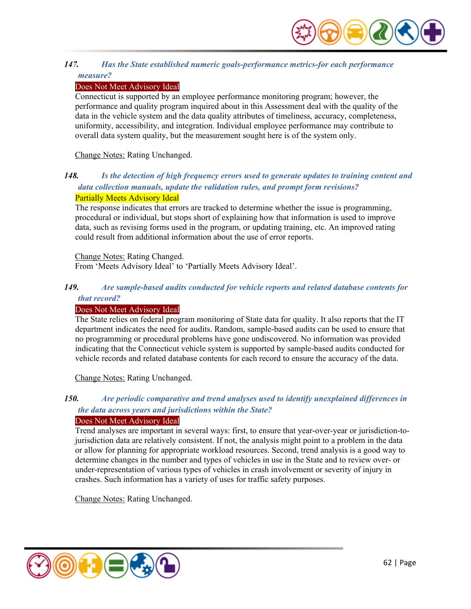

# *147. Has the State established numeric goals-performance metrics-for each performance measure?*

## Does Not Meet Advisory Ideal

Connecticut is supported by an employee performance monitoring program; however, the performance and quality program inquired about in this Assessment deal with the quality of the data in the vehicle system and the data quality attributes of timeliness, accuracy, completeness, uniformity, accessibility, and integration. Individual employee performance may contribute to overall data system quality, but the measurement sought here is of the system only.

Change Notes: Rating Unchanged.

# *148. Is the detection of high frequency errors used to generate updates to training content and data collection manuals, update the validation rules, and prompt form revisions?*  Partially Meets Advisory Ideal

The response indicates that errors are tracked to determine whether the issue is programming, procedural or individual, but stops short of explaining how that information is used to improve data, such as revising forms used in the program, or updating training, etc. An improved rating could result from additional information about the use of error reports.

#### Change Notes: Rating Changed.

From 'Meets Advisory Ideal' to 'Partially Meets Advisory Ideal'.

# *149. Are sample-based audits conducted for vehicle reports and related database contents for that record?*

#### Does Not Meet Advisory Ideal

The State relies on federal program monitoring of State data for quality. It also reports that the IT department indicates the need for audits. Random, sample-based audits can be used to ensure that no programming or procedural problems have gone undiscovered. No information was provided indicating that the Connecticut vehicle system is supported by sample-based audits conducted for vehicle records and related database contents for each record to ensure the accuracy of the data.

Change Notes: Rating Unchanged.

# *150. Are periodic comparative and trend analyses used to identify unexplained differences in the data across years and jurisdictions within the State?*

# Does Not Meet Advisory Ideal

Trend analyses are important in several ways: first, to ensure that year-over-year or jurisdiction-tojurisdiction data are relatively consistent. If not, the analysis might point to a problem in the data or allow for planning for appropriate workload resources. Second, trend analysis is a good way to determine changes in the number and types of vehicles in use in the State and to review over- or under-representation of various types of vehicles in crash involvement or severity of injury in crashes. Such information has a variety of uses for traffic safety purposes.

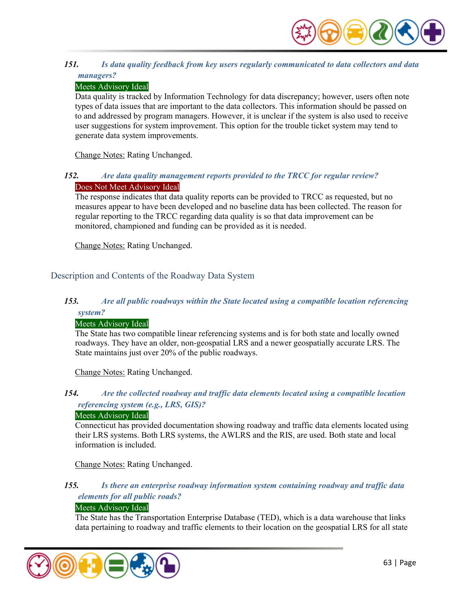

# *151. Is data quality feedback from key users regularly communicated to data collectors and data managers?*

## Meets Advisory Ideal

Data quality is tracked by Information Technology for data discrepancy; however, users often note types of data issues that are important to the data collectors. This information should be passed on to and addressed by program managers. However, it is unclear if the system is also used to receive user suggestions for system improvement. This option for the trouble ticket system may tend to generate data system improvements.

Change Notes: Rating Unchanged.

# *152. Are data quality management reports provided to the TRCC for regular review?*  Does Not Meet Advisory Ideal

The response indicates that data quality reports can be provided to TRCC as requested, but no measures appear to have been developed and no baseline data has been collected. The reason for regular reporting to the TRCC regarding data quality is so that data improvement can be monitored, championed and funding can be provided as it is needed.

Change Notes: Rating Unchanged.

# Description and Contents of the Roadway Data System

# *153. Are all public roadways within the State located using a compatible location referencing system?*

#### Meets Advisory Ideal

The State has two compatible linear referencing systems and is for both state and locally owned roadways. They have an older, non-geospatial LRS and a newer geospatially accurate LRS. The State maintains just over 20% of the public roadways.

Change Notes: Rating Unchanged.

# *154. Are the collected roadway and traffic data elements located using a compatible location referencing system (e.g., LRS, GIS)?*

#### Meets Advisory Ideal

Connecticut has provided documentation showing roadway and traffic data elements located using their LRS systems. Both LRS systems, the AWLRS and the RIS, are used. Both state and local information is included.

Change Notes: Rating Unchanged.

# *155. Is there an enterprise roadway information system containing roadway and traffic data elements for all public roads?*

# Meets Advisory Ideal

The State has the Transportation Enterprise Database (TED), which is a data warehouse that links data pertaining to roadway and traffic elements to their location on the geospatial LRS for all state

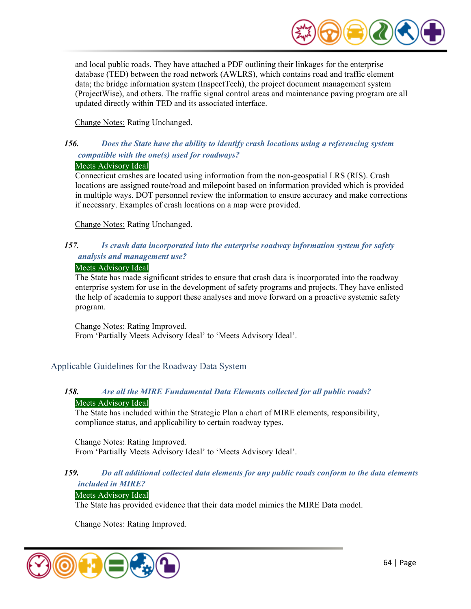

and local public roads. They have attached a PDF outlining their linkages for the enterprise database (TED) between the road network (AWLRS), which contains road and traffic element data; the bridge information system (InspectTech), the project document management system (ProjectWise), and others. The traffic signal control areas and maintenance paving program are all updated directly within TED and its associated interface.

Change Notes: Rating Unchanged.

# *156. Does the State have the ability to identify crash locations using a referencing system compatible with the one(s) used for roadways?*

# Meets Advisory Ideal

Connecticut crashes are located using information from the non-geospatial LRS (RIS). Crash locations are assigned route/road and milepoint based on information provided which is provided in multiple ways. DOT personnel review the information to ensure accuracy and make corrections if necessary. Examples of crash locations on a map were provided.

Change Notes: Rating Unchanged.

# *157. Is crash data incorporated into the enterprise roadway information system for safety analysis and management use?*

#### Meets Advisory Ideal

The State has made significant strides to ensure that crash data is incorporated into the roadway enterprise system for use in the development of safety programs and projects. They have enlisted the help of academia to support these analyses and move forward on a proactive systemic safety program.

Change Notes: Rating Improved. From 'Partially Meets Advisory Ideal' to 'Meets Advisory Ideal'.

# Applicable Guidelines for the Roadway Data System

# *158. Are all the MIRE Fundamental Data Elements collected for all public roads?*  Meets Advisory Ideal

The State has included within the Strategic Plan a chart of MIRE elements, responsibility, compliance status, and applicability to certain roadway types.

Change Notes: Rating Improved. From 'Partially Meets Advisory Ideal' to 'Meets Advisory Ideal'.

#### *159. Do all additional collected data elements for any public roads conform to the data elements included in MIRE?*

# Meets Advisory Ideal

The State has provided evidence that their data model mimics the MIRE Data model.

Change Notes: Rating Improved.

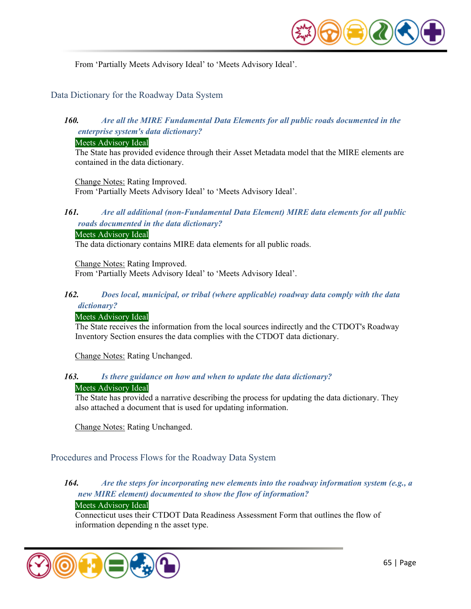

From 'Partially Meets Advisory Ideal' to 'Meets Advisory Ideal'.

## Data Dictionary for the Roadway Data System

# *160. Are all the MIRE Fundamental Data Elements for all public roads documented in the enterprise system's data dictionary?*

#### Meets Advisory Ideal

The State has provided evidence through their Asset Metadata model that the MIRE elements are contained in the data dictionary.

Change Notes: Rating Improved. From 'Partially Meets Advisory Ideal' to 'Meets Advisory Ideal'.

# *161. Are all additional (non-Fundamental Data Element) MIRE data elements for all public roads documented in the data dictionary?*

#### Meets Advisory Ideal

The data dictionary contains MIRE data elements for all public roads.

Change Notes: Rating Improved. From 'Partially Meets Advisory Ideal' to 'Meets Advisory Ideal'.

#### *162. Does local, municipal, or tribal (where applicable) roadway data comply with the data dictionary?*

#### Meets Advisory Ideal

The State receives the information from the local sources indirectly and the CTDOT's Roadway Inventory Section ensures the data complies with the CTDOT data dictionary.

Change Notes: Rating Unchanged.

#### *163. Is there guidance on how and when to update the data dictionary?*

#### Meets Advisory Ideal

The State has provided a narrative describing the process for updating the data dictionary. They also attached a document that is used for updating information.

Change Notes: Rating Unchanged.

Procedures and Process Flows for the Roadway Data System

# *164. Are the steps for incorporating new elements into the roadway information system (e.g., a new MIRE element) documented to show the flow of information?*

# Meets Advisory Ideal

Connecticut uses their CTDOT Data Readiness Assessment Form that outlines the flow of information depending n the asset type.

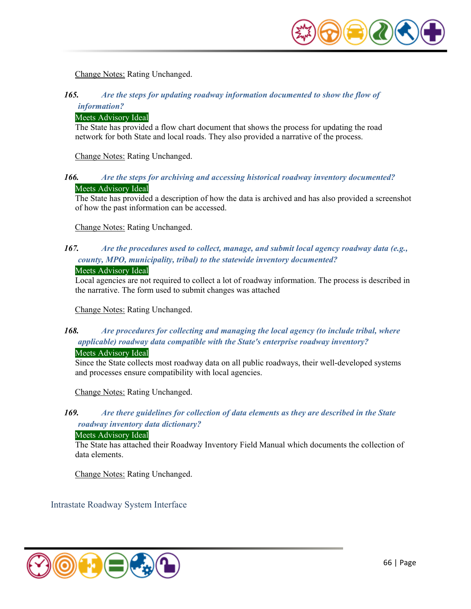

Change Notes: Rating Unchanged.

# *165. Are the steps for updating roadway information documented to show the flow of information?*

#### Meets Advisory Ideal

The State has provided a flow chart document that shows the process for updating the road network for both State and local roads. They also provided a narrative of the process.

Change Notes: Rating Unchanged.

# *166. Are the steps for archiving and accessing historical roadway inventory documented?*  Meets Advisory Ideal

The State has provided a description of how the data is archived and has also provided a screenshot of how the past information can be accessed.

Change Notes: Rating Unchanged.

# *167. Are the procedures used to collect, manage, and submit local agency roadway data (e.g., county, MPO, municipality, tribal) to the statewide inventory documented?*

#### Meets Advisory Ideal

Local agencies are not required to collect a lot of roadway information. The process is described in the narrative. The form used to submit changes was attached

Change Notes: Rating Unchanged.

# *168. Are procedures for collecting and managing the local agency (to include tribal, where applicable) roadway data compatible with the State's enterprise roadway inventory?*  Meets Advisory Ideal

Since the State collects most roadway data on all public roadways, their well-developed systems and processes ensure compatibility with local agencies.

Change Notes: Rating Unchanged.

# *169. Are there guidelines for collection of data elements as they are described in the State roadway inventory data dictionary?*

#### Meets Advisory Ideal

The State has attached their Roadway Inventory Field Manual which documents the collection of data elements.

Change Notes: Rating Unchanged.

Intrastate Roadway System Interface

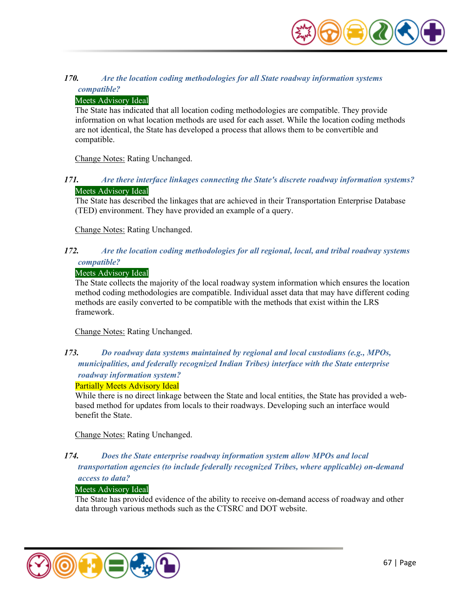

# *170. Are the location coding methodologies for all State roadway information systems compatible?*

## Meets Advisory Ideal

The State has indicated that all location coding methodologies are compatible. They provide information on what location methods are used for each asset. While the location coding methods are not identical, the State has developed a process that allows them to be convertible and compatible.

Change Notes: Rating Unchanged.

# *171. Are there interface linkages connecting the State's discrete roadway information systems?*  Meets Advisory Ideal

The State has described the linkages that are achieved in their Transportation Enterprise Database (TED) environment. They have provided an example of a query.

Change Notes: Rating Unchanged.

# *172. Are the location coding methodologies for all regional, local, and tribal roadway systems compatible?*

#### Meets Advisory Ideal

The State collects the majority of the local roadway system information which ensures the location method coding methodologies are compatible. Individual asset data that may have different coding methods are easily converted to be compatible with the methods that exist within the LRS framework.

Change Notes: Rating Unchanged.

# *173. Do roadway data systems maintained by regional and local custodians (e.g., MPOs, municipalities, and federally recognized Indian Tribes) interface with the State enterprise roadway information system?*

#### Partially Meets Advisory Ideal

While there is no direct linkage between the State and local entities, the State has provided a webbased method for updates from locals to their roadways. Developing such an interface would benefit the State.

Change Notes: Rating Unchanged.

# *174. Does the State enterprise roadway information system allow MPOs and local*

*transportation agencies (to include federally recognized Tribes, where applicable) on-demand access to data?* 

# Meets Advisory Ideal

The State has provided evidence of the ability to receive on-demand access of roadway and other data through various methods such as the CTSRC and DOT website.

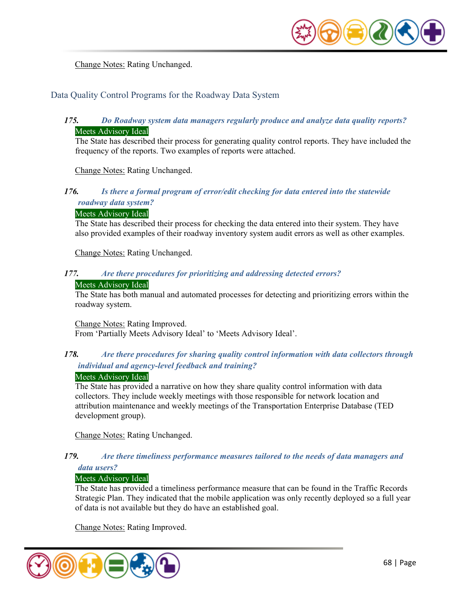

Change Notes: Rating Unchanged.

# Data Quality Control Programs for the Roadway Data System

# *175. Do Roadway system data managers regularly produce and analyze data quality reports?*  Meets Advisory Ideal

The State has described their process for generating quality control reports. They have included the frequency of the reports. Two examples of reports were attached.

Change Notes: Rating Unchanged.

# *176. Is there a formal program of error/edit checking for data entered into the statewide roadway data system?*

#### Meets Advisory Ideal

The State has described their process for checking the data entered into their system. They have also provided examples of their roadway inventory system audit errors as well as other examples.

Change Notes: Rating Unchanged.

# *177. Are there procedures for prioritizing and addressing detected errors?*

#### Meets Advisory Ideal

The State has both manual and automated processes for detecting and prioritizing errors within the roadway system.

Change Notes: Rating Improved. From 'Partially Meets Advisory Ideal' to 'Meets Advisory Ideal'.

# *178. Are there procedures for sharing quality control information with data collectors through individual and agency-level feedback and training?*

#### Meets Advisory Ideal

The State has provided a narrative on how they share quality control information with data collectors. They include weekly meetings with those responsible for network location and attribution maintenance and weekly meetings of the Transportation Enterprise Database (TED development group).

Change Notes: Rating Unchanged.

#### *179. Are there timeliness performance measures tailored to the needs of data managers and data users?*

#### Meets Advisory Ideal

The State has provided a timeliness performance measure that can be found in the Traffic Records Strategic Plan. They indicated that the mobile application was only recently deployed so a full year of data is not available but they do have an established goal.

Change Notes: Rating Improved.

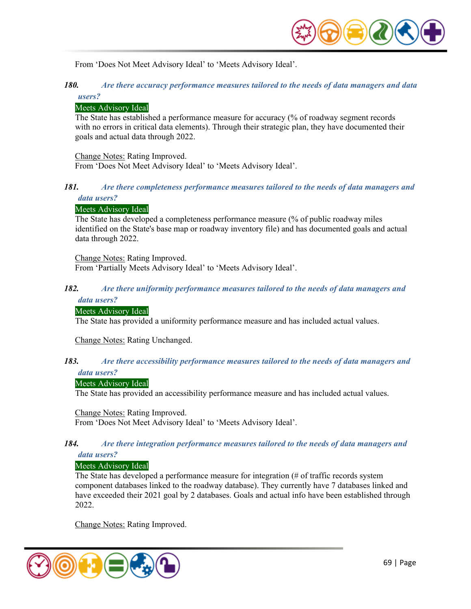

From 'Does Not Meet Advisory Ideal' to 'Meets Advisory Ideal'.

# *180. Are there accuracy performance measures tailored to the needs of data managers and data users?*

#### Meets Advisory Ideal

The State has established a performance measure for accuracy (% of roadway segment records with no errors in critical data elements). Through their strategic plan, they have documented their goals and actual data through 2022.

Change Notes: Rating Improved.

From 'Does Not Meet Advisory Ideal' to 'Meets Advisory Ideal'.

#### *181. Are there completeness performance measures tailored to the needs of data managers and data users?*

#### Meets Advisory Ideal

The State has developed a completeness performance measure (% of public roadway miles identified on the State's base map or roadway inventory file) and has documented goals and actual data through 2022.

Change Notes: Rating Improved.

From 'Partially Meets Advisory Ideal' to 'Meets Advisory Ideal'.

# *182. Are there uniformity performance measures tailored to the needs of data managers and*

# *data users?*

#### Meets Advisory Ideal

The State has provided a uniformity performance measure and has included actual values.

Change Notes: Rating Unchanged.

#### *183. Are there accessibility performance measures tailored to the needs of data managers and data users?*

#### Meets Advisory Ideal

The State has provided an accessibility performance measure and has included actual values.

Change Notes: Rating Improved. From 'Does Not Meet Advisory Ideal' to 'Meets Advisory Ideal'.

#### *184. Are there integration performance measures tailored to the needs of data managers and data users?*

Meets Advisory Ideal

The State has developed a performance measure for integration (# of traffic records system component databases linked to the roadway database). They currently have 7 databases linked and have exceeded their 2021 goal by 2 databases. Goals and actual info have been established through 2022.

Change Notes: Rating Improved.

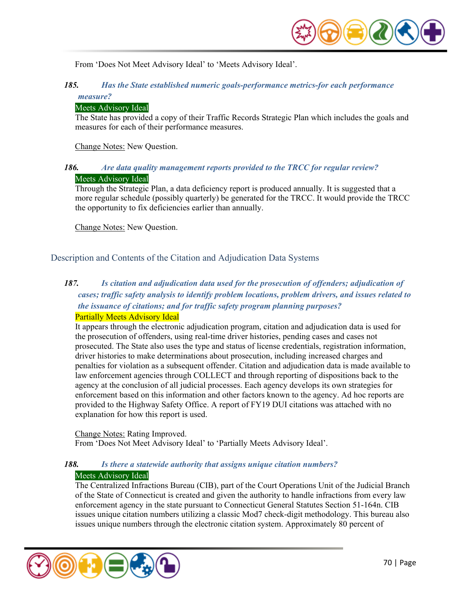

From 'Does Not Meet Advisory Ideal' to 'Meets Advisory Ideal'.

# *185. Has the State established numeric goals-performance metrics-for each performance measure?*

#### Meets Advisory Ideal

The State has provided a copy of their Traffic Records Strategic Plan which includes the goals and measures for each of their performance measures.

Change Notes: New Question.

## *186. Are data quality management reports provided to the TRCC for regular review?*  Meets Advisory Ideal

Through the Strategic Plan, a data deficiency report is produced annually. It is suggested that a more regular schedule (possibly quarterly) be generated for the TRCC. It would provide the TRCC the opportunity to fix deficiencies earlier than annually.

Change Notes: New Question.

Description and Contents of the Citation and Adjudication Data Systems

# *187. Is citation and adjudication data used for the prosecution of offenders; adjudication of cases; traffic safety analysis to identify problem locations, problem drivers, and issues related to the issuance of citations; and for traffic safety program planning purposes?*  Partially Meets Advisory Ideal

It appears through the electronic adjudication program, citation and adjudication data is used for the prosecution of offenders, using real-time driver histories, pending cases and cases not prosecuted. The State also uses the type and status of license credentials, registration information, driver histories to make determinations about prosecution, including increased charges and penalties for violation as a subsequent offender. Citation and adjudication data is made available to law enforcement agencies through COLLECT and through reporting of dispositions back to the agency at the conclusion of all judicial processes. Each agency develops its own strategies for enforcement based on this information and other factors known to the agency. Ad hoc reports are provided to the Highway Safety Office. A report of FY19 DUI citations was attached with no explanation for how this report is used.

Change Notes: Rating Improved. From 'Does Not Meet Advisory Ideal' to 'Partially Meets Advisory Ideal'.

# *188. Is there a statewide authority that assigns unique citation numbers?*

# Meets Advisory Ideal

The Centralized Infractions Bureau (CIB), part of the Court Operations Unit of the Judicial Branch of the State of Connecticut is created and given the authority to handle infractions from every law enforcement agency in the state pursuant to Connecticut General Statutes Section 51-164n. CIB issues unique citation numbers utilizing a classic Mod7 check-digit methodology. This bureau also issues unique numbers through the electronic citation system. Approximately 80 percent of

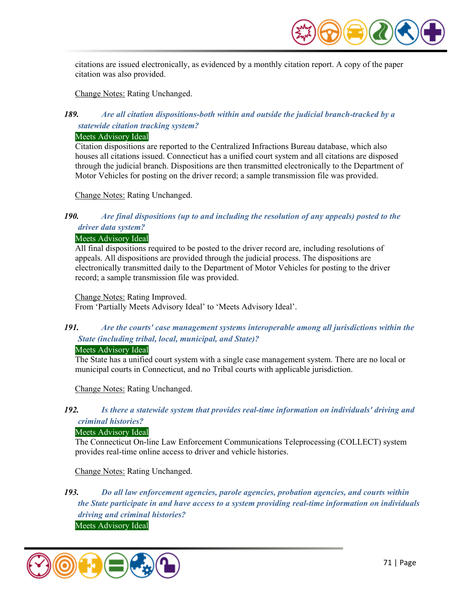

citations are issued electronically, as evidenced by a monthly citation report. A copy of the paper citation was also provided.

Change Notes: Rating Unchanged.

# *189. Are all citation dispositions-both within and outside the judicial branch-tracked by a statewide citation tracking system?*

#### Meets Advisory Ideal

Citation dispositions are reported to the Centralized Infractions Bureau database, which also houses all citations issued. Connecticut has a unified court system and all citations are disposed through the judicial branch. Dispositions are then transmitted electronically to the Department of Motor Vehicles for posting on the driver record; a sample transmission file was provided.

Change Notes: Rating Unchanged.

# *190. Are final dispositions (up to and including the resolution of any appeals) posted to the driver data system?*

#### Meets Advisory Ideal

All final dispositions required to be posted to the driver record are, including resolutions of appeals. All dispositions are provided through the judicial process. The dispositions are electronically transmitted daily to the Department of Motor Vehicles for posting to the driver record; a sample transmission file was provided.

Change Notes: Rating Improved. From 'Partially Meets Advisory Ideal' to 'Meets Advisory Ideal'.

# *191. Are the courts' case management systems interoperable among all jurisdictions within the State (including tribal, local, municipal, and State)?*

#### Meets Advisory Ideal

The State has a unified court system with a single case management system. There are no local or municipal courts in Connecticut, and no Tribal courts with applicable jurisdiction.

Change Notes: Rating Unchanged.

# *192. Is there a statewide system that provides real-time information on individuals' driving and criminal histories?*

# Meets Advisory Ideal

The Connecticut On-line Law Enforcement Communications Teleprocessing (COLLECT) system provides real-time online access to driver and vehicle histories.

Change Notes: Rating Unchanged.

*193. Do all law enforcement agencies, parole agencies, probation agencies, and courts within the State participate in and have access to a system providing real-time information on individuals driving and criminal histories?* 

Meets Advisory Ideal

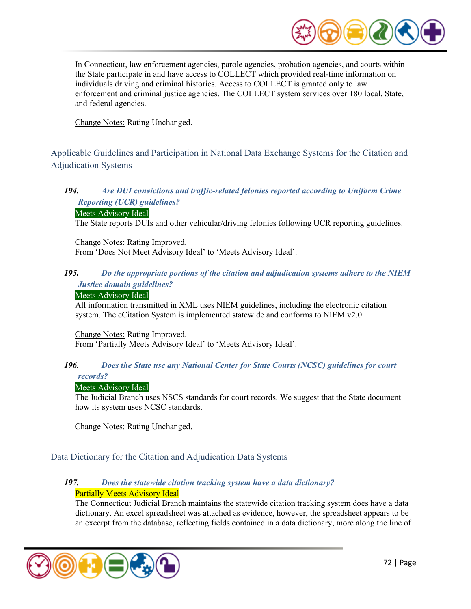

In Connecticut, law enforcement agencies, parole agencies, probation agencies, and courts within the State participate in and have access to COLLECT which provided real-time information on individuals driving and criminal histories. Access to COLLECT is granted only to law enforcement and criminal justice agencies. The COLLECT system services over 180 local, State, and federal agencies.

Change Notes: Rating Unchanged.

Applicable Guidelines and Participation in National Data Exchange Systems for the Citation and Adjudication Systems

# *194. Are DUI convictions and traffic-related felonies reported according to Uniform Crime Reporting (UCR) guidelines?*

#### Meets Advisory Ideal

The State reports DUIs and other vehicular/driving felonies following UCR reporting guidelines.

Change Notes: Rating Improved. From 'Does Not Meet Advisory Ideal' to 'Meets Advisory Ideal'.

#### *195. Do the appropriate portions of the citation and adjudication systems adhere to the NIEM Justice domain guidelines?*

#### Meets Advisory Ideal

All information transmitted in XML uses NIEM guidelines, including the electronic citation system. The eCitation System is implemented statewide and conforms to NIEM v2.0.

Change Notes: Rating Improved. From 'Partially Meets Advisory Ideal' to 'Meets Advisory Ideal'.

#### *196. Does the State use any National Center for State Courts (NCSC) guidelines for court records?*

#### Meets Advisory Ideal

The Judicial Branch uses NSCS standards for court records. We suggest that the State document how its system uses NCSC standards.

Change Notes: Rating Unchanged.

# Data Dictionary for the Citation and Adjudication Data Systems

# *197. Does the statewide citation tracking system have a data dictionary?*  Partially Meets Advisory Ideal

The Connecticut Judicial Branch maintains the statewide citation tracking system does have a data dictionary. An excel spreadsheet was attached as evidence, however, the spreadsheet appears to be an excerpt from the database, reflecting fields contained in a data dictionary, more along the line of

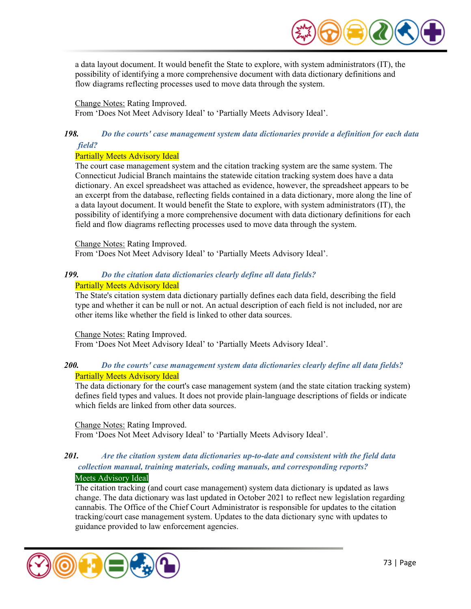

a data layout document. It would benefit the State to explore, with system administrators (IT), the possibility of identifying a more comprehensive document with data dictionary definitions and flow diagrams reflecting processes used to move data through the system.

#### Change Notes: Rating Improved.

From 'Does Not Meet Advisory Ideal' to 'Partially Meets Advisory Ideal'.

## *198. Do the courts' case management system data dictionaries provide a definition for each data field?*

#### Partially Meets Advisory Ideal

The court case management system and the citation tracking system are the same system. The Connecticut Judicial Branch maintains the statewide citation tracking system does have a data dictionary. An excel spreadsheet was attached as evidence, however, the spreadsheet appears to be an excerpt from the database, reflecting fields contained in a data dictionary, more along the line of a data layout document. It would benefit the State to explore, with system administrators (IT), the possibility of identifying a more comprehensive document with data dictionary definitions for each field and flow diagrams reflecting processes used to move data through the system.

Change Notes: Rating Improved.

From 'Does Not Meet Advisory Ideal' to 'Partially Meets Advisory Ideal'.

## *199. Do the citation data dictionaries clearly define all data fields?*  Partially Meets Advisory Ideal

The State's citation system data dictionary partially defines each data field, describing the field type and whether it can be null or not. An actual description of each field is not included, nor are other items like whether the field is linked to other data sources.

#### Change Notes: Rating Improved.

From 'Does Not Meet Advisory Ideal' to 'Partially Meets Advisory Ideal'.

## *200. Do the courts' case management system data dictionaries clearly define all data fields?*  Partially Meets Advisory Ideal

The data dictionary for the court's case management system (and the state citation tracking system) defines field types and values. It does not provide plain-language descriptions of fields or indicate which fields are linked from other data sources.

#### Change Notes: Rating Improved.

From 'Does Not Meet Advisory Ideal' to 'Partially Meets Advisory Ideal'.

## *201. Are the citation system data dictionaries up-to-date and consistent with the field data collection manual, training materials, coding manuals, and corresponding reports?*  Meets Advisory Ideal

The citation tracking (and court case management) system data dictionary is updated as laws change. The data dictionary was last updated in October 2021 to reflect new legislation regarding cannabis. The Office of the Chief Court Administrator is responsible for updates to the citation tracking/court case management system. Updates to the data dictionary sync with updates to guidance provided to law enforcement agencies.

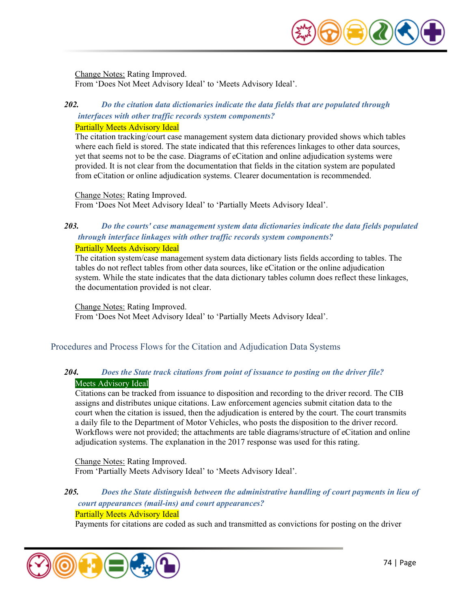

Change Notes: Rating Improved. From 'Does Not Meet Advisory Ideal' to 'Meets Advisory Ideal'.

## *202. Do the citation data dictionaries indicate the data fields that are populated through interfaces with other traffic records system components?*

#### Partially Meets Advisory Ideal

The citation tracking/court case management system data dictionary provided shows which tables where each field is stored. The state indicated that this references linkages to other data sources, yet that seems not to be the case. Diagrams of eCitation and online adjudication systems were provided. It is not clear from the documentation that fields in the citation system are populated from eCitation or online adjudication systems. Clearer documentation is recommended.

Change Notes: Rating Improved. From 'Does Not Meet Advisory Ideal' to 'Partially Meets Advisory Ideal'.

#### *203. Do the courts' case management system data dictionaries indicate the data fields populated through interface linkages with other traffic records system components?*  Partially Meets Advisory Ideal

The citation system/case management system data dictionary lists fields according to tables. The tables do not reflect tables from other data sources, like eCitation or the online adjudication system. While the state indicates that the data dictionary tables column does reflect these linkages, the documentation provided is not clear.

Change Notes: Rating Improved. From 'Does Not Meet Advisory Ideal' to 'Partially Meets Advisory Ideal'.

### Procedures and Process Flows for the Citation and Adjudication Data Systems

## *204. Does the State track citations from point of issuance to posting on the driver file?*  Meets Advisory Ideal

Citations can be tracked from issuance to disposition and recording to the driver record. The CIB assigns and distributes unique citations. Law enforcement agencies submit citation data to the court when the citation is issued, then the adjudication is entered by the court. The court transmits a daily file to the Department of Motor Vehicles, who posts the disposition to the driver record. Workflows were not provided; the attachments are table diagrams/structure of eCitation and online adjudication systems. The explanation in the 2017 response was used for this rating.

Change Notes: Rating Improved. From 'Partially Meets Advisory Ideal' to 'Meets Advisory Ideal'.

## *205. Does the State distinguish between the administrative handling of court payments in lieu of court appearances (mail-ins) and court appearances?*

#### Partially Meets Advisory Ideal

Payments for citations are coded as such and transmitted as convictions for posting on the driver

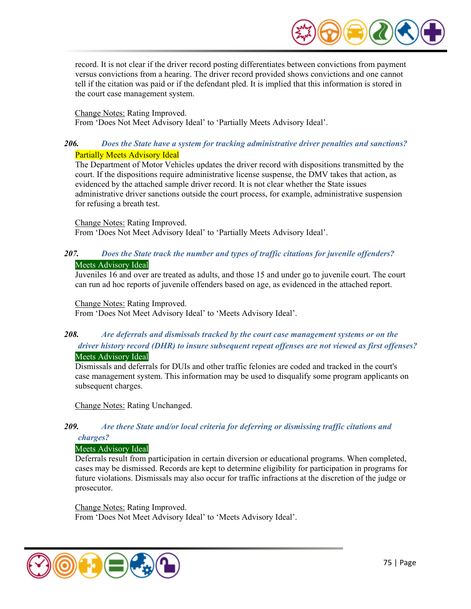

record. It is not clear if the driver record posting differentiates between convictions from payment versus convictions from a hearing. The driver record provided shows convictions and one cannot tell if the citation was paid or if the defendant pled. It is implied that this information is stored in the court case management system.

Change Notes: Rating Improved. From 'Does Not Meet Advisory Ideal' to 'Partially Meets Advisory Ideal'.

## *206. Does the State have a system for tracking administrative driver penalties and sanctions?*  Partially Meets Advisory Ideal

The Department of Motor Vehicles updates the driver record with dispositions transmitted by the court. If the dispositions require administrative license suspense, the DMV takes that action, as evidenced by the attached sample driver record. It is not clear whether the State issues administrative driver sanctions outside the court process, for example, administrative suspension for refusing a breath test.

#### Change Notes: Rating Improved.

From 'Does Not Meet Advisory Ideal' to 'Partially Meets Advisory Ideal'.

## *207. Does the State track the number and types of traffic citations for juvenile offenders?*  Meets Advisory Ideal

Juveniles 16 and over are treated as adults, and those 15 and under go to juvenile court. The court can run ad hoc reports of juvenile offenders based on age, as evidenced in the attached report.

#### Change Notes: Rating Improved.

From 'Does Not Meet Advisory Ideal' to 'Meets Advisory Ideal'.

## *208. Are deferrals and dismissals tracked by the court case management systems or on the driver history record (DHR) to insure subsequent repeat offenses are not viewed as first offenses?*

### Meets Advisory Ideal

Dismissals and deferrals for DUIs and other traffic felonies are coded and tracked in the court's case management system. This information may be used to disqualify some program applicants on subsequent charges.

Change Notes: Rating Unchanged.

## *209. Are there State and/or local criteria for deferring or dismissing traffic citations and*

#### *charges?*

## Meets Advisory Ideal

Deferrals result from participation in certain diversion or educational programs. When completed, cases may be dismissed. Records are kept to determine eligibility for participation in programs for future violations. Dismissals may also occur for traffic infractions at the discretion of the judge or prosecutor.

Change Notes: Rating Improved. From 'Does Not Meet Advisory Ideal' to 'Meets Advisory Ideal'.

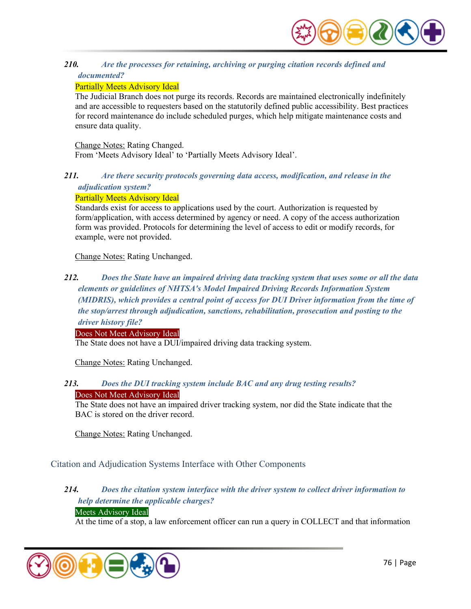

## *210. Are the processes for retaining, archiving or purging citation records defined and documented?*

### Partially Meets Advisory Ideal

The Judicial Branch does not purge its records. Records are maintained electronically indefinitely and are accessible to requesters based on the statutorily defined public accessibility. Best practices for record maintenance do include scheduled purges, which help mitigate maintenance costs and ensure data quality.

#### Change Notes: Rating Changed.

From 'Meets Advisory Ideal' to 'Partially Meets Advisory Ideal'.

## *211. Are there security protocols governing data access, modification, and release in the adjudication system?*

### Partially Meets Advisory Ideal

Standards exist for access to applications used by the court. Authorization is requested by form/application, with access determined by agency or need. A copy of the access authorization form was provided. Protocols for determining the level of access to edit or modify records, for example, were not provided.

Change Notes: Rating Unchanged.

## *212. Does the State have an impaired driving data tracking system that uses some or all the data elements or guidelines of NHTSA's Model Impaired Driving Records Information System (MIDRIS), which provides a central point of access for DUI Driver information from the time of the stop/arrest through adjudication, sanctions, rehabilitation, prosecution and posting to the driver history file?*

#### Does Not Meet Advisory Ideal

The State does not have a DUI/impaired driving data tracking system.

Change Notes: Rating Unchanged.

#### *213. Does the DUI tracking system include BAC and any drug testing results?*  Does Not Meet Advisory Ideal

The State does not have an impaired driver tracking system, nor did the State indicate that the BAC is stored on the driver record.

Change Notes: Rating Unchanged.

Citation and Adjudication Systems Interface with Other Components

## *214. Does the citation system interface with the driver system to collect driver information to help determine the applicable charges?*

## Meets Advisory Ideal

At the time of a stop, a law enforcement officer can run a query in COLLECT and that information

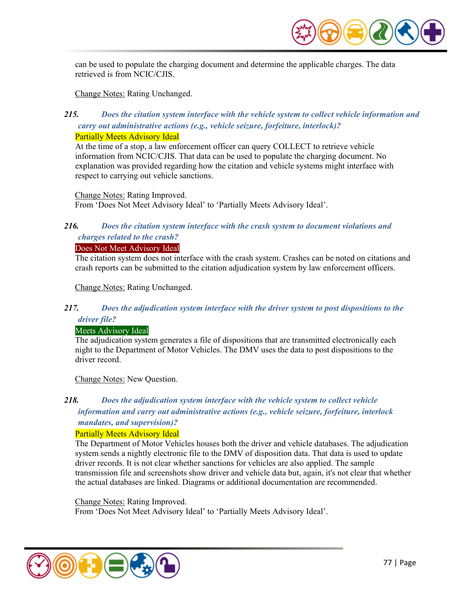

can be used to populate the charging document and determine the applicable charges. The data retrieved is from NCIC/CJIS.

Change Notes: Rating Unchanged.

## *215. Does the citation system interface with the vehicle system to collect vehicle information and carry out administrative actions (e.g., vehicle seizure, forfeiture, interlock)?*

Partially Meets Advisory Ideal

At the time of a stop, a law enforcement officer can query COLLECT to retrieve vehicle information from NCIC/CJIS. That data can be used to populate the charging document. No explanation was provided regarding how the citation and vehicle systems might interface with respect to carrying out vehicle sanctions.

Change Notes: Rating Improved. From 'Does Not Meet Advisory Ideal' to 'Partially Meets Advisory Ideal'.

## *216. Does the citation system interface with the crash system to document violations and charges related to the crash?*

#### Does Not Meet Advisory Ideal

The citation system does not interface with the crash system. Crashes can be noted on citations and crash reports can be submitted to the citation adjudication system by law enforcement officers.

Change Notes: Rating Unchanged.

## *217. Does the adjudication system interface with the driver system to post dispositions to the driver file?*

### Meets Advisory Ideal

The adjudication system generates a file of dispositions that are transmitted electronically each night to the Department of Motor Vehicles. The DMV uses the data to post dispositions to the driver record.

Change Notes: New Question.

## *218. Does the adjudication system interface with the vehicle system to collect vehicle information and carry out administrative actions (e.g., vehicle seizure, forfeiture, interlock*

## *mandates, and supervision)?*

### Partially Meets Advisory Ideal

The Department of Motor Vehicles houses both the driver and vehicle databases. The adjudication system sends a nightly electronic file to the DMV of disposition data. That data is used to update driver records. It is not clear whether sanctions for vehicles are also applied. The sample transmission file and screenshots show driver and vehicle data but, again, it's not clear that whether the actual databases are linked. Diagrams or additional documentation are recommended.

Change Notes: Rating Improved. From 'Does Not Meet Advisory Ideal' to 'Partially Meets Advisory Ideal'.

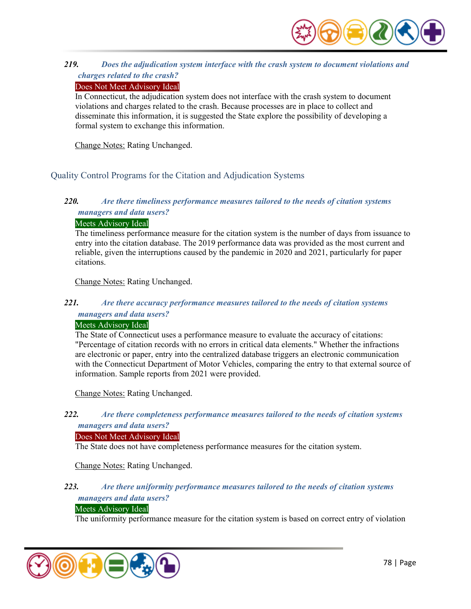

## *219. Does the adjudication system interface with the crash system to document violations and charges related to the crash?*

### Does Not Meet Advisory Ideal

In Connecticut, the adjudication system does not interface with the crash system to document violations and charges related to the crash. Because processes are in place to collect and disseminate this information, it is suggested the State explore the possibility of developing a formal system to exchange this information.

Change Notes: Rating Unchanged.

## Quality Control Programs for the Citation and Adjudication Systems

## *220. Are there timeliness performance measures tailored to the needs of citation systems managers and data users?*

#### Meets Advisory Ideal

The timeliness performance measure for the citation system is the number of days from issuance to entry into the citation database. The 2019 performance data was provided as the most current and reliable, given the interruptions caused by the pandemic in 2020 and 2021, particularly for paper citations.

Change Notes: Rating Unchanged.

## *221. Are there accuracy performance measures tailored to the needs of citation systems managers and data users?*

#### Meets Advisory Ideal

The State of Connecticut uses a performance measure to evaluate the accuracy of citations: "Percentage of citation records with no errors in critical data elements." Whether the infractions are electronic or paper, entry into the centralized database triggers an electronic communication with the Connecticut Department of Motor Vehicles, comparing the entry to that external source of information. Sample reports from 2021 were provided.

Change Notes: Rating Unchanged.

## *222. Are there completeness performance measures tailored to the needs of citation systems managers and data users?*

#### Does Not Meet Advisory Ideal

The State does not have completeness performance measures for the citation system.

### Change Notes: Rating Unchanged.

### *223. Are there uniformity performance measures tailored to the needs of citation systems managers and data users?*

#### Meets Advisory Ideal

The uniformity performance measure for the citation system is based on correct entry of violation

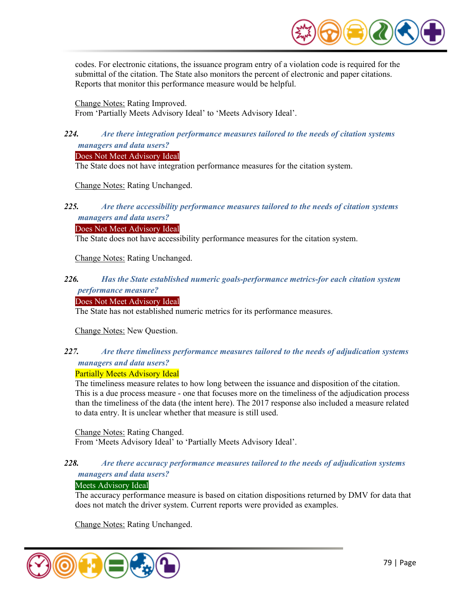

codes. For electronic citations, the issuance program entry of a violation code is required for the submittal of the citation. The State also monitors the percent of electronic and paper citations. Reports that monitor this performance measure would be helpful.

Change Notes: Rating Improved.

From 'Partially Meets Advisory Ideal' to 'Meets Advisory Ideal'.

## *224. Are there integration performance measures tailored to the needs of citation systems managers and data users?*

### Does Not Meet Advisory Ideal

The State does not have integration performance measures for the citation system.

Change Notes: Rating Unchanged.

## *225. Are there accessibility performance measures tailored to the needs of citation systems managers and data users?*

#### Does Not Meet Advisory Ideal

The State does not have accessibility performance measures for the citation system.

Change Notes: Rating Unchanged.

## *226. Has the State established numeric goals-performance metrics-for each citation system performance measure?*

#### Does Not Meet Advisory Ideal

The State has not established numeric metrics for its performance measures.

Change Notes: New Question.

## *227. Are there timeliness performance measures tailored to the needs of adjudication systems managers and data users?*

### Partially Meets Advisory Ideal

The timeliness measure relates to how long between the issuance and disposition of the citation. This is a due process measure - one that focuses more on the timeliness of the adjudication process than the timeliness of the data (the intent here). The 2017 response also included a measure related to data entry. It is unclear whether that measure is still used.

Change Notes: Rating Changed.

From 'Meets Advisory Ideal' to 'Partially Meets Advisory Ideal'.

### *228. Are there accuracy performance measures tailored to the needs of adjudication systems managers and data users?*

### Meets Advisory Ideal

The accuracy performance measure is based on citation dispositions returned by DMV for data that does not match the driver system. Current reports were provided as examples.

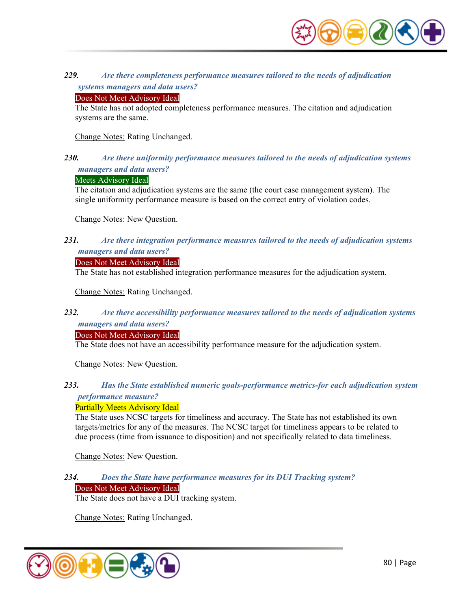

### *229. Are there completeness performance measures tailored to the needs of adjudication systems managers and data users?*

#### Does Not Meet Advisory Ideal

The State has not adopted completeness performance measures. The citation and adjudication systems are the same.

Change Notes: Rating Unchanged.

#### *230. Are there uniformity performance measures tailored to the needs of adjudication systems managers and data users?*

#### Meets Advisory Ideal

The citation and adjudication systems are the same (the court case management system). The single uniformity performance measure is based on the correct entry of violation codes.

Change Notes: New Question.

### *231. Are there integration performance measures tailored to the needs of adjudication systems managers and data users?*

#### Does Not Meet Advisory Ideal

The State has not established integration performance measures for the adjudication system.

Change Notes: Rating Unchanged.

### *232. Are there accessibility performance measures tailored to the needs of adjudication systems managers and data users?*

#### Does Not Meet Advisory Ideal

The State does not have an accessibility performance measure for the adjudication system.

Change Notes: New Question.

### *233. Has the State established numeric goals-performance metrics-for each adjudication system performance measure?*

#### Partially Meets Advisory Ideal

The State uses NCSC targets for timeliness and accuracy. The State has not established its own targets/metrics for any of the measures. The NCSC target for timeliness appears to be related to due process (time from issuance to disposition) and not specifically related to data timeliness.

Change Notes: New Question.

## *234. Does the State have performance measures for its DUI Tracking system?*

Does Not Meet Advisory Ideal

The State does not have a DUI tracking system.

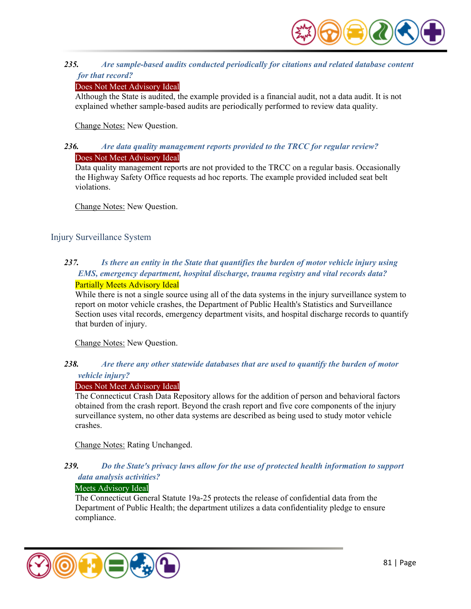

### *235. Are sample-based audits conducted periodically for citations and related database content for that record?*

### Does Not Meet Advisory Ideal

Although the State is audited, the example provided is a financial audit, not a data audit. It is not explained whether sample-based audits are periodically performed to review data quality.

Change Notes: New Question.

### *236. Are data quality management reports provided to the TRCC for regular review?*  Does Not Meet Advisory Ideal

Data quality management reports are not provided to the TRCC on a regular basis. Occasionally the Highway Safety Office requests ad hoc reports. The example provided included seat belt violations.

Change Notes: New Question.

## Injury Surveillance System

### *237. Is there an entity in the State that quantifies the burden of motor vehicle injury using EMS, emergency department, hospital discharge, trauma registry and vital records data?*  Partially Meets Advisory Ideal

While there is not a single source using all of the data systems in the injury surveillance system to report on motor vehicle crashes, the Department of Public Health's Statistics and Surveillance Section uses vital records, emergency department visits, and hospital discharge records to quantify that burden of injury.

Change Notes: New Question.

## *238. Are there any other statewide databases that are used to quantify the burden of motor vehicle injury?*

### Does Not Meet Advisory Ideal

The Connecticut Crash Data Repository allows for the addition of person and behavioral factors obtained from the crash report. Beyond the crash report and five core components of the injury surveillance system, no other data systems are described as being used to study motor vehicle crashes.

Change Notes: Rating Unchanged.

### *239. Do the State's privacy laws allow for the use of protected health information to support data analysis activities?*

#### Meets Advisory Ideal

The Connecticut General Statute 19a-25 protects the release of confidential data from the Department of Public Health; the department utilizes a data confidentiality pledge to ensure compliance.

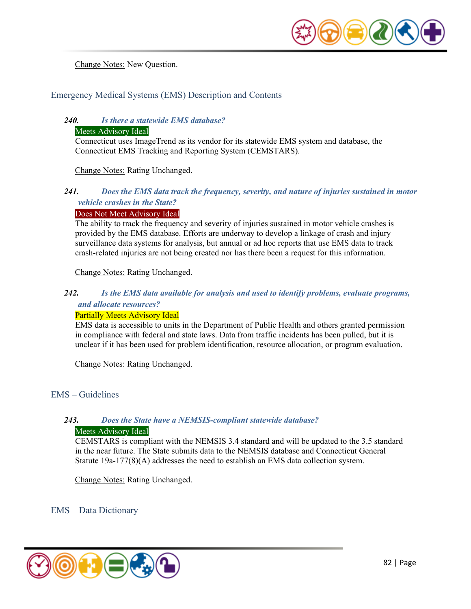

Change Notes: New Question.

Emergency Medical Systems (EMS) Description and Contents

## *240. Is there a statewide EMS database?*

#### Meets Advisory Ideal

Connecticut uses ImageTrend as its vendor for its statewide EMS system and database, the Connecticut EMS Tracking and Reporting System (CEMSTARS).

Change Notes: Rating Unchanged.

## *241. Does the EMS data track the frequency, severity, and nature of injuries sustained in motor vehicle crashes in the State?*

#### Does Not Meet Advisory Ideal

The ability to track the frequency and severity of injuries sustained in motor vehicle crashes is provided by the EMS database. Efforts are underway to develop a linkage of crash and injury surveillance data systems for analysis, but annual or ad hoc reports that use EMS data to track crash-related injuries are not being created nor has there been a request for this information.

Change Notes: Rating Unchanged.

#### *242. Is the EMS data available for analysis and used to identify problems, evaluate programs, and allocate resources?*

#### Partially Meets Advisory Ideal

EMS data is accessible to units in the Department of Public Health and others granted permission in compliance with federal and state laws. Data from traffic incidents has been pulled, but it is unclear if it has been used for problem identification, resource allocation, or program evaluation.

Change Notes: Rating Unchanged.

### EMS – Guidelines

### *243. Does the State have a NEMSIS-compliant statewide database?*

#### Meets Advisory Ideal

CEMSTARS is compliant with the NEMSIS 3.4 standard and will be updated to the 3.5 standard in the near future. The State submits data to the NEMSIS database and Connecticut General Statute 19a-177(8)(A) addresses the need to establish an EMS data collection system.

Change Notes: Rating Unchanged.

### EMS – Data Dictionary

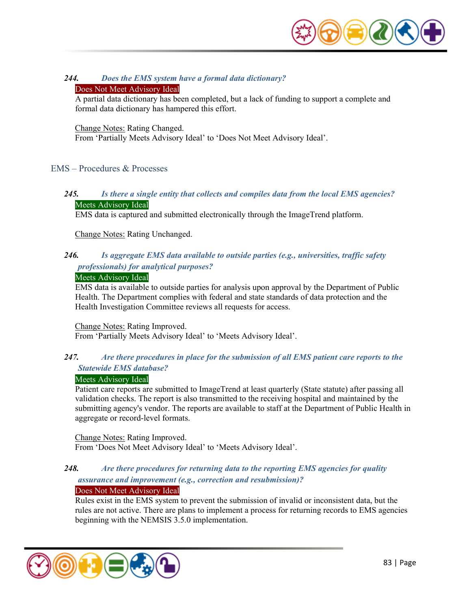

### *244. Does the EMS system have a formal data dictionary?*

#### Does Not Meet Advisory Ideal

A partial data dictionary has been completed, but a lack of funding to support a complete and formal data dictionary has hampered this effort.

#### Change Notes: Rating Changed.

From 'Partially Meets Advisory Ideal' to 'Does Not Meet Advisory Ideal'.

#### EMS – Procedures & Processes

### *245. Is there a single entity that collects and compiles data from the local EMS agencies?*  Meets Advisory Ideal

EMS data is captured and submitted electronically through the ImageTrend platform.

Change Notes: Rating Unchanged.

## *246. Is aggregate EMS data available to outside parties (e.g., universities, traffic safety professionals) for analytical purposes?*

#### Meets Advisory Ideal

EMS data is available to outside parties for analysis upon approval by the Department of Public Health. The Department complies with federal and state standards of data protection and the Health Investigation Committee reviews all requests for access.

Change Notes: Rating Improved. From 'Partially Meets Advisory Ideal' to 'Meets Advisory Ideal'.

# *247. Are there procedures in place for the submission of all EMS patient care reports to the*

## *Statewide EMS database?*

#### Meets Advisory Ideal

Patient care reports are submitted to ImageTrend at least quarterly (State statute) after passing all validation checks. The report is also transmitted to the receiving hospital and maintained by the submitting agency's vendor. The reports are available to staff at the Department of Public Health in aggregate or record-level formats.

#### Change Notes: Rating Improved.

From 'Does Not Meet Advisory Ideal' to 'Meets Advisory Ideal'.

## *248. Are there procedures for returning data to the reporting EMS agencies for quality assurance and improvement (e.g., correction and resubmission)?*

#### Does Not Meet Advisory Ideal

Rules exist in the EMS system to prevent the submission of invalid or inconsistent data, but the rules are not active. There are plans to implement a process for returning records to EMS agencies beginning with the NEMSIS 3.5.0 implementation.

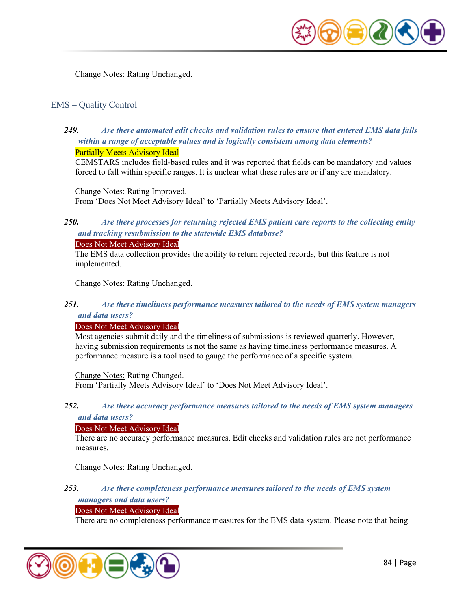

Change Notes: Rating Unchanged.

## EMS – Quality Control

*249. Are there automated edit checks and validation rules to ensure that entered EMS data falls within a range of acceptable values and is logically consistent among data elements?*  Partially Meets Advisory Ideal

CEMSTARS includes field-based rules and it was reported that fields can be mandatory and values forced to fall within specific ranges. It is unclear what these rules are or if any are mandatory.

Change Notes: Rating Improved. From 'Does Not Meet Advisory Ideal' to 'Partially Meets Advisory Ideal'.

## *250. Are there processes for returning rejected EMS patient care reports to the collecting entity and tracking resubmission to the statewide EMS database?*

Does Not Meet Advisory Ideal

The EMS data collection provides the ability to return rejected records, but this feature is not implemented.

Change Notes: Rating Unchanged.

### *251. Are there timeliness performance measures tailored to the needs of EMS system managers and data users?*

#### Does Not Meet Advisory Ideal

Most agencies submit daily and the timeliness of submissions is reviewed quarterly. However, having submission requirements is not the same as having timeliness performance measures. A performance measure is a tool used to gauge the performance of a specific system.

Change Notes: Rating Changed.

From 'Partially Meets Advisory Ideal' to 'Does Not Meet Advisory Ideal'.

#### *252. Are there accuracy performance measures tailored to the needs of EMS system managers and data users?*

#### Does Not Meet Advisory Ideal

There are no accuracy performance measures. Edit checks and validation rules are not performance measures.

Change Notes: Rating Unchanged.

### *253. Are there completeness performance measures tailored to the needs of EMS system managers and data users?*

#### Does Not Meet Advisory Ideal

There are no completeness performance measures for the EMS data system. Please note that being

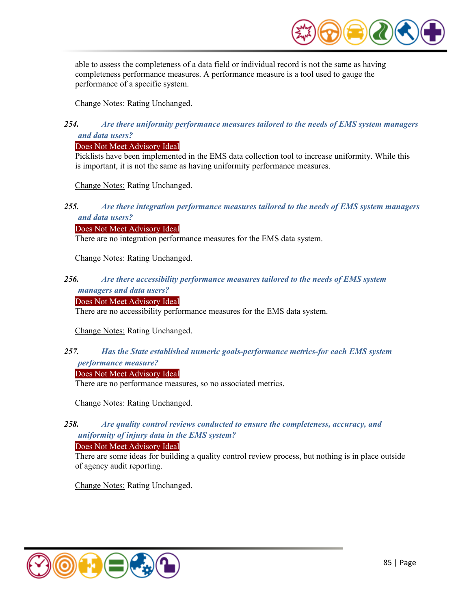

able to assess the completeness of a data field or individual record is not the same as having completeness performance measures. A performance measure is a tool used to gauge the performance of a specific system.

Change Notes: Rating Unchanged.

## *254. Are there uniformity performance measures tailored to the needs of EMS system managers and data users?*

### Does Not Meet Advisory Ideal

Picklists have been implemented in the EMS data collection tool to increase uniformity. While this is important, it is not the same as having uniformity performance measures.

Change Notes: Rating Unchanged.

### *255. Are there integration performance measures tailored to the needs of EMS system managers and data users?*

#### Does Not Meet Advisory Ideal

There are no integration performance measures for the EMS data system.

Change Notes: Rating Unchanged.

#### *256. Are there accessibility performance measures tailored to the needs of EMS system managers and data users?*

#### Does Not Meet Advisory Ideal

There are no accessibility performance measures for the EMS data system.

Change Notes: Rating Unchanged.

## *257. Has the State established numeric goals-performance metrics-for each EMS system performance measure?*

Does Not Meet Advisory Ideal

There are no performance measures, so no associated metrics.

Change Notes: Rating Unchanged.

## *258. Are quality control reviews conducted to ensure the completeness, accuracy, and uniformity of injury data in the EMS system?*

#### Does Not Meet Advisory Ideal

There are some ideas for building a quality control review process, but nothing is in place outside of agency audit reporting.

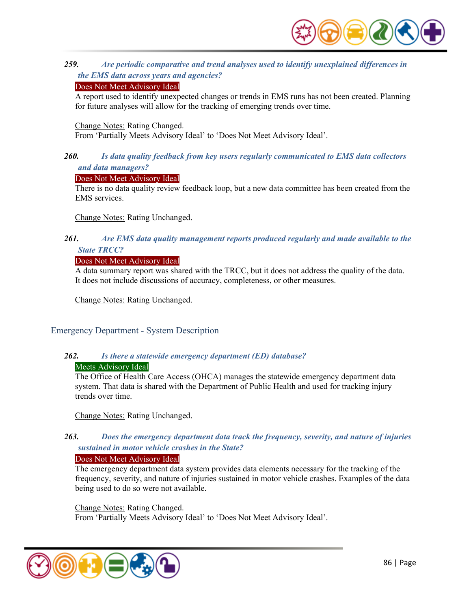

## *259. Are periodic comparative and trend analyses used to identify unexplained differences in the EMS data across years and agencies?*

#### Does Not Meet Advisory Ideal

A report used to identify unexpected changes or trends in EMS runs has not been created. Planning for future analyses will allow for the tracking of emerging trends over time.

#### Change Notes: Rating Changed.

From 'Partially Meets Advisory Ideal' to 'Does Not Meet Advisory Ideal'.

### *260. Is data quality feedback from key users regularly communicated to EMS data collectors and data managers?*

#### Does Not Meet Advisory Ideal

There is no data quality review feedback loop, but a new data committee has been created from the EMS services.

Change Notes: Rating Unchanged.

## *261. Are EMS data quality management reports produced regularly and made available to the State TRCC?*

## Does Not Meet Advisory Ideal

A data summary report was shared with the TRCC, but it does not address the quality of the data. It does not include discussions of accuracy, completeness, or other measures.

Change Notes: Rating Unchanged.

### Emergency Department - System Description

### *262. Is there a statewide emergency department (ED) database?*  Meets Advisory Ideal

The Office of Health Care Access (OHCA) manages the statewide emergency department data system. That data is shared with the Department of Public Health and used for tracking injury trends over time.

Change Notes: Rating Unchanged.

## *263. Does the emergency department data track the frequency, severity, and nature of injuries sustained in motor vehicle crashes in the State?*

#### Does Not Meet Advisory Ideal

The emergency department data system provides data elements necessary for the tracking of the frequency, severity, and nature of injuries sustained in motor vehicle crashes. Examples of the data being used to do so were not available.

Change Notes: Rating Changed.

From 'Partially Meets Advisory Ideal' to 'Does Not Meet Advisory Ideal'.

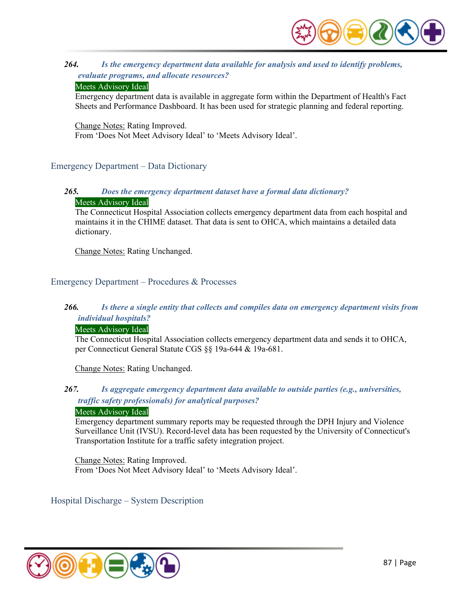

## *264. Is the emergency department data available for analysis and used to identify problems, evaluate programs, and allocate resources?*

#### Meets Advisory Ideal

Emergency department data is available in aggregate form within the Department of Health's Fact Sheets and Performance Dashboard. It has been used for strategic planning and federal reporting.

Change Notes: Rating Improved. From 'Does Not Meet Advisory Ideal' to 'Meets Advisory Ideal'.

## Emergency Department – Data Dictionary

#### *265. Does the emergency department dataset have a formal data dictionary?*  Meets Advisory Ideal

The Connecticut Hospital Association collects emergency department data from each hospital and maintains it in the CHIME dataset. That data is sent to OHCA, which maintains a detailed data dictionary.

Change Notes: Rating Unchanged.

## Emergency Department – Procedures & Processes

## *266. Is there a single entity that collects and compiles data on emergency department visits from individual hospitals?*

### Meets Advisory Ideal

The Connecticut Hospital Association collects emergency department data and sends it to OHCA, per Connecticut General Statute CGS §§ 19a-644 & 19a-681.

Change Notes: Rating Unchanged.

## *267. Is aggregate emergency department data available to outside parties (e.g., universities, traffic safety professionals) for analytical purposes?*

#### Meets Advisory Ideal

Emergency department summary reports may be requested through the DPH Injury and Violence Surveillance Unit (IVSU). Record-level data has been requested by the University of Connecticut's Transportation Institute for a traffic safety integration project.

Change Notes: Rating Improved. From 'Does Not Meet Advisory Ideal' to 'Meets Advisory Ideal'.

Hospital Discharge – System Description

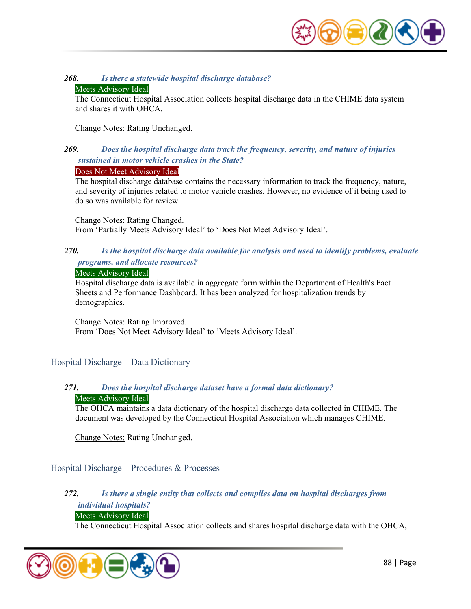

#### *268. Is there a statewide hospital discharge database?*

#### Meets Advisory Ideal

The Connecticut Hospital Association collects hospital discharge data in the CHIME data system and shares it with OHCA.

Change Notes: Rating Unchanged.

## *269. Does the hospital discharge data track the frequency, severity, and nature of injuries sustained in motor vehicle crashes in the State?*

#### Does Not Meet Advisory Ideal

The hospital discharge database contains the necessary information to track the frequency, nature, and severity of injuries related to motor vehicle crashes. However, no evidence of it being used to do so was available for review.

Change Notes: Rating Changed. From 'Partially Meets Advisory Ideal' to 'Does Not Meet Advisory Ideal'.

## *270. Is the hospital discharge data available for analysis and used to identify problems, evaluate programs, and allocate resources?*

#### Meets Advisory Ideal

Hospital discharge data is available in aggregate form within the Department of Health's Fact Sheets and Performance Dashboard. It has been analyzed for hospitalization trends by demographics.

Change Notes: Rating Improved. From 'Does Not Meet Advisory Ideal' to 'Meets Advisory Ideal'.

### Hospital Discharge – Data Dictionary

#### *271. Does the hospital discharge dataset have a formal data dictionary?*  Meets Advisory Ideal

The OHCA maintains a data dictionary of the hospital discharge data collected in CHIME. The document was developed by the Connecticut Hospital Association which manages CHIME.

Change Notes: Rating Unchanged.

Hospital Discharge – Procedures & Processes

## *272. Is there a single entity that collects and compiles data on hospital discharges from individual hospitals?*

## Meets Advisory Ideal

The Connecticut Hospital Association collects and shares hospital discharge data with the OHCA,

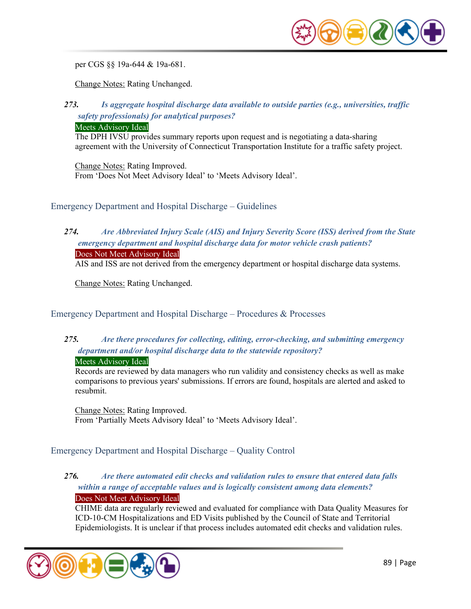

per CGS §§ 19a-644 & 19a-681.

Change Notes: Rating Unchanged.

## *273. Is aggregate hospital discharge data available to outside parties (e.g., universities, traffic safety professionals) for analytical purposes?*

#### Meets Advisory Ideal

The DPH IVSU provides summary reports upon request and is negotiating a data-sharing agreement with the University of Connecticut Transportation Institute for a traffic safety project.

Change Notes: Rating Improved. From 'Does Not Meet Advisory Ideal' to 'Meets Advisory Ideal'.

Emergency Department and Hospital Discharge – Guidelines

## *274. Are Abbreviated Injury Scale (AIS) and Injury Severity Score (ISS) derived from the State emergency department and hospital discharge data for motor vehicle crash patients?*  Does Not Meet Advisory Ideal

AIS and ISS are not derived from the emergency department or hospital discharge data systems.

Change Notes: Rating Unchanged.

Emergency Department and Hospital Discharge – Procedures & Processes

## *275. Are there procedures for collecting, editing, error-checking, and submitting emergency department and/or hospital discharge data to the statewide repository?*

#### Meets Advisory Ideal

Records are reviewed by data managers who run validity and consistency checks as well as make comparisons to previous years' submissions. If errors are found, hospitals are alerted and asked to resubmit.

Change Notes: Rating Improved. From 'Partially Meets Advisory Ideal' to 'Meets Advisory Ideal'.

### Emergency Department and Hospital Discharge – Quality Control

## *276. Are there automated edit checks and validation rules to ensure that entered data falls within a range of acceptable values and is logically consistent among data elements?*  Does Not Meet Advisory Ideal

CHIME data are regularly reviewed and evaluated for compliance with Data Quality Measures for ICD-10-CM Hospitalizations and ED Visits published by the Council of State and Territorial Epidemiologists. It is unclear if that process includes automated edit checks and validation rules.

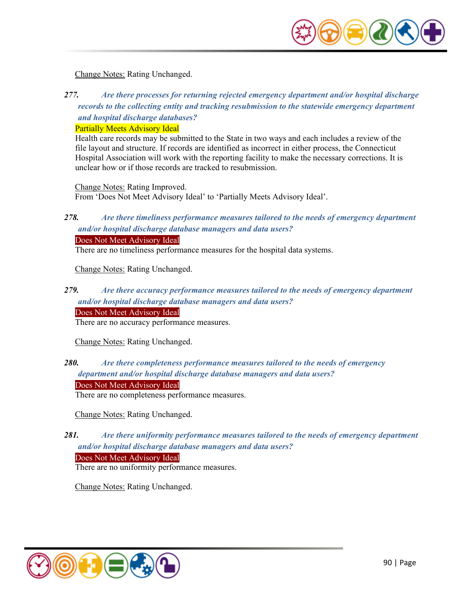

Change Notes: Rating Unchanged.

*277. Are there processes for returning rejected emergency department and/or hospital discharge records to the collecting entity and tracking resubmission to the statewide emergency department and hospital discharge databases?* 

#### Partially Meets Advisory Ideal

Health care records may be submitted to the State in two ways and each includes a review of the file layout and structure. If records are identified as incorrect in either process, the Connecticut Hospital Association will work with the reporting facility to make the necessary corrections. It is unclear how or if those records are tracked to resubmission.

Change Notes: Rating Improved. From 'Does Not Meet Advisory Ideal' to 'Partially Meets Advisory Ideal'.

## *278. Are there timeliness performance measures tailored to the needs of emergency department and/or hospital discharge database managers and data users?*

Does Not Meet Advisory Ideal

There are no timeliness performance measures for the hospital data systems.

Change Notes: Rating Unchanged.

## *279. Are there accuracy performance measures tailored to the needs of emergency department and/or hospital discharge database managers and data users?*

Does Not Meet Advisory Ideal

There are no accuracy performance measures.

Change Notes: Rating Unchanged.

## *280. Are there completeness performance measures tailored to the needs of emergency department and/or hospital discharge database managers and data users?*

Does Not Meet Advisory Ideal

There are no completeness performance measures.

Change Notes: Rating Unchanged.

## *281. Are there uniformity performance measures tailored to the needs of emergency department and/or hospital discharge database managers and data users?*

Does Not Meet Advisory Ideal

There are no uniformity performance measures.

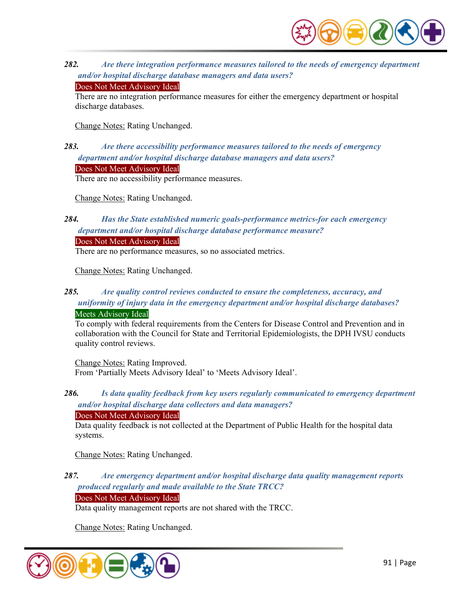

*282. Are there integration performance measures tailored to the needs of emergency department and/or hospital discharge database managers and data users?* 

#### Does Not Meet Advisory Ideal

There are no integration performance measures for either the emergency department or hospital discharge databases.

Change Notes: Rating Unchanged.

## *283. Are there accessibility performance measures tailored to the needs of emergency department and/or hospital discharge database managers and data users?*  Does Not Meet Advisory Ideal

There are no accessibility performance measures.

Change Notes: Rating Unchanged.

## *284. Has the State established numeric goals-performance metrics-for each emergency department and/or hospital discharge database performance measure?*

Does Not Meet Advisory Ideal

There are no performance measures, so no associated metrics.

Change Notes: Rating Unchanged.

## *285. Are quality control reviews conducted to ensure the completeness, accuracy, and uniformity of injury data in the emergency department and/or hospital discharge databases?*  Meets Advisory Ideal

To comply with federal requirements from the Centers for Disease Control and Prevention and in collaboration with the Council for State and Territorial Epidemiologists, the DPH IVSU conducts quality control reviews.

Change Notes: Rating Improved. From 'Partially Meets Advisory Ideal' to 'Meets Advisory Ideal'.

*286. Is data quality feedback from key users regularly communicated to emergency department and/or hospital discharge data collectors and data managers?* 

### Does Not Meet Advisory Ideal

Data quality feedback is not collected at the Department of Public Health for the hospital data systems.

Change Notes: Rating Unchanged.

## *287. Are emergency department and/or hospital discharge data quality management reports produced regularly and made available to the State TRCC?*

Does Not Meet Advisory Ideal

Data quality management reports are not shared with the TRCC.

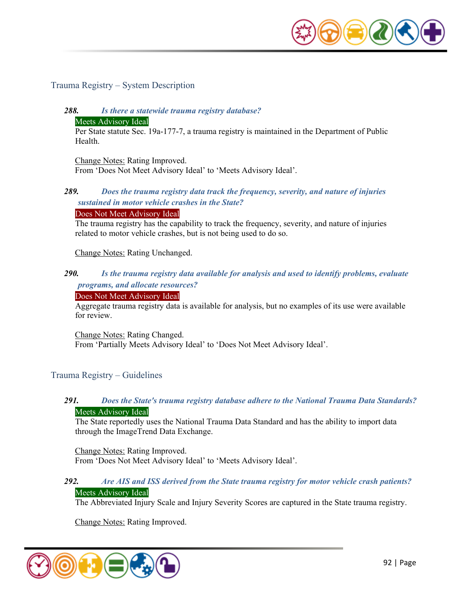

### Trauma Registry – System Description

## *288. Is there a statewide trauma registry database?*

#### Meets Advisory Ideal

Per State statute Sec. 19a-177-7, a trauma registry is maintained in the Department of Public Health.

Change Notes: Rating Improved. From 'Does Not Meet Advisory Ideal' to 'Meets Advisory Ideal'.

### *289. Does the trauma registry data track the frequency, severity, and nature of injuries sustained in motor vehicle crashes in the State?*

#### Does Not Meet Advisory Ideal

The trauma registry has the capability to track the frequency, severity, and nature of injuries related to motor vehicle crashes, but is not being used to do so.

#### Change Notes: Rating Unchanged.

#### *290. Is the trauma registry data available for analysis and used to identify problems, evaluate programs, and allocate resources?*

#### Does Not Meet Advisory Ideal

Aggregate trauma registry data is available for analysis, but no examples of its use were available for review.

Change Notes: Rating Changed.

From 'Partially Meets Advisory Ideal' to 'Does Not Meet Advisory Ideal'.

### Trauma Registry – Guidelines

#### *291. Does the State's trauma registry database adhere to the National Trauma Data Standards?*  Meets Advisory Ideal

The State reportedly uses the National Trauma Data Standard and has the ability to import data through the ImageTrend Data Exchange.

Change Notes: Rating Improved. From 'Does Not Meet Advisory Ideal' to 'Meets Advisory Ideal'.

#### *292. Are AIS and ISS derived from the State trauma registry for motor vehicle crash patients?*  Meets Advisory Ideal

The Abbreviated Injury Scale and Injury Severity Scores are captured in the State trauma registry.

Change Notes: Rating Improved.

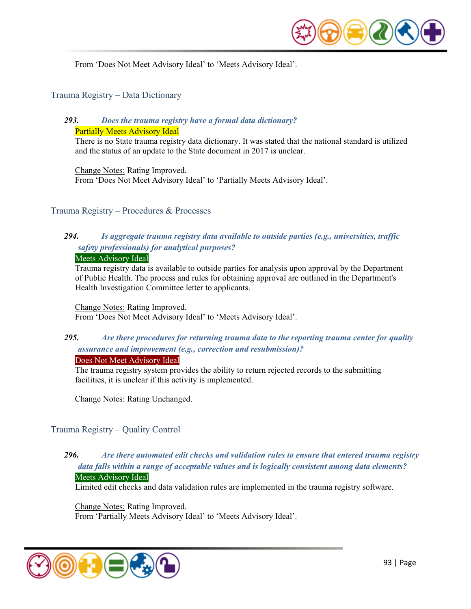

From 'Does Not Meet Advisory Ideal' to 'Meets Advisory Ideal'.

#### Trauma Registry – Data Dictionary

#### *293. Does the trauma registry have a formal data dictionary?*  Partially Meets Advisory Ideal

There is no State trauma registry data dictionary. It was stated that the national standard is utilized and the status of an update to the State document in 2017 is unclear.

Change Notes: Rating Improved. From 'Does Not Meet Advisory Ideal' to 'Partially Meets Advisory Ideal'.

#### Trauma Registry – Procedures & Processes

## *294. Is aggregate trauma registry data available to outside parties (e.g., universities, traffic safety professionals) for analytical purposes?*

#### Meets Advisory Ideal

Trauma registry data is available to outside parties for analysis upon approval by the Department of Public Health. The process and rules for obtaining approval are outlined in the Department's Health Investigation Committee letter to applicants.

Change Notes: Rating Improved. From 'Does Not Meet Advisory Ideal' to 'Meets Advisory Ideal'.

## *295. Are there procedures for returning trauma data to the reporting trauma center for quality assurance and improvement (e.g., correction and resubmission)?*

#### Does Not Meet Advisory Ideal

The trauma registry system provides the ability to return rejected records to the submitting facilities, it is unclear if this activity is implemented.

Change Notes: Rating Unchanged.

### Trauma Registry – Quality Control

## *296. Are there automated edit checks and validation rules to ensure that entered trauma registry data falls within a range of acceptable values and is logically consistent among data elements?*

#### Meets Advisory Ideal

Limited edit checks and data validation rules are implemented in the trauma registry software.

Change Notes: Rating Improved. From 'Partially Meets Advisory Ideal' to 'Meets Advisory Ideal'.

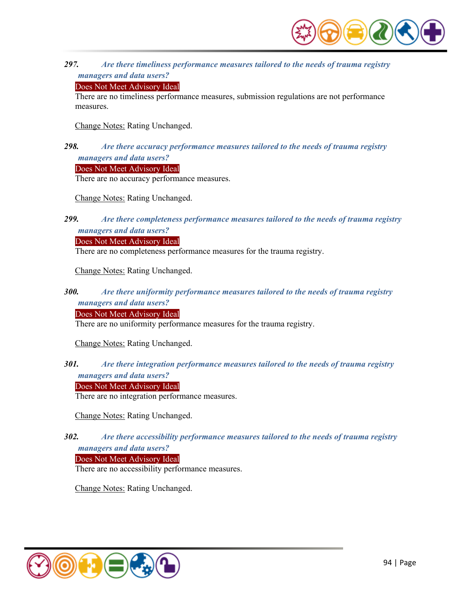

*297. Are there timeliness performance measures tailored to the needs of trauma registry managers and data users?* 

#### Does Not Meet Advisory Ideal

There are no timeliness performance measures, submission regulations are not performance measures.

Change Notes: Rating Unchanged.

## *298. Are there accuracy performance measures tailored to the needs of trauma registry managers and data users?*

Does Not Meet Advisory Ideal

There are no accuracy performance measures.

Change Notes: Rating Unchanged.

## *299. Are there completeness performance measures tailored to the needs of trauma registry managers and data users?*

Does Not Meet Advisory Ideal

There are no completeness performance measures for the trauma registry.

Change Notes: Rating Unchanged.

## *300. Are there uniformity performance measures tailored to the needs of trauma registry managers and data users?*

Does Not Meet Advisory Ideal

There are no uniformity performance measures for the trauma registry.

Change Notes: Rating Unchanged.

## *301. Are there integration performance measures tailored to the needs of trauma registry managers and data users?*

Does Not Meet Advisory Ideal

There are no integration performance measures.

Change Notes: Rating Unchanged.

## *302. Are there accessibility performance measures tailored to the needs of trauma registry managers and data users?*

Does Not Meet Advisory Ideal

There are no accessibility performance measures.

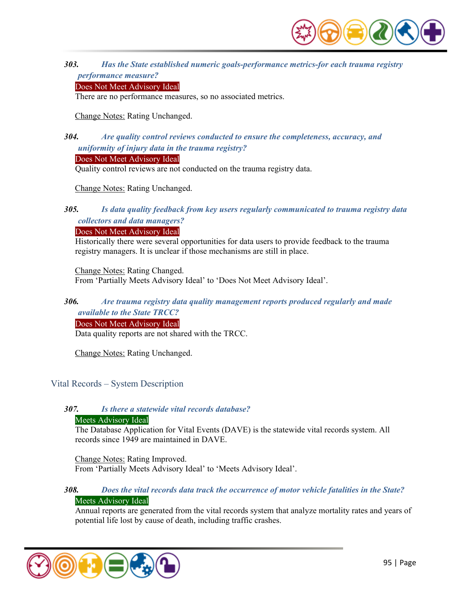

*303. Has the State established numeric goals-performance metrics-for each trauma registry performance measure?* 

#### Does Not Meet Advisory Ideal

There are no performance measures, so no associated metrics.

Change Notes: Rating Unchanged.

## *304. Are quality control reviews conducted to ensure the completeness, accuracy, and uniformity of injury data in the trauma registry?*

#### Does Not Meet Advisory Ideal

Quality control reviews are not conducted on the trauma registry data.

Change Notes: Rating Unchanged.

## *305. Is data quality feedback from key users regularly communicated to trauma registry data collectors and data managers?*

#### Does Not Meet Advisory Ideal

Historically there were several opportunities for data users to provide feedback to the trauma registry managers. It is unclear if those mechanisms are still in place.

Change Notes: Rating Changed. From 'Partially Meets Advisory Ideal' to 'Does Not Meet Advisory Ideal'.

### *306. Are trauma registry data quality management reports produced regularly and made available to the State TRCC?*

Does Not Meet Advisory Ideal

Data quality reports are not shared with the TRCC.

Change Notes: Rating Unchanged.

### Vital Records – System Description

#### *307. Is there a statewide vital records database?*

#### Meets Advisory Ideal

The Database Application for Vital Events (DAVE) is the statewide vital records system. All records since 1949 are maintained in DAVE.

Change Notes: Rating Improved. From 'Partially Meets Advisory Ideal' to 'Meets Advisory Ideal'.

### *308. Does the vital records data track the occurrence of motor vehicle fatalities in the State?*  Meets Advisory Ideal

Annual reports are generated from the vital records system that analyze mortality rates and years of potential life lost by cause of death, including traffic crashes.

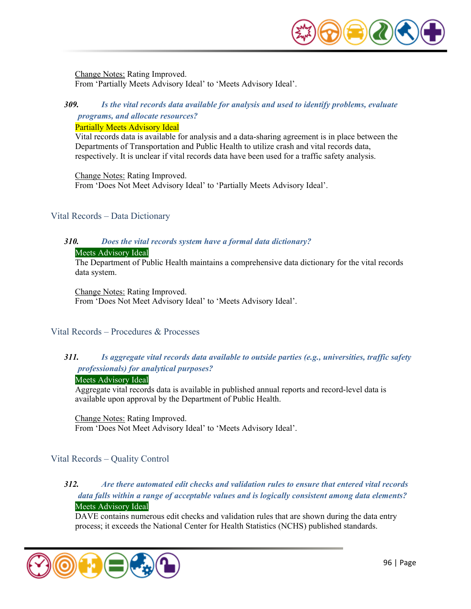

Change Notes: Rating Improved. From 'Partially Meets Advisory Ideal' to 'Meets Advisory Ideal'.

## *309. Is the vital records data available for analysis and used to identify problems, evaluate*

## *programs, and allocate resources?*

Partially Meets Advisory Ideal

Vital records data is available for analysis and a data-sharing agreement is in place between the Departments of Transportation and Public Health to utilize crash and vital records data, respectively. It is unclear if vital records data have been used for a traffic safety analysis.

Change Notes: Rating Improved. From 'Does Not Meet Advisory Ideal' to 'Partially Meets Advisory Ideal'.

## Vital Records – Data Dictionary

# *310. Does the vital records system have a formal data dictionary?*

#### Meets Advisory Ideal

The Department of Public Health maintains a comprehensive data dictionary for the vital records data system.

Change Notes: Rating Improved.

From 'Does Not Meet Advisory Ideal' to 'Meets Advisory Ideal'.

### Vital Records – Procedures & Processes

## *311. Is aggregate vital records data available to outside parties (e.g., universities, traffic safety professionals) for analytical purposes?*

#### Meets Advisory Ideal

Aggregate vital records data is available in published annual reports and record-level data is available upon approval by the Department of Public Health.

Change Notes: Rating Improved. From 'Does Not Meet Advisory Ideal' to 'Meets Advisory Ideal'.

## Vital Records – Quality Control

### *312. Are there automated edit checks and validation rules to ensure that entered vital records data falls within a range of acceptable values and is logically consistent among data elements?*  Meets Advisory Ideal

DAVE contains numerous edit checks and validation rules that are shown during the data entry process; it exceeds the National Center for Health Statistics (NCHS) published standards.

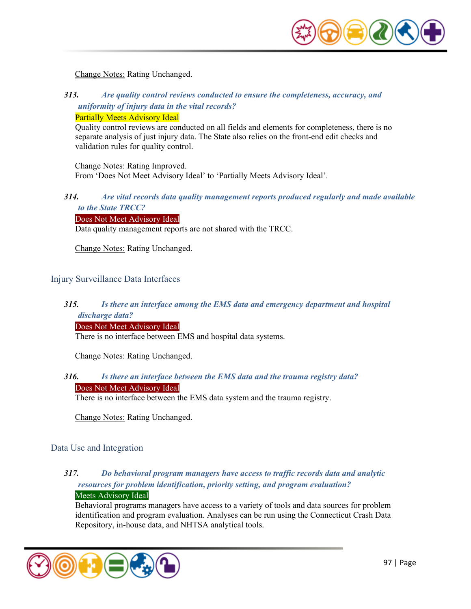

Change Notes: Rating Unchanged.

*313. Are quality control reviews conducted to ensure the completeness, accuracy, and uniformity of injury data in the vital records?*  Partially Meets Advisory Ideal

Quality control reviews are conducted on all fields and elements for completeness, there is no separate analysis of just injury data. The State also relies on the front-end edit checks and validation rules for quality control.

Change Notes: Rating Improved. From 'Does Not Meet Advisory Ideal' to 'Partially Meets Advisory Ideal'.

*314. Are vital records data quality management reports produced regularly and made available to the State TRCC?* 

Does Not Meet Advisory Ideal

Data quality management reports are not shared with the TRCC.

Change Notes: Rating Unchanged.

#### Injury Surveillance Data Interfaces

## *315. Is there an interface among the EMS data and emergency department and hospital discharge data?*

#### Does Not Meet Advisory Ideal

There is no interface between EMS and hospital data systems.

Change Notes: Rating Unchanged.

## *316. Is there an interface between the EMS data and the trauma registry data?*

Does Not Meet Advisory Ideal

There is no interface between the EMS data system and the trauma registry.

Change Notes: Rating Unchanged.

#### Data Use and Integration

## *317. Do behavioral program managers have access to traffic records data and analytic resources for problem identification, priority setting, and program evaluation?*  Meets Advisory Ideal

Behavioral programs managers have access to a variety of tools and data sources for problem identification and program evaluation. Analyses can be run using the Connecticut Crash Data Repository, in-house data, and NHTSA analytical tools.

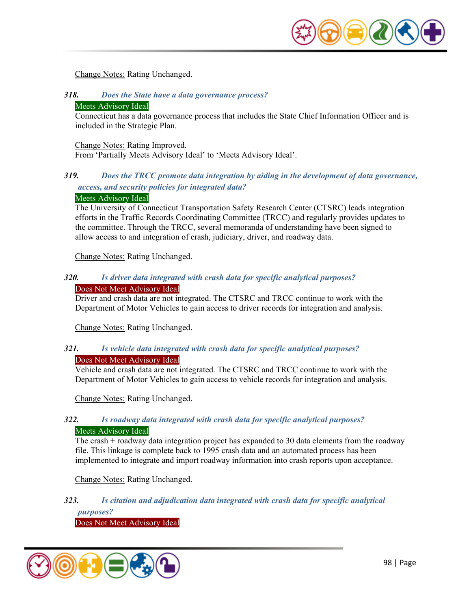

Change Notes: Rating Unchanged.

*318. Does the State have a data governance process?*  Meets Advisory Ideal

Connecticut has a data governance process that includes the State Chief Information Officer and is included in the Strategic Plan.

Change Notes: Rating Improved. From 'Partially Meets Advisory Ideal' to 'Meets Advisory Ideal'.

## *319. Does the TRCC promote data integration by aiding in the development of data governance, access, and security policies for integrated data?*

#### Meets Advisory Ideal

The University of Connecticut Transportation Safety Research Center (CTSRC) leads integration efforts in the Traffic Records Coordinating Committee (TRCC) and regularly provides updates to the committee. Through the TRCC, several memoranda of understanding have been signed to allow access to and integration of crash, judiciary, driver, and roadway data.

Change Notes: Rating Unchanged.

#### *320. Is driver data integrated with crash data for specific analytical purposes?*  Does Not Meet Advisory Ideal

Driver and crash data are not integrated. The CTSRC and TRCC continue to work with the Department of Motor Vehicles to gain access to driver records for integration and analysis.

Change Notes: Rating Unchanged.

#### *321. Is vehicle data integrated with crash data for specific analytical purposes?*  Does Not Meet Advisory Ideal

Vehicle and crash data are not integrated. The CTSRC and TRCC continue to work with the Department of Motor Vehicles to gain access to vehicle records for integration and analysis.

Change Notes: Rating Unchanged.

### *322. Is roadway data integrated with crash data for specific analytical purposes?*  Meets Advisory Ideal

The crash  $+$  roadway data integration project has expanded to 30 data elements from the roadway file. This linkage is complete back to 1995 crash data and an automated process has been implemented to integrate and import roadway information into crash reports upon acceptance.

Change Notes: Rating Unchanged.

## *323. Is citation and adjudication data integrated with crash data for specific analytical purposes?*

Does Not Meet Advisory Ideal

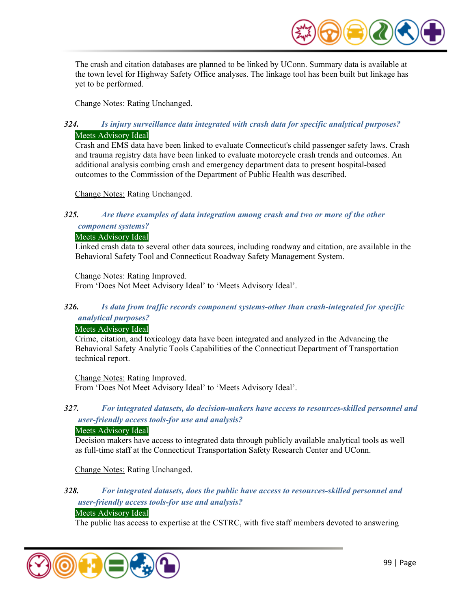

The crash and citation databases are planned to be linked by UConn. Summary data is available at the town level for Highway Safety Office analyses. The linkage tool has been built but linkage has yet to be performed.

Change Notes: Rating Unchanged.

## *324. Is injury surveillance data integrated with crash data for specific analytical purposes?*  Meets Advisory Ideal

Crash and EMS data have been linked to evaluate Connecticut's child passenger safety laws. Crash and trauma registry data have been linked to evaluate motorcycle crash trends and outcomes. An additional analysis combing crash and emergency department data to present hospital-based outcomes to the Commission of the Department of Public Health was described.

Change Notes: Rating Unchanged.

## *325. Are there examples of data integration among crash and two or more of the other*

*component systems?* 

### Meets Advisory Ideal

Linked crash data to several other data sources, including roadway and citation, are available in the Behavioral Safety Tool and Connecticut Roadway Safety Management System.

Change Notes: Rating Improved. From 'Does Not Meet Advisory Ideal' to 'Meets Advisory Ideal'.

## *326. Is data from traffic records component systems-other than crash-integrated for specific analytical purposes?*

### Meets Advisory Ideal

Crime, citation, and toxicology data have been integrated and analyzed in the Advancing the Behavioral Safety Analytic Tools Capabilities of the Connecticut Department of Transportation technical report.

Change Notes: Rating Improved. From 'Does Not Meet Advisory Ideal' to 'Meets Advisory Ideal'.

## *327. For integrated datasets, do decision-makers have access to resources-skilled personnel and user-friendly access tools-for use and analysis?*

#### Meets Advisory Ideal

Decision makers have access to integrated data through publicly available analytical tools as well as full-time staff at the Connecticut Transportation Safety Research Center and UConn.

Change Notes: Rating Unchanged.

## *328. For integrated datasets, does the public have access to resources-skilled personnel and user-friendly access tools-for use and analysis?*

## Meets Advisory Ideal

The public has access to expertise at the CSTRC, with five staff members devoted to answering

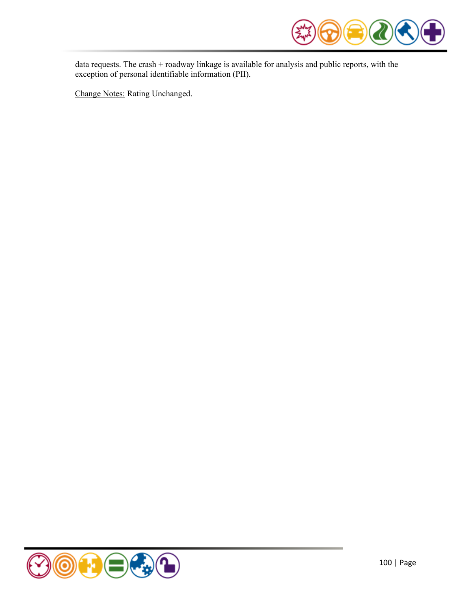

data requests. The crash + roadway linkage is available for analysis and public reports, with the exception of personal identifiable information (PII).

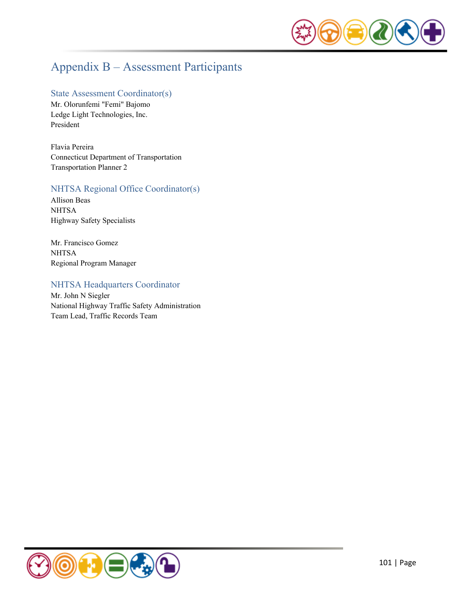

## Appendix B – Assessment Participants

#### State Assessment Coordinator(s)

Mr. Olorunfemi "Femi" Bajomo Ledge Light Technologies, Inc. President

Flavia Pereira Connecticut Department of Transportation Transportation Planner 2

## NHTSA Regional Office Coordinator(s)

Allison Beas **NHTSA** Highway Safety Specialists

Mr. Francisco Gomez **NHTSA** Regional Program Manager

## NHTSA Headquarters Coordinator

Mr. John N Siegler National Highway Traffic Safety Administration Team Lead, Traffic Records Team

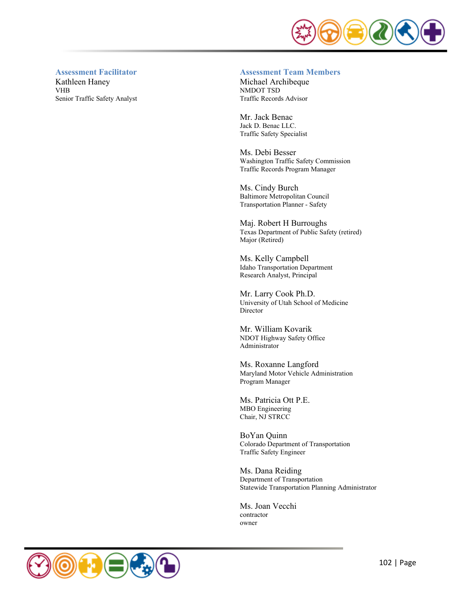

#### **Assessment Facilitator**

Kathleen Haney VHB Senior Traffic Safety Analyst

#### **Assessment Team Members**

Michael Archibeque NMDOT TSD Traffic Records Advisor

Mr. Jack Benac Jack D. Benac LLC. Traffic Safety Specialist

Ms. Debi Besser Washington Traffic Safety Commission Traffic Records Program Manager

Ms. Cindy Burch Baltimore Metropolitan Council Transportation Planner - Safety

Maj. Robert H Burroughs Texas Department of Public Safety (retired) Major (Retired)

Ms. Kelly Campbell Idaho Transportation Department Research Analyst, Principal

Mr. Larry Cook Ph.D. University of Utah School of Medicine Director

Mr. William Kovarik NDOT Highway Safety Office Administrator

Ms. Roxanne Langford Maryland Motor Vehicle Administration Program Manager

Ms. Patricia Ott P.E. MBO Engineering Chair, NJ STRCC

BoYan Quinn Colorado Department of Transportation Traffic Safety Engineer

Ms. Dana Reiding Department of Transportation Statewide Transportation Planning Administrator

Ms. Joan Vecchi contractor owner

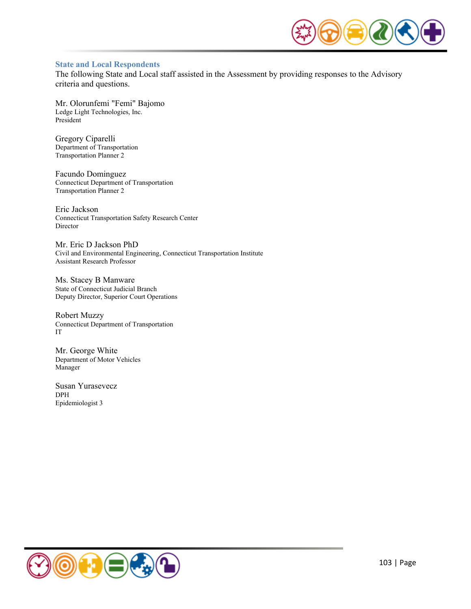

#### **State and Local Respondents**

The following State and Local staff assisted in the Assessment by providing responses to the Advisory criteria and questions.

Mr. Olorunfemi "Femi" Bajomo Ledge Light Technologies, Inc. President

Gregory Ciparelli Department of Transportation Transportation Planner 2

Facundo Dominguez Connecticut Department of Transportation Transportation Planner 2

Eric Jackson Connecticut Transportation Safety Research Center Director

Mr. Eric D Jackson PhD Civil and Environmental Engineering, Connecticut Transportation Institute Assistant Research Professor

Ms. Stacey B Manware State of Connecticut Judicial Branch Deputy Director, Superior Court Operations

Robert Muzzy Connecticut Department of Transportation IT

Mr. George White Department of Motor Vehicles Manager

Susan Yurasevecz DPH Epidemiologist 3

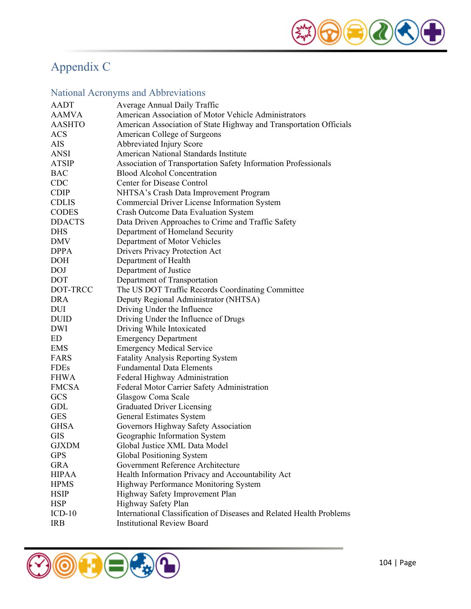

# Appendix C

## National Acronyms and Abbreviations

| <b>AADT</b><br>Average Annual Daily Traffic                                         |  |
|-------------------------------------------------------------------------------------|--|
| American Association of Motor Vehicle Administrators<br><b>AAMVA</b>                |  |
| American Association of State Highway and Transportation Officials<br><b>AASHTO</b> |  |
| American College of Surgeons<br><b>ACS</b>                                          |  |
| Abbreviated Injury Score<br>AIS                                                     |  |
| American National Standards Institute<br>ANSI                                       |  |
| Association of Transportation Safety Information Professionals<br>ATSIP             |  |
| <b>Blood Alcohol Concentration</b><br><b>BAC</b>                                    |  |
| <b>Center for Disease Control</b><br><b>CDC</b>                                     |  |
| <b>CDIP</b><br>NHTSA's Crash Data Improvement Program                               |  |
| Commercial Driver License Information System<br><b>CDLIS</b>                        |  |
| <b>CODES</b><br>Crash Outcome Data Evaluation System                                |  |
| <b>DDACTS</b><br>Data Driven Approaches to Crime and Traffic Safety                 |  |
| Department of Homeland Security<br><b>DHS</b>                                       |  |
| Department of Motor Vehicles<br>DMV                                                 |  |
| <b>DPPA</b><br>Drivers Privacy Protection Act                                       |  |
| <b>DOH</b><br>Department of Health                                                  |  |
| Department of Justice<br>DOJ                                                        |  |
| <b>DOT</b><br>Department of Transportation                                          |  |
| DOT-TRCC<br>The US DOT Traffic Records Coordinating Committee                       |  |
| <b>DRA</b><br>Deputy Regional Administrator (NHTSA)                                 |  |
| Driving Under the Influence<br>DUI                                                  |  |
| Driving Under the Influence of Drugs<br><b>DUID</b>                                 |  |
| <b>DWI</b><br>Driving While Intoxicated                                             |  |
| <b>Emergency Department</b><br>ED                                                   |  |
| <b>Emergency Medical Service</b><br><b>EMS</b>                                      |  |
| <b>Fatality Analysis Reporting System</b><br>FARS                                   |  |
| <b>FDEs</b><br><b>Fundamental Data Elements</b>                                     |  |
| FHWA<br>Federal Highway Administration                                              |  |
| <b>FMCSA</b><br>Federal Motor Carrier Safety Administration                         |  |
| <b>GCS</b><br>Glasgow Coma Scale                                                    |  |
| GDL<br><b>Graduated Driver Licensing</b>                                            |  |
| <b>GES</b><br>General Estimates System                                              |  |
| Governors Highway Safety Association<br><b>GHSA</b>                                 |  |
| Geographic Information System<br><b>GIS</b>                                         |  |
| Global Justice XML Data Model<br><b>GJXDM</b>                                       |  |
| <b>GPS</b><br>Global Positioning System                                             |  |
| Government Reference Architecture<br><b>GRA</b>                                     |  |
| <b>HIPAA</b><br>Health Information Privacy and Accountability Act                   |  |
| <b>HPMS</b><br>Highway Performance Monitoring System                                |  |
| <b>HSIP</b><br>Highway Safety Improvement Plan                                      |  |
| <b>HSP</b><br>Highway Safety Plan                                                   |  |
| International Classification of Diseases and Related Health Problems<br>$ICD-10$    |  |
| <b>Institutional Review Board</b><br><b>IRB</b>                                     |  |

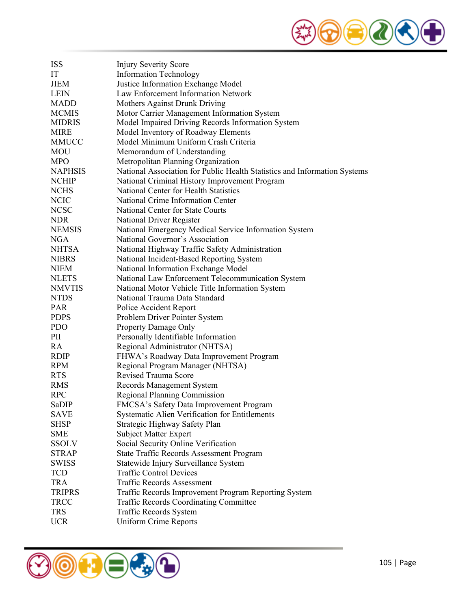

| <b>ISS</b>     | <b>Injury Severity Score</b>                                              |
|----------------|---------------------------------------------------------------------------|
| IT             | <b>Information Technology</b>                                             |
| <b>JIEM</b>    | Justice Information Exchange Model                                        |
| <b>LEIN</b>    | Law Enforcement Information Network                                       |
| <b>MADD</b>    | Mothers Against Drunk Driving                                             |
| <b>MCMIS</b>   | Motor Carrier Management Information System                               |
| <b>MIDRIS</b>  | Model Impaired Driving Records Information System                         |
| <b>MIRE</b>    | Model Inventory of Roadway Elements                                       |
| MMUCC          | Model Minimum Uniform Crash Criteria                                      |
| MOU            | Memorandum of Understanding                                               |
| <b>MPO</b>     | Metropolitan Planning Organization                                        |
| <b>NAPHSIS</b> | National Association for Public Health Statistics and Information Systems |
| <b>NCHIP</b>   | National Criminal History Improvement Program                             |
| <b>NCHS</b>    | National Center for Health Statistics                                     |
| <b>NCIC</b>    | National Crime Information Center                                         |
| <b>NCSC</b>    | National Center for State Courts                                          |
| <b>NDR</b>     | National Driver Register                                                  |
| <b>NEMSIS</b>  | National Emergency Medical Service Information System                     |
| <b>NGA</b>     | National Governor's Association                                           |
| <b>NHTSA</b>   | National Highway Traffic Safety Administration                            |
| <b>NIBRS</b>   | National Incident-Based Reporting System                                  |
| <b>NIEM</b>    | National Information Exchange Model                                       |
| <b>NLETS</b>   | National Law Enforcement Telecommunication System                         |
| <b>NMVTIS</b>  | National Motor Vehicle Title Information System                           |
| <b>NTDS</b>    | National Trauma Data Standard                                             |
| <b>PAR</b>     | Police Accident Report                                                    |
| <b>PDPS</b>    | Problem Driver Pointer System                                             |
| <b>PDO</b>     | Property Damage Only                                                      |
| PII            | Personally Identifiable Information                                       |
| RA             | Regional Administrator (NHTSA)                                            |
| <b>RDIP</b>    | FHWA's Roadway Data Improvement Program                                   |
| <b>RPM</b>     | Regional Program Manager (NHTSA)                                          |
| <b>RTS</b>     | <b>Revised Trauma Score</b>                                               |
| <b>RMS</b>     | Records Management System                                                 |
| <b>RPC</b>     | <b>Regional Planning Commission</b>                                       |
| SaDIP          | FMCSA's Safety Data Improvement Program                                   |
| SAVE           | Systematic Alien Verification for Entitlements                            |
| <b>SHSP</b>    | Strategic Highway Safety Plan                                             |
| <b>SME</b>     | <b>Subject Matter Expert</b>                                              |
| <b>SSOLV</b>   | Social Security Online Verification                                       |
| <b>STRAP</b>   | <b>State Traffic Records Assessment Program</b>                           |
| <b>SWISS</b>   | Statewide Injury Surveillance System                                      |
| <b>TCD</b>     | <b>Traffic Control Devices</b>                                            |
| <b>TRA</b>     | <b>Traffic Records Assessment</b>                                         |
| <b>TRIPRS</b>  | Traffic Records Improvement Program Reporting System                      |
| <b>TRCC</b>    | <b>Traffic Records Coordinating Committee</b>                             |
| <b>TRS</b>     | Traffic Records System                                                    |
| <b>UCR</b>     | <b>Uniform Crime Reports</b>                                              |